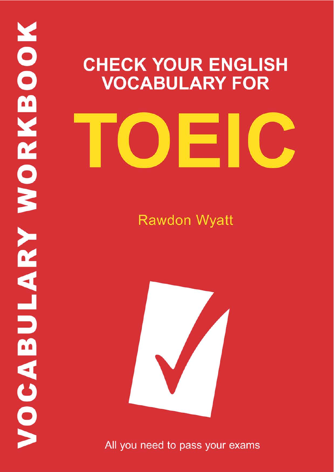# **CHECK YOUR ENGLISH VOCABULARY FOR**

# **Rawdon Wyatt**



All you need to pass your exams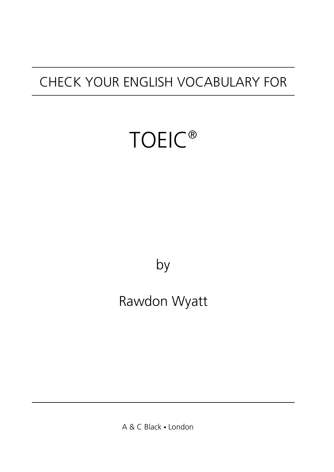# CHECK YOUR ENGLISH VOCABULARY FOR

# TOEIC®

by

# Rawdon Wyatt

A & C Black . London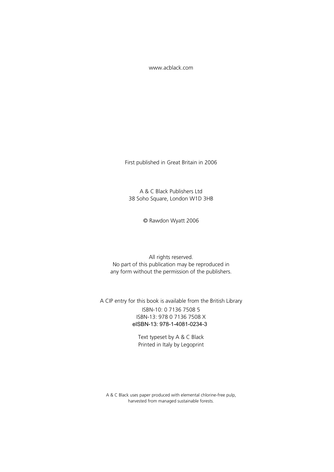[www.acblack.com](http://www.acblack.com)

First published in Great Britain in 2006

A & C Black Publishers Ltd 38 Soho Square, London W1D 3HB

© Rawdon Wyatt 2006

All rights reserved. No part of this publication may be reproduced in any form without the permission of the publishers.

A CIP entry for this book is available from the British Library

ISBN-10: 0 7136 7508 5 ISBN-13: 978 0 7136 7508 X eISBN-13: 978-1-4081-0234-3

Text typeset by A & C Black Printed in Italy by Legoprint

A & C Black uses paper produced with elemental chlorine-free pulp, harvested from managed sustainable forests.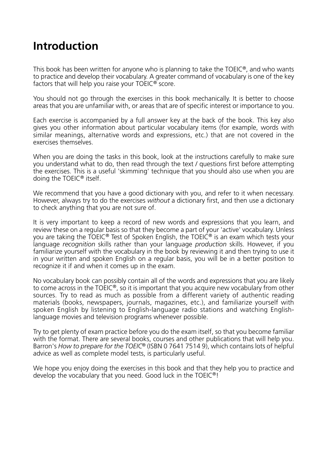### **Introduction**

This book has been written for anyone who is planning to take the TOEIC®, and who wants to practice and develop their vocabulary. A greater command of vocabulary is one of the key factors that will help you raise your TOEIC® score.

You should not go through the exercises in this book mechanically. It is better to choose areas that you are unfamiliar with, or areas that are of specific interest or importance to you.

Each exercise is accompanied by a full answer key at the back of the book. This key also gives you other information about particular vocabulary items (for example, words with similar meanings, alternative words and expressions, etc.) that are not covered in the exercises themselves.

When you are doing the tasks in this book, look at the instructions carefully to make sure you understand what to do, then read through the text / questions first before attempting the exercises. This is a useful 'skimming' technique that you should also use when you are doing the TOEIC® itself.

We recommend that you have a good dictionary with you, and refer to it when necessary. However, always try to do the exercises *without* a dictionary first, and then use a dictionary to check anything that you are not sure of.

It is very important to keep a record of new words and expressions that you learn, and review these on a regular basis so that they become a part of your 'active' vocabulary. Unless you are taking the TOEIC® Test of Spoken English, the TOEIC® is an exam which tests your language *recognition* skills rather than your language *production* skills. However, if you familiarize yourself with the vocabulary in the book by reviewing it and then trying to use it in your written and spoken English on a regular basis, you will be in a better position to recognize it if and when it comes up in the exam.

No vocabulary book can possibly contain all of the words and expressions that you are likely to come across in the TOEIC®, so it is important that you acquire new vocabulary from other sources. Try to read as much as possible from a different variety of authentic reading materials (books, newspapers, journals, magazines, etc.), and familiarize yourself with spoken English by listening to English-language radio stations and watching Englishlanguage movies and television programs whenever possible.

Try to get plenty of exam practice before you do the exam itself, so that you become familiar with the format. There are several books, courses and other publications that will help you. Barron's *How to prepare for the TOEIC*® (ISBN 0 7641 7514 9), which contains lots of helpful advice as well as complete model tests, is particularly useful.

We hope you enjoy doing the exercises in this book and that they help you to practice and develop the vocabulary that you need. Good luck in the TOEIC®!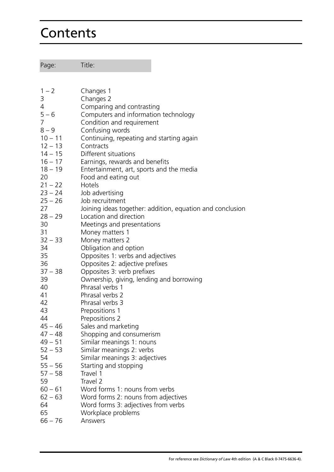## **Contents**

| Page:          | Title:                                                    |
|----------------|-----------------------------------------------------------|
|                |                                                           |
| $1 - 2$        | Changes 1                                                 |
| 3              | Changes 2                                                 |
| 4              | Comparing and contrasting                                 |
| $5 - 6$        | Computers and information technology                      |
| $\overline{7}$ | Condition and requirement                                 |
| $8 - 9$        | Confusing words                                           |
| $10 - 11$      | Continuing, repeating and starting again                  |
| $12 - 13$      | Contracts                                                 |
| $14 - 15$      | Different situations                                      |
| $16 - 17$      | Earnings, rewards and benefits                            |
| $18 - 19$      | Entertainment, art, sports and the media                  |
| 20             | Food and eating out                                       |
| $21 - 22$      | Hotels                                                    |
| $23 - 24$      | Job advertising                                           |
| $25 - 26$      | Job recruitment                                           |
| 27             | Joining ideas together: addition, equation and conclusion |
| $28 - 29$      | Location and direction                                    |
| 30             | Meetings and presentations                                |
| 31             | Money matters 1                                           |
| $32 - 33$      | Money matters 2                                           |
| 34             | Obligation and option                                     |
| 35             | Opposites 1: verbs and adjectives                         |
| 36             | Opposites 2: adjective prefixes                           |
| $37 - 38$      | Opposites 3: verb prefixes                                |
| 39             | Ownership, giving, lending and borrowing                  |
| 40             | Phrasal verbs 1                                           |
| 41             | Phrasal verbs 2                                           |
| 42             | Phrasal verbs 3                                           |
| 43             | Prepositions 1                                            |
| 44             | Prepositions 2                                            |
| $45 - 46$      | Sales and marketing                                       |
| $47 - 48$      | Shopping and consumerism                                  |
| $49 - 51$      | Similar meanings 1: nouns                                 |
| $52 - 53$      | Similar meanings 2: verbs                                 |
| 54             | Similar meanings 3: adjectives                            |
| $55 - 56$      | Starting and stopping                                     |
| $57 - 58$      | Travel 1                                                  |
| 59             | Travel 2                                                  |
| $60 - 61$      | Word forms 1: nouns from verbs                            |
| $62 - 63$      | Word forms 2: nouns from adjectives                       |
| 64             | Word forms 3: adjectives from verbs                       |
| 65             | Workplace problems                                        |
| $66 - 76$      | Answers                                                   |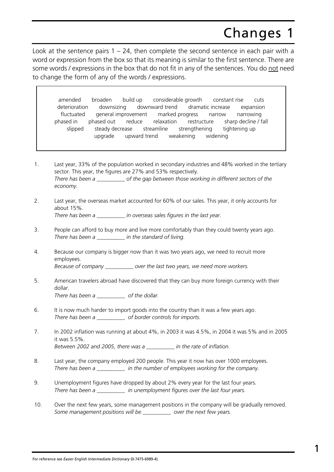# Changes 1

1

Look at the sentence pairs  $1 - 24$ , then complete the second sentence in each pair with a word or expression from the box so that its meaning is similar to the first sentence. There are some words / expressions in the box that do not fit in any of the sentences. You do not need to change the form of any of the words / expressions.

amended broaden build up considerable growth constant rise cuts deterioration downsizing downward trend dramatic increase expansion fluctuated general improvement marked progress narrow narrowing phased in phased out reduce relaxation restructure sharp decline / fall slipped steady decrease streamline strengthening tightening up upgrade upward trend weakening widening

- 1. Last year, 33% of the population worked in secondary industries and 48% worked in the tertiary sector. This year, the figures are 27% and 53% respectively. *There has been a \_\_\_\_\_\_\_\_\_\_ of the gap between those working in different sectors of the economy.*
- 2. Last year, the overseas market accounted for 60% of our sales. This year, it only accounts for about 15%. *There has been a \_\_\_\_\_\_\_\_\_\_ in overseas sales figures in the last year.*
- 3. People can afford to buy more and live more comfortably than they could twenty years ago. *There has been a \_\_\_\_\_\_\_\_\_\_ in the standard of living.*
- 4. Because our company is bigger now than it was two years ago, we need to recruit more employees. *Because of company \_\_\_\_\_\_\_\_\_\_ over the last two years, we need more workers.*
- 5. American travelers abroad have discovered that they can buy more foreign currency with their dollar. *There has been a \_\_\_\_\_\_\_\_\_\_ of the dollar.*
- 6. It is now much harder to import goods into the country than it was a few years ago. *There has been a \_\_\_\_\_\_\_\_\_\_ of border controls for imports.*
- 7. In 2002 inflation was running at about 4%, in 2003 it was 4.5%, in 2004 it was 5% and in 2005 it was 5.5%. *Between 2002 and 2005, there was a \_\_\_\_\_\_\_\_\_\_ in the rate of inflation.*
- 8. Last year, the company employed 200 people. This year it now has over 1000 employees. *There has been a \_\_\_\_\_\_\_\_\_\_ in the number of employees working for the company.*
- 9. Unemployment figures have dropped by about 2% every year for the last four years. *There has been a \_\_\_\_\_\_\_\_\_\_ in unemployment figures over the last four years.*
- <span id="page-5-0"></span>10. Over the next few years, some management positions in the company will be gradually removed. *Some management positions will be \_\_\_\_\_\_\_\_\_\_ over the next few years.*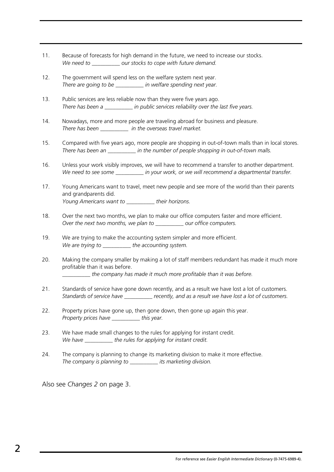- 11. Because of forecasts for high demand in the future, we need to increase our stocks. *We need to \_\_\_\_\_\_\_\_\_\_ our stocks to cope with future demand.*
- 12. The government will spend less on the welfare system next year. *There are going to be \_\_\_\_\_\_\_\_\_\_ in welfare spending next year.*
- 13. Public services are less reliable now than they were five years ago. *There has been a \_\_\_\_\_\_\_\_\_\_ in public services reliability over the last five years.*
- 14. Nowadays, more and more people are traveling abroad for business and pleasure. *There has been \_\_\_\_\_\_\_\_\_\_ in the overseas travel market.*
- 15. Compared with five years ago, more people are shopping in out-of-town malls than in local stores. *There has been an \_\_\_\_\_\_\_\_\_\_ in the number of people shopping in out-of-town malls.*
- 16. Unless your work visibly improves, we will have to recommend a transfer to another department. *We need to see some \_\_\_\_\_\_\_\_\_\_ in your work, or we will recommend a departmental transfer.*
- 17. Young Americans want to travel, meet new people and see more of the world than their parents and grandparents did. *Young Americans want to \_\_\_\_\_\_\_\_\_\_ their horizons.*
- 18. Over the next two months, we plan to make our office computers faster and more efficient. *Over the next two months, we plan to \_\_\_\_\_\_\_\_\_\_ our office computers.*
- 19. We are trying to make the accounting system simpler and more efficient. *We are trying to \_\_\_\_\_\_\_\_\_\_ the accounting system.*
- 20. Making the company smaller by making a lot of staff members redundant has made it much more profitable than it was before. *\_\_\_\_\_\_\_\_\_\_ the company has made it much more profitable than it was before.*
- 21. Standards of service have gone down recently, and as a result we have lost a lot of customers. *Standards of service have \_\_\_\_\_\_\_\_\_\_ recently, and as a result we have lost a lot of customers.*
- 22. Property prices have gone up, then gone down, then gone up again this year. *Property prices have \_\_\_\_\_\_\_\_\_\_ this year.*
- 23. We have made small changes to the rules for applying for instant credit. *We have \_\_\_\_\_\_\_\_\_\_ the rules for applying for instant credit.*
- 24. The company is planning to change its marketing division to make it more effective. *The company is planning to \_\_\_\_\_\_\_\_\_\_ its marketing division.*

Also see *Changes 2* on page 3.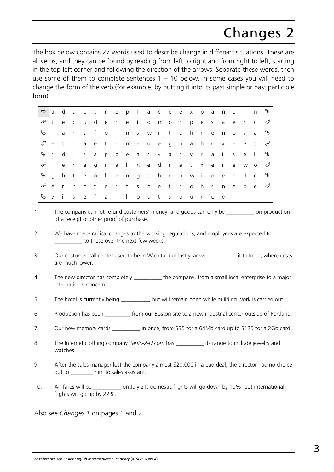# Changes 2

The box below contains 27 words used to describe change in different situations. These are all verbs, and they can be found by reading from left to right and from right to left, starting in the top-left corner and following the direction of the arrows. Separate these words, then use some of them to complete sentences  $1 - 10$  below. In some cases you will need to change the form of the verb (for example, by putting it into its past simple or past participle form).

|  |  |  |  |  |                      |  |  |  |  |  | $ \Rightarrow$ adapt replace expandin $\mathbb{R}$                                                                                          |
|--|--|--|--|--|----------------------|--|--|--|--|--|---------------------------------------------------------------------------------------------------------------------------------------------|
|  |  |  |  |  |                      |  |  |  |  |  | $ \mathcal{F}% (A)\backslash\mathcal{A} $ tecu dereto morpes a erc $\mathcal{\varphi}$                                                      |
|  |  |  |  |  |                      |  |  |  |  |  |                                                                                                                                             |
|  |  |  |  |  |                      |  |  |  |  |  | $ \mathcal{F}% (A)\backslash\mathcal{A} $ et la et omedeg na h cxeet $\mathcal{F}% (A)\backslash\mathcal{A}$                                |
|  |  |  |  |  |                      |  |  |  |  |  | $ \mathbb{B}_\mathbb{F}$ rdisappearvaryraisel $\mathbb{B}_\mathbb{F}$                                                                       |
|  |  |  |  |  |                      |  |  |  |  |  | $ \mathcal{F}% (A)\backslash\mathcal{A} $ iehegralned net xerewo $\mathcal{F}$                                                              |
|  |  |  |  |  |                      |  |  |  |  |  | $ \mathbb{b}\rangle$ ght en lengthen widen de $\mathbb{b}\rangle$                                                                           |
|  |  |  |  |  |                      |  |  |  |  |  | $ \mathscr{F}% _{\alpha}^{\ast}(\theta) = \mathscr{F}_{\alpha}^{\alpha}(\theta) $ are hoter ts net rohsnepe $\mathscr{F}_{\alpha}^{\alpha}$ |
|  |  |  |  |  | & vise falloutsource |  |  |  |  |  |                                                                                                                                             |

- 1. The company cannot refund customers' money, and goods can only be  $\Box$  on production of a receipt or other proof of purchase.
- 2. We have made radical changes to the working regulations, and employees are expected to \_\_\_\_\_\_\_\_\_\_ to these over the next few weeks.
- 3. Our customer call center used to be in Wichita, but last year we \_\_\_\_\_\_\_\_\_\_ it to India, where costs are much lower.
- 4. The new director has completely \_\_\_\_\_\_\_\_\_\_ the company, from a small local enterprise to a major international concern.
- 5. The hotel is currently being \_\_\_\_\_\_\_\_\_, but will remain open while building work is carried out.
- 6. Production has been \_\_\_\_\_\_\_\_\_ from our Boston site to a new industrial center outside of Portland.
- 7. Our new memory cards in price, from \$35 for a 64Mb card up to \$125 for a 2Gb card.
- 8. The Internet clothing company *Pants-2-U.com* has \_\_\_\_\_\_\_\_\_\_ its range to include jewelry and watches.
- 9. After the sales manager lost the company almost \$20,000 in a bad deal, the director had no choice but to do him to sales assistant.
- 10. Air fares will be \_\_\_\_\_\_\_\_\_\_ on July 21: domestic flights will go down by 10%, but international flights will go up by 22%.

<span id="page-7-0"></span>Also see *Changes 1* on pages 1 and 2.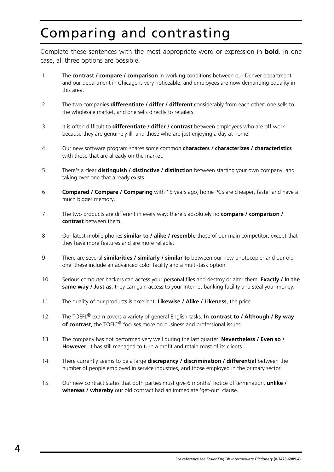## Comparing and contrasting

Complete these sentences with the most appropriate word or expression in **bold**. In one case, all three options are possible.

- 1. The **contrast / compare / comparison** in working conditions between our Denver department and our department in Chicago is very noticeable, and employees are now demanding equality in this area.
- 2. The two companies **differentiate / differ / different** considerably from each other: one sells to the wholesale market, and one sells directly to retailers.
- 3. It is often difficult to **differentiate / differ / contrast** between employees who are off work because they are genuinely ill, and those who are just enjoying a day at home.
- 4. Our new software program shares some common **characters / characterizes / characteristics** with those that are already on the market.
- 5. There's a clear **distinguish / distinctive / distinction** between starting your own company, and taking over one that already exists.
- 6. **Compared / Compare / Comparing** with 15 years ago, home PCs are cheaper, faster and have a much bigger memory.
- 7. The two products are different in every way: there's absolutely no **compare / comparison / contrast** between them.
- 8. Our latest mobile phones **similar to / alike / resemble** those of our main competitor, except that they have more features and are more reliable.
- 9. There are several **similarities / similarly / similar to** between our new photocopier and our old one: these include an advanced color facility and a multi-task option.
- 10. Serious computer hackers can access your personal files and destroy or alter them. **Exactly / In the same way / Just as**, they can gain access to your Internet banking facility and steal your money.
- 11. The quality of our products is excellent. **Likewise / Alike / Likeness**, the price.
- 12. The TOEFL® exam covers a variety of general English tasks. **In contrast to / Although / By way of contrast**, the TOEIC<sup>®</sup> focuses more on business and professional issues.
- 13. The company has not performed very well during the last quarter. **Nevertheless / Even so / However**, it has still managed to turn a profit and retain most of its clients.
- 14. There currently seems to be a large **discrepancy / discrimination / differential** between the number of people employed in service industries, and those employed in the primary sector.
- <span id="page-8-0"></span>15. Our new contract states that both parties must give 6 months' notice of termination, **unlike / whereas / whereby** our old contract had an immediate 'get-out' clause.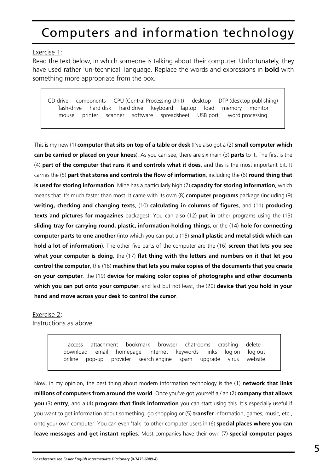### Computers and information technology

Exercise 1:

Read the text below, in which someone is talking about their computer. Unfortunately, they have used rather 'un-technical' language. Replace the words and expressions in **bold** with something more appropriate from the box.

CD drive components CPU (Central Processing Unit) desktop DTP (desktop publishing) flash-drive hard disk hard drive keyboard laptop load memory monitor mouse printer scanner software spreadsheet USB port word processing

This is my new (1) **computer that sits on top of a table or desk** (I've also got a (2) **small computer which can be carried or placed on your knees**). As you can see, there are six main (3) **parts** to it. The first is the (4) **part of the computer that runs it and controls what it does**, and this is the most important bit. It carries the (5) **part that stores and controls the flow of information**, including the (6) **round thing that is used for storing information**. Mine has a particularly high (7) **capacity for storing information**, which means that it's much faster than most. It came with its own (8) **computer programs** package (including (9) **writing, checking and changing texts**, (10) **calculating in columns of figures**, and (11) **producing texts and pictures for magazines** packages). You can also (12) **put in** other programs using the (13) **sliding tray for carrying round, plastic, information-holding things**, or the (14) **hole for connecting computer parts to one another** (into which you can put a (15) **small plastic and metal stick which can hold a lot of information**). The other five parts of the computer are the (16) **screen that lets you see what your computer is doing**, the (17) **flat thing with the letters and numbers on it that let you control the computer**, the (18) **machine that lets you make copies of the documents that you create on your computer**, the (19) **device for making color copies of photographs and other documents which you can put onto your computer**, and last but not least, the (20) **device that you hold in your hand and move across your desk to control the cursor**.

#### Exercise 2:

Instructions as above

access attachment bookmark browser chatrooms crashing delete download email homepage Internet keywords links log on log out online pop-up provider search engine spam upgrade virus website

<span id="page-9-0"></span>Now, in my opinion, the best thing about modern information technology is the (1) **network that links millions of computers from around the world**. Once you've got yourself a / an (2) **company that allows you** (3) **entry**, and a (4) **program that finds information** you can start using this. It's especially useful if you want to get information about something, go shopping or (5) **transfer** information, games, music, etc., onto your own computer. You can even 'talk' to other computer users in (6) **special places where you can leave messages and get instant replies**. Most companies have their own (7) **special computer pages**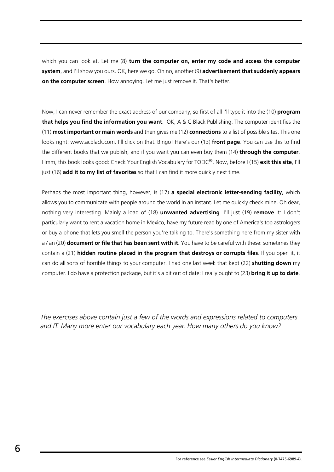which you can look at. Let me (8) **turn the computer on, enter my code and access the computer system**, and I'll show you ours. OK, here we go. Oh no, another (9) **advertisement that suddenly appears on the computer screen**. How annoying. Let me just remove it. That's better.

Now, I can never remember the exact address of our company, so first of all I'll type it into the (10) **program that helps you find the information you want**. OK, A & C Black Publishing. The computer identifies the (11) **most important or main words** and then gives me (12) **connections** to a list of possible sites. This one looks right: [www.acblack.com.](http://www.acblack.com) I'll click on that. Bingo! Here's our (13) **front page**. You can use this to find the different books that we publish, and if you want you can even buy them (14) **through the computer**. Hmm, this book looks good: Check Your English Vocabulary for TOEIC®. Now, before I (15) **exit this site**, I'll just (16) **add it to my list of favorites** so that I can find it more quickly next time.

Perhaps the most important thing, however, is (17) **a special electronic letter-sending facility**, which allows you to communicate with people around the world in an instant. Let me quickly check mine. Oh dear, nothing very interesting. Mainly a load of (18) **unwanted advertising**. I'll just (19) **remove** it: I don't particularly want to rent a vacation home in Mexico, have my future read by one of America's top astrologers or buy a phone that lets you smell the person you're talking to. There's something here from my sister with a / an (20) **document or file that has been sent with it**. You have to be careful with these: sometimes they contain a (21) **hidden routine placed in the program that destroys or corrupts files**. If you open it, it can do all sorts of horrible things to your computer. I had one last week that kept (22) **shutting down** my computer. I do have a protection package, but it's a bit out of date: I really ought to (23) **bring it up to date**.

*The exercises above contain just a few of the words and expressions related to computers and IT. Many more enter our vocabulary each year. How many others do you know?*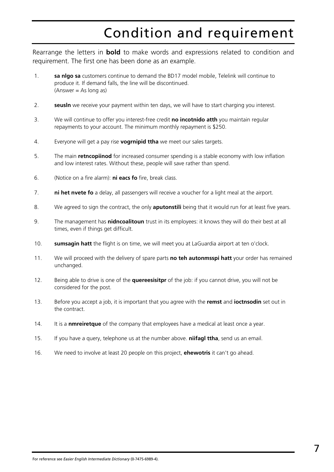# Condition and requirement

Rearrange the letters in **bold** to make words and expressions related to condition and requirement. The first one has been done as an example.

- 1. **sa nlgo sa** customers continue to demand the BD17 model mobile, Telelink will continue to produce it. If demand falls, the line will be discontinued. (Answer = As long as)
- 2. **seusln** we receive your payment within ten days, we will have to start charging you interest.
- 3. We will continue to offer you interest-free credit **no incotnido atth** you maintain regular repayments to your account. The minimum monthly repayment is \$250.
- 4. Everyone will get a pay rise **vogrnipid ttha** we meet our sales targets.
- 5. The main **retncopiinod** for increased consumer spending is a stable economy with low inflation and low interest rates. Without these, people will save rather than spend.
- 6. (Notice on a fire alarm): **ni eacs fo** fire, break class.
- 7. **ni het nvete fo** a delay, all passengers will receive a voucher for a light meal at the airport.
- 8. We agreed to sign the contract, the only **aputonstili** being that it would run for at least five years.
- 9. The management has **nidncoalitoun** trust in its employees: it knows they will do their best at all times, even if things get difficult.
- 10. **sumsagin hatt** the flight is on time, we will meet you at LaGuardia airport at ten o'clock.
- 11. We will proceed with the delivery of spare parts **no teh autonmsspi hatt** your order has remained unchanged.
- 12. Being able to drive is one of the **quereesisitpr** of the job: if you cannot drive, you will not be considered for the post.
- 13. Before you accept a job, it is important that you agree with the **remst** and **ioctnsodin** set out in the contract.
- 14. It is a **nmreiretque** of the company that employees have a medical at least once a year.
- 15. If you have a query, telephone us at the number above. **niifagl ttha**, send us an email.
- <span id="page-11-0"></span>16. We need to involve at least 20 people on this project, **ehewotris** it can't go ahead.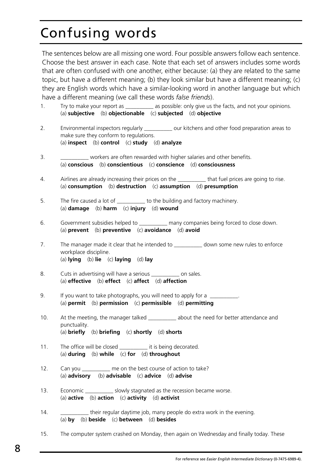# Confusing words

The sentences below are all missing one word. Four possible answers follow each sentence. Choose the best answer in each case. Note that each set of answers includes some words that are often confused with one another, either because: (a) they are related to the same topic, but have a different meaning; (b) they look similar but have a different meaning; (c) they are English words which have a similar-looking word in another language but which have a different meaning (we call these words *false friends*).

- 1. Try to make your report as \_\_\_\_\_\_\_\_\_\_ as possible: only give us the facts, and not your opinions. (a) **subjective** (b) **objectionable** (c) **subjected** (d) **objective**
- 2. Environmental inspectors regularly \_\_\_\_\_\_\_\_\_\_ our kitchens and other food preparation areas to make sure they conform to regulations. (a) **inspect** (b) **control** (c) **study** (d) **analyze**
- 3. \_\_\_\_\_\_\_\_\_\_ workers are often rewarded with higher salaries and other benefits. (a) **conscious** (b) **conscientious** (c) **conscience** (d) **consciousness**
- 4. Airlines are already increasing their prices on the \_\_\_\_\_\_\_\_\_\_\_ that fuel prices are going to rise. (a) **consumption** (b) **destruction** (c) **assumption** (d) **presumption**
- 5. The fire caused a lot of \_\_\_\_\_\_\_\_\_\_ to the building and factory machinery. (a) **damage** (b) **harm** (c) **injury** (d) **wound**
- 6. Government subsidies helped to \_\_\_\_\_\_\_\_\_\_ many companies being forced to close down. (a) **prevent** (b) **preventive** (c) **avoidance** (d) **avoid**
- 7. The manager made it clear that he intended to \_\_\_\_\_\_\_\_\_\_ down some new rules to enforce workplace discipline. (a) **lying** (b) **lie** (c) **laying** (d) **lay**
- 8. Cuts in advertising will have a serious electron consales. (a) **effective** (b) **effect** (c) **affect** (d) **affection**
- 9. If you want to take photographs, you will need to apply for a (a) **permit** (b) **permission** (c) **permissible** (d) **permitting**
- 10. At the meeting, the manager talked about the need for better attendance and punctuality. (a) **briefly** (b) **briefing** (c) **shortly** (d) **shorts**
- 11. The office will be closed \_\_\_\_\_\_\_\_\_\_\_ it is being decorated. (a) **during** (b) **while** (c) **for** (d) **throughout**
- 12. Can you \_\_\_\_\_\_\_\_\_ me on the best course of action to take? (a) **advisory** (b) **advisable** (c) **advice** (d) **advise**
- 13. Economic \_\_\_\_\_\_\_\_\_\_ slowly stagnated as the recession became worse. (a) **active** (b) **action** (c) **activity** (d) **activist**
- 14. \_\_\_\_\_\_\_\_\_\_ their regular daytime job, many people do extra work in the evening. (a) **by** (b) **beside** (c) **between** (d) **besides**
- <span id="page-12-0"></span>15. The computer system crashed on Monday, then again on Wednesday and finally today. These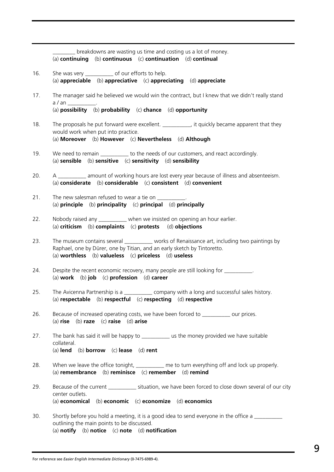|     | __ breakdowns are wasting us time and costing us a lot of money.<br>(a) continuing (b) continuous (c) continuation (d) continual                                                                                                  |
|-----|-----------------------------------------------------------------------------------------------------------------------------------------------------------------------------------------------------------------------------------|
| 16. | She was very _____________ of our efforts to help.<br>(a) appreciable (b) appreciative $(c)$ appreciating $(d)$ appreciate                                                                                                        |
| 17. | The manager said he believed we would win the contract, but I knew that we didn't really stand<br>$a / an \_$<br>(a) possibility (b) probability $(c)$ chance $(d)$ opportunity                                                   |
| 18. | The proposals he put forward were excellent. ___________, it quickly became apparent that they<br>would work when put into practice.<br>(a) Moreover (b) However (c) Nevertheless (d) Although                                    |
| 19. | We need to remain ____________ to the needs of our customers, and react accordingly.<br>(a) sensible (b) sensitive (c) sensitivity (d) sensibility                                                                                |
| 20. | A ____________ amount of working hours are lost every year because of illness and absenteeism.<br>(a) considerate (b) considerable (c) consistent (d) convenient                                                                  |
| 21. | The new salesman refused to wear a tie on __________.<br>(a) principle (b) principality (c) principal (d) principally                                                                                                             |
| 22. | Nobody raised any __________ when we insisted on opening an hour earlier.<br>(a) criticism (b) complaints (c) protests (d) objections                                                                                             |
| 23. | The museum contains several ___________ works of Renaissance art, including two paintings by<br>Raphael, one by Dürer, one by Titian, and an early sketch by Tintoretto.<br>(a) worthless (b) valueless (c) priceless (d) useless |
| 24. | Despite the recent economic recovery, many people are still looking for _________.<br>(a) work (b) $job$ (c) profession (d) career                                                                                                |
| 25. | The Avicenna Partnership is a ______________ company with a long and successful sales history.<br>(a) respectable (b) respectful (c) respecting (d) respective                                                                    |
| 26. | Because of increased operating costs, we have been forced to ____________ our prices.<br>(a) rise (b) raze (c) raise (d) arise                                                                                                    |
| 27. | The bank has said it will be happy to ____________ us the money provided we have suitable<br>collateral.<br>(a) $lend$ (b) borrow (c) lease (d) rent                                                                              |
| 28. | When we leave the office tonight, ________ me to turn everything off and lock up properly.<br>(a) remembrance (b) reminisce (c) remember (d) remind                                                                               |
| 29. | Because of the current _____________ situation, we have been forced to close down several of our city<br>center outlets.<br>(a) economical (b) economic $(c)$ economize $(d)$ economics                                           |
| 30. | Shortly before you hold a meeting, it is a good idea to send everyone in the office a<br>outlining the main points to be discussed.<br>(a) notify $(b)$ notice $(c)$ note $(d)$ notification                                      |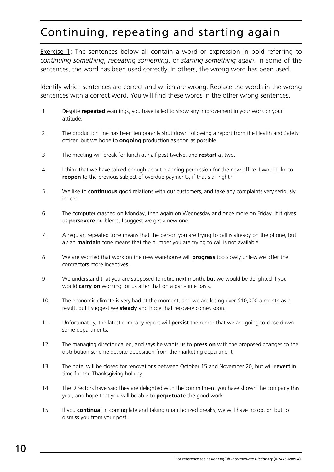### Continuing, repeating and starting again

Exercise 1: The sentences below all contain a word or expression in bold referring to *continuing something*, *repeating something*, or *starting something again*. In some of the sentences, the word has been used correctly. In others, the wrong word has been used.

Identify which sentences are correct and which are wrong. Replace the words in the wrong sentences with a correct word. You will find these words in the other wrong sentences.

- 1. Despite **repeated** warnings, you have failed to show any improvement in your work or your attitude.
- 2. The production line has been temporarily shut down following a report from the Health and Safety officer, but we hope to **ongoing** production as soon as possible.
- 3. The meeting will break for lunch at half past twelve, and **restart** at two.
- 4. I think that we have talked enough about planning permission for the new office. I would like to **reopen** to the previous subject of overdue payments, if that's all right?
- 5. We like to **continuous** good relations with our customers, and take any complaints very seriously indeed.
- 6. The computer crashed on Monday, then again on Wednesday and once more on Friday. If it gives us **persevere** problems, I suggest we get a new one.
- 7. A regular, repeated tone means that the person you are trying to call is already on the phone, but a / an **maintain** tone means that the number you are trying to call is not available.
- 8. We are worried that work on the new warehouse will **progress** too slowly unless we offer the contractors more incentives.
- 9. We understand that you are supposed to retire next month, but we would be delighted if you would **carry on** working for us after that on a part-time basis.
- 10. The economic climate is very bad at the moment, and we are losing over \$10,000 a month as a result, but I suggest we **steady** and hope that recovery comes soon.
- 11. Unfortunately, the latest company report will **persist** the rumor that we are going to close down some departments.
- 12. The managing director called, and says he wants us to **press on** with the proposed changes to the distribution scheme despite opposition from the marketing department.
- 13. The hotel will be closed for renovations between October 15 and November 20, but will **revert** in time for the Thanksgiving holiday.
- 14. The Directors have said they are delighted with the commitment you have shown the company this year, and hope that you will be able to **perpetuate** the good work.
- <span id="page-14-0"></span>15. If you **continual** in coming late and taking unauthorized breaks, we will have no option but to dismiss you from your post.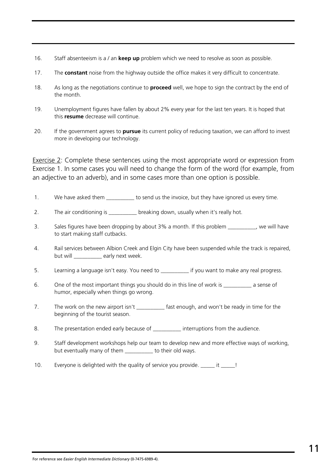- 16. Staff absenteeism is a / an **keep up** problem which we need to resolve as soon as possible.
- 17. The **constant** noise from the highway outside the office makes it very difficult to concentrate.
- 18. As long as the negotiations continue to **proceed** well, we hope to sign the contract by the end of the month.
- 19. Unemployment figures have fallen by about 2% every year for the last ten years. It is hoped that this **resume** decrease will continue.
- 20. If the government agrees to **pursue** its current policy of reducing taxation, we can afford to invest more in developing our technology.

Exercise 2: Complete these sentences using the most appropriate word or expression from Exercise 1. In some cases you will need to change the form of the word (for example, from an adjective to an adverb), and in some cases more than one option is possible.

- 1. We have asked them to send us the invoice, but they have ignored us every time.
- 2. The air conditioning is breaking down, usually when it's really hot.
- 3. Sales figures have been dropping by about 3% a month. If this problem exactle will have to start making staff cutbacks.
- 4. Rail services between Albion Creek and Elgin City have been suspended while the track is repaired, but will early next week.
- 5. Learning a language isn't easy. You need to \_\_\_\_\_\_\_\_\_\_ if you want to make any real progress.
- 6. One of the most important things you should do in this line of work is \_\_\_\_\_\_\_\_\_\_ a sense of humor, especially when things go wrong.
- 7. The work on the new airport isn't \_\_\_\_\_\_\_\_\_\_\_ fast enough, and won't be ready in time for the beginning of the tourist season.
- 8. The presentation ended early because of \_\_\_\_\_\_\_\_\_\_ interruptions from the audience.
- 9. Staff development workshops help our team to develop new and more effective ways of working, but eventually many of them but eventually many of them but to their old ways.
- 10. Everyone is delighted with the quality of service you provide.  $\cdot$  it  $\cdot$ !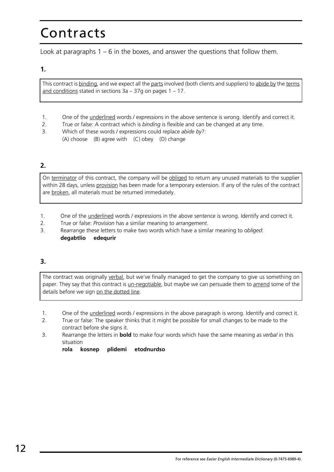# Contracts

Look at paragraphs 1 – 6 in the boxes, and answer the questions that follow them.

#### **1.**

This contract is binding, and we expect all the parts involved (both clients and suppliers) to abide by the terms and conditions stated in sections  $3a - 37q$  on pages  $1 - 17$ .

- 1. One of the *underlined* words / expressions in the above sentence is wrong. Identify and correct it.
- 2. True or false: A contract which is *binding* is flexible and can be changed at any time.
- 3. Which of these words / expressions could replace *abide by*?: (A) choose (B) agree with (C) obey (D) change

#### **2.**

On terminator of this contract, the company will be obliged to return any unused materials to the supplier within 28 days, unless provision has been made for a temporary extension. If any of the rules of the contract are broken, all materials must be returned immediately.

- 1. One of the *underlined* words / expressions in the above sentence is wrong. Identify and correct it.
- 2. True or false: *Provision* has a similar meaning to *arrangement*.
- 3. Rearrange these letters to make two words which have a similar meaning to *obliged*: **degabtlio edequrir**

#### **3.**

The contract was originally verbal, but we've finally managed to get the company to give us something on paper. They say that this contract is <u>un-negotiable</u>, but maybe we can persuade them to amend some of the details before we sign on the dotted line.

- 1. One of the *underlined* words / expressions in the above paragraph is wrong. Identify and correct it.
- 2. True or false: The speaker thinks that it might be possible for small changes to be made to the contract before she signs it.
- 3. Rearrange the letters in **bold** to make four words which have the same meaning as *verbal* in this situation

<span id="page-16-0"></span>**rola kosnep plidemi etodnurdso**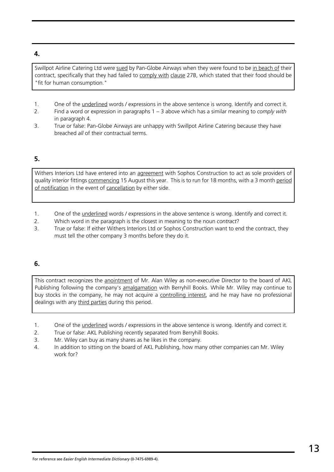#### **4.**

Swillpot Airline Catering Ltd were sued by Pan-Globe Airways when they were found to be in beach of their contract, specifically that they had failed to comply with clause 27B, which stated that their food should be "fit for human consumption."

- 1. One of the underlined words / expressions in the above sentence is wrong. Identify and correct it.
- 2. Find a word or expression in paragraphs 1 3 above which has a similar meaning to *comply with* in paragraph 4.
- 3. True or false: Pan-Globe Airways are unhappy with Swillpot Airline Catering because they have breached *all* of their contractual terms.

#### **5.**

Withers Interiors Ltd have entered into an agreement with Sophos Construction to act as sole providers of quality interior fittings commencing 15 August this year. This is to run for 18 months, with a 3 month period of notification in the event of cancellation by either side.

- 1. One of the underlined words / expressions in the above sentence is wrong. Identify and correct it.
- 2. Which word in the paragraph is the closest in meaning to the noun *contract*?
- 3. True or false: If either Withers Interiors Ltd or Sophos Construction want to end the contract, they must tell the other company 3 months before they do it.

#### **6.**

This contract recognizes the anointment of Mr. Alan Wiley as non-executive Director to the board of AKL Publishing following the company's amalgamation with Berryhill Books. While Mr. Wiley may continue to buy stocks in the company, he may not acquire a controlling interest, and he may have no professional dealings with any third parties during this period.

- 1. One of the underlined words / expressions in the above sentence is wrong. Identify and correct it.
- 2. True or false: AKL Publishing recently separated from Berryhill Books.
- 3. Mr. Wiley can buy as many shares as he likes in the company.

<sup>4.</sup> In addition to sitting on the board of AKL Publishing, how many other companies can Mr. Wiley work for?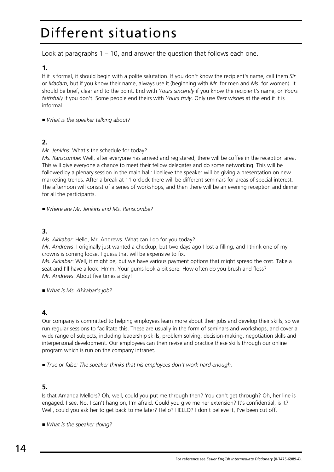# Different situations

Look at paragraphs 1 – 10, and answer the question that follows each one.

#### **1.**

If it is formal, it should begin with a polite salutation. If you don't know the recipient's name, call them *Sir* or *Madam*, but if you know their name, always use it (beginning with *Mr.* for men and *Ms.* for women). It should be brief, clear and to the point. End with *Yours sincerely* if you know the recipient's name, or *Yours faithfully* if you don't. Some people end theirs with *Yours truly*. Only use *Best wishes* at the end if it is informal.

! *What is the speaker talking about?*

#### **2.**

#### *Mr. Jenkins*: What's the schedule for today?

*Ms. Ranscombe*: Well, after everyone has arrived and registered, there will be coffee in the reception area. This will give everyone a chance to meet their fellow delegates and do some networking. This will be followed by a plenary session in the main hall: I believe the speaker will be giving a presentation on new marketing trends. After a break at 11 o'clock there will be different seminars for areas of special interest. The afternoon will consist of a series of workshops, and then there will be an evening reception and dinner for all the participants.

! *Where are Mr. Jenkins and Ms. Ranscombe?*

#### **3.**

*Ms. Akkabar*: Hello, Mr. Andrews. What can I do for you today?

*Mr. Andrews*: I originally just wanted a checkup, but two days ago I lost a filling, and I think one of my crowns is coming loose. I guess that will be expensive to fix.

*Ms. Akkabar*: Well, it might be, but we have various payment options that might spread the cost. Take a seat and I'll have a look. Hmm. Your gums look a bit sore. How often do you brush and floss? *Mr. Andrews*: About five times a day!

! *What is Ms. Akkabar's job?*

#### **4.**

Our company is committed to helping employees learn more about their jobs and develop their skills, so we run regular sessions to facilitate this. These are usually in the form of seminars and workshops, and cover a wide range of subjects, including leadership skills, problem solving, decision-making, negotiation skills and interpersonal development. Our employees can then revise and practice these skills through our online program which is run on the company intranet.

! *True or false: The speaker thinks that his employees don't work hard enough.*

#### **5.**

Is that Amanda Mellors? Oh, well, could you put me through then? You can't get through? Oh, her line is engaged. I see. No, I can't hang on, I'm afraid. Could you give me her extension? It's confidential, is it? Well, could you ask her to get back to me later? Hello? HELLO? I don't believe it, I've been cut off.

<span id="page-18-0"></span>! *What is the speaker doing?*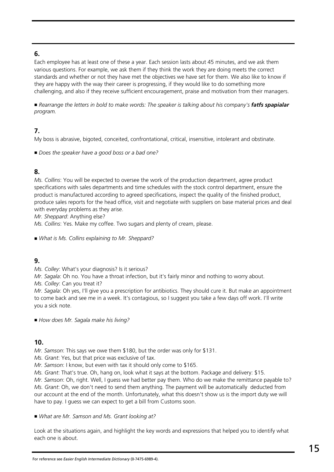#### **6.**

Each employee has at least one of these a year. Each session lasts about 45 minutes, and we ask them various questions. For example, we ask them if they think the work they are doing meets the correct standards and whether or not they have met the objectives we have set for them. We also like to know if they are happy with the way their career is progressing, if they would like to do something more challenging, and also if they receive sufficient encouragement, praise and motivation from their managers.

**. Rearrange the letters in bold to make words: The speaker is talking about his company's <b>fatfs spapialar** *program.*

#### **7.**

My boss is abrasive, bigoted, conceited, confrontational, critical, insensitive, intolerant and obstinate.

! *Does the speaker have a good boss or a bad one?*

#### **8.**

*Ms. Collins*: You will be expected to oversee the work of the production department, agree product specifications with sales departments and time schedules with the stock control department, ensure the product is manufactured according to agreed specifications, inspect the quality of the finished product, produce sales reports for the head office, visit and negotiate with suppliers on base material prices and deal with everyday problems as they arise.

*Mr. Sheppard*: Anything else?

*Ms. Collins*: Yes. Make my coffee. Two sugars and plenty of cream, please.

! *What is Ms. Collins explaining to Mr. Sheppard?*

#### **9.**

*Ms. Colley*: What's your diagnosis? Is it serious?

*Mr. Sagala*: Oh no. You have a throat infection, but it's fairly minor and nothing to worry about.

*Ms. Colley*: Can you treat it?

*Mr. Sagala*: Oh yes, I'll give you a prescription for antibiotics. They should cure it. But make an appointment to come back and see me in a week. It's contagious, so I suggest you take a few days off work. I'll write you a sick note.

! *How does Mr. Sagala make his living?*

#### **10.**

*Mr. Samson*: This says we owe them \$180, but the order was only for \$131.

*Ms. Grant*: Yes, but that price was exclusive of tax.

*Mr. Samson*: I know, but even with tax it should only come to \$165.

*Ms. Grant*: That's true. Oh, hang on, look what it says at the bottom. Package and delivery: \$15.

*Mr. Samson*: Oh, right. Well, I guess we had better pay them. Who do we make the remittance payable to? *Ms. Grant*: Oh, we don't need to send them anything. The payment will be automatically deducted from our account at the end of the month. Unfortunately, what this doesn't show us is the import duty we will have to pay. I guess we can expect to get a bill from Customs soon.

! *What are Mr. Samson and Ms. Grant looking at?*

Look at the situations again, and highlight the key words and expressions that helped you to identify what each one is about.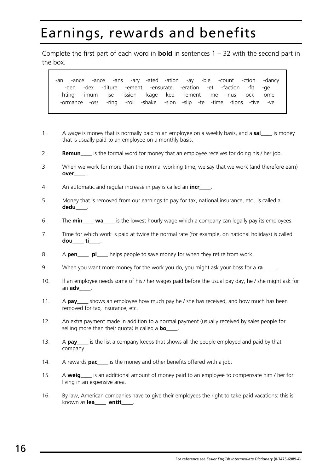## Earnings, rewards and benefits

Complete the first part of each word in **bold** in sentences 1 – 32 with the second part in the box.

-an -ance -ance -ans -ary -ated -ation -ay -ble -count -ction -dancy -den -dex -diture -ement -ensurate -eration -et -faction -fit -ge -hting -imum -ise -ission -kage -ked -lement -me -nus -ock -ome -ormance -oss -ring -roll -shake -sion -slip -te -time -tions -tive -ve

- 1. A *wage* is money that is normally paid to an employee on a weekly basis, and a **sal**\_\_\_\_ is money that is usually paid to an employee on a monthly basis.
- 2. **Remun** is the formal word for money that an employee receives for doing his / her job.
- 3. When we work for more than the normal working time, we say that we work (and therefore earn) **over**\_\_\_\_.
- 4. An automatic and regular increase in pay is called an **incr**\_\_\_\_.
- 5. Money that is removed from our earnings to pay for tax, national insurance, etc., is called a **dedu**\_\_\_\_.
- 6. The **min**\_\_\_\_ **wa**\_\_\_\_ is the lowest hourly wage which a company can legally pay its employees.
- 7. Time for which work is paid at twice the normal rate (for example, on national holidays) is called **dou**\_\_\_\_ **ti**\_\_\_\_.
- 8. A **pen**\_\_\_\_ **pl**\_\_\_\_ helps people to save money for when they retire from work.
- 9. When you want more money for the work you do, you might ask your boss for a **ra**\_\_\_\_\_.
- 10. If an employee needs some of his / her wages paid before the usual pay day, he / she might ask for an **adv**\_\_\_\_.
- 11. A **pay**\_\_\_\_ shows an employee how much pay he / she has received, and how much has been removed for tax, insurance, etc.
- 12. An extra payment made in addition to a normal payment (usually received by sales people for selling more than their quota) is called a **bo**\_\_\_\_.
- 13. A **pay**\_\_\_\_ is the list a company keeps that shows all the people employed and paid by that company.
- 14. A rewards **pac**\_\_\_\_ is the money and other benefits offered with a job.
- 15. A **weig**\_\_\_\_ is an additional amount of money paid to an employee to compensate him / her for living in an expensive area.
- <span id="page-20-0"></span>16. By law, American companies have to give their employees the right to take paid vacations: this is known as **lea**\_\_\_\_ **entit**\_\_\_\_.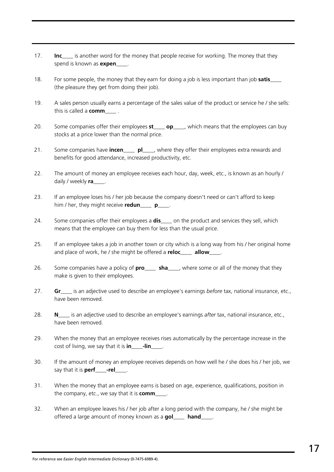- 17. **Inc**\_\_\_\_ is another word for the money that people receive for working. The money that they spend is known as **expen**\_\_\_\_.
- 18. For some people, the money that they earn for doing a job is less important than job **satis**\_\_\_\_ (the pleasure they get from doing their job).
- 19. A sales person usually earns a percentage of the sales value of the product or service he / she sells: this is called a **comm**\_\_\_\_ .
- 20. Some companies offer their employees **st**\_\_\_\_ **op**\_\_\_\_, which means that the employees can buy stocks at a price lower than the normal price.
- 21. Some companies have **incen**\_\_\_\_ **pl**\_\_\_\_, where they offer their employees extra rewards and benefits for good attendance, increased productivity, etc.
- 22. The amount of money an employee receives each hour, day, week, etc., is known as an hourly / daily / weekly **ra**\_\_\_\_.
- 23. If an employee loses his / her job because the company doesn't need or can't afford to keep him / her, they might receive **redun**\_\_\_\_ **p**\_\_\_\_.
- 24. Some companies offer their employees a **dis**\_\_\_\_ on the product and services they sell, which means that the employee can buy them for less than the usual price.
- 25. If an employee takes a job in another town or city which is a long way from his / her original home and place of work, he / she might be offered a **reloc** allow allow
- 26. Some companies have a policy of **pro**\_\_\_\_ **sha**\_\_\_\_, where some or all of the money that they make is given to their employees.
- 27. **Gr**\_\_\_\_ is an adjective used to describe an employee's earnings *before* tax, national insurance, etc., have been removed.
- 28. **N**\_\_\_\_ is an adjective used to describe an employee's earnings *after* tax, national insurance, etc., have been removed.
- 29. When the money that an employee receives rises automatically by the percentage increase in the cost of living, we say that it is **in**\_\_\_\_**-lin**\_\_\_\_.
- 30. If the amount of money an employee receives depends on how well he / she does his / her job, we say that it is **perf** - rel
- 31. When the money that an employee earns is based on age, experience, qualifications, position in the company, etc., we say that it is **comm**\_\_\_\_.
- 32. When an employee leaves his / her job after a long period with the company, he / she might be offered a large amount of money known as a **gol**\_\_\_\_ **hand**\_\_\_\_.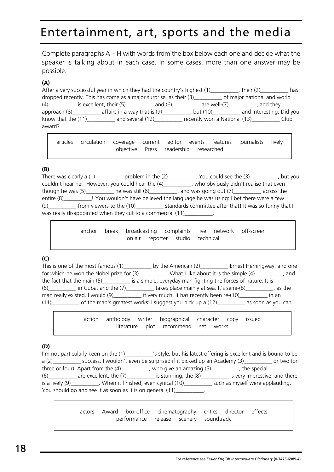### Entertainment, art, sports and the media

Complete paragraphs A – H with words from the box below each one and decide what the speaker is talking about in each case. In some cases, more than one answer may be possible.

#### **(A)**

|        | After a very successful year in which they had the country's highest (1) _________, their (2) __________ has |                                                 |  |
|--------|--------------------------------------------------------------------------------------------------------------|-------------------------------------------------|--|
|        | dropped recently. This has come as a major surprise, as their $(3)$ ________ of major national and world     |                                                 |  |
|        | $(4)$ is excellent, their $(5)$ and $(6)$ are well- $(7)$ and they                                           |                                                 |  |
|        | approach (8) affairs in a way that is (9) but (10) and interesting. Did you                                  |                                                 |  |
| award? | know that the (11) and several (12)                                                                          | recently won a National (13) ______________Club |  |

articles circulation coverage current editor events features journalists lively objective Press readership researched

#### **(B)**

There was clearly a  $(1)$ \_\_\_\_\_\_\_\_\_\_\_\_ problem in the  $(2)$ \_\_\_\_\_\_\_\_\_\_. You could see the  $(3)$ \_\_\_\_\_\_\_\_\_\_, but you couldn't hear her. However, you could hear the (4)\_\_\_\_\_\_\_\_\_\_, who obviously didn't realise that even though he was  $(5)$  he was still  $(6)$  and was going out  $(7)$  across the entire (8) [1] You wouldn't have believed the language he was using: I bet there were a few (9) from viewers to the (10) standards committee after that! It was so funny that I was really disappointed when they cut to a commercial (11)

> anchor break broadcasting complaints live network off-screen on air reporter studio technical

#### **(C)**

This is one of the most famous (1)\_\_\_\_\_\_\_\_\_\_\_ by the American (2)\_\_\_\_\_\_\_\_\_\_\_\_ Ernest Hemingway, and one for which he won the Nobel prize for  $(3)$ \_\_\_\_\_\_\_\_\_. What I like about it is the simple  $(4)$ \_\_\_\_\_\_\_\_\_, and the fact that the main (5)\_\_\_\_\_\_\_\_\_\_\_ is a simple, everyday man fighting the forces of nature. It is  $(6)$  \_\_\_\_\_\_\_\_\_\_\_ in Cuba, and the  $(7)$  \_\_\_\_\_\_\_\_\_\_\_ takes place mainly at sea. It's semi- $(8)$  \_\_\_\_\_\_\_\_\_, as the man really existed. I would (9)\_\_\_\_\_\_\_\_\_\_\_\_ it very much. It has recently been re-(10)\_\_\_\_\_\_\_\_\_\_\_ in an (11)\_\_\_\_\_\_\_\_\_\_ of the man's greatest works: I suggest you pick up a (12)\_\_\_\_\_\_\_\_\_\_ as soon as you can.

action anthology writer biographical character copy issued literature plot recommend set works

#### **(D)**

I'm not particularly keen on the (1) The style, but his latest offering is excellent and is bound to be a (2)\_\_\_\_\_\_\_\_\_\_ success. I wouldn't even be surprised if it picked up an Academy (3)\_\_\_\_\_\_\_\_\_\_ or two (or three or four). Apart from the  $(4)$ \_\_\_\_\_\_\_\_\_\_, who give an amazing  $(5)$ \_\_\_\_\_\_\_\_\_, the special  $(6)$  are excellent, the  $(7)$  is stunning, the  $(8)$  is very impressive, and there is a lively (9)\_\_\_\_\_\_\_\_\_\_\_. When it finished, even cynical (10)\_\_\_\_\_\_\_\_\_\_ such as myself were applauding. You should go and see it as soon as it is on general (11)

> <span id="page-22-0"></span>actors Award box-office cinematography critics director effects performance release scenery soundtrack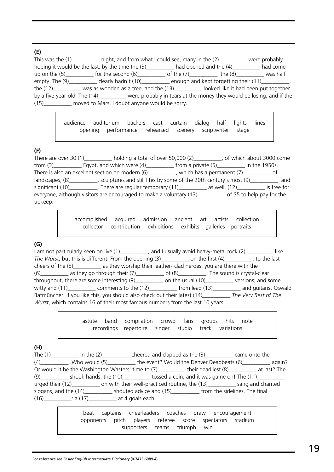#### **(E)**

This was the (1)\_\_\_\_\_\_\_\_\_\_ night, and from what I could see, many in the (2)\_\_\_\_\_\_\_\_\_\_ were probably hoping it would be the last: by the time the  $(3)$  and opened and the  $(4)$  had come up on the (5)\_\_\_\_\_\_\_\_\_\_ for the second (6)\_\_\_\_\_\_\_\_\_\_\_ of the (7)\_\_\_\_\_\_\_\_\_, the (8)\_\_\_\_\_\_\_\_\_\_\_ was half empty. The (9)\_\_\_\_\_\_\_\_\_\_\_ clearly hadn't (10)\_\_\_\_\_\_\_\_\_\_ enough and kept forgetting their (11)\_\_\_\_\_\_\_\_\_ the (12)\_\_\_\_\_\_\_\_\_\_ was as wooden as a tree, and the (13)\_\_\_\_\_\_\_\_\_\_ looked like it had been put together by a five-year-old. The (14) were probably in tears at the money they would be losing, and if the (15)\_\_\_\_\_\_\_\_\_\_ moved to Mars, I doubt anyone would be sorry.

> audience auditorium backers cast curtain dialog half lights lines opening performance rehearsed scenery scriptwriter stage

#### **(F)**

There are over 30 (1)  $\qquad \qquad$  holding a total of over 50,000 (2)  $\qquad \qquad$ , of which about 3000 come from (3)\_\_\_\_\_\_\_\_\_\_ Egypt, and which were (4)\_\_\_\_\_\_\_\_\_\_ from a private (5)\_\_\_\_\_\_\_\_\_\_ in the 1950s. There is also an excellent section on modern  $(6)$  \_\_\_\_\_\_\_\_, which has a permanent  $(7)$  \_\_\_\_\_\_\_\_ of landscapes, (8)\_\_\_\_\_\_\_\_\_\_, sculptures and still lifes by some of the 20th century's most (9)\_\_\_\_\_\_\_\_\_\_\_ and significant  $(10)$  There are regular temporary  $(11)$  as well.  $(12)$  is free for everyone, although visitors are encouraged to make a voluntary (13) of \$5 to help pay for the upkeep.

accomplished acquired admission ancient art artists collection collector contribution exhibitions exhibits galleries portraits

#### **(G)**

I am not particularly keen on live (1)\_\_\_\_\_\_\_\_\_\_, and I usually avoid heavy-metal rock (2)\_\_\_\_\_\_\_\_\_\_\_ like *The Würst*, but this is different. From the opening (3)\_\_\_\_\_\_\_\_\_\_ on the first (4)\_\_\_\_\_\_\_\_\_\_, to the last cheers of the (5)\_\_\_\_\_\_\_\_\_\_ as they worship their leather- clad heroes, you are there with the  $(6)$  as they go through their  $(7)$  of  $(8)$  The sound is crystal-clear throughout, there are some interesting (9)\_\_\_\_\_\_\_\_\_\_\_ on the usual (10)\_\_\_\_\_\_\_\_\_\_\_ versions, and some witty and (11)\_\_\_\_\_\_\_\_\_\_\_ comments to the (12)\_\_\_\_\_\_\_\_\_\_ from lead (13)\_\_\_\_\_\_\_\_\_\_ and guitarist Oswald Batmüncher. If you like this, you should also check out their latest (14)\_\_\_\_\_\_\_\_\_\_ *The Very Best of The Würst*, which contains 16 of their most famous numbers from the last 10 years.

> astute band compilation crowd fans groups hits note recordings repertoire singer studio track variations

#### **(H)**

The (1)\_\_\_\_\_\_\_\_\_\_ in the (2)\_\_\_\_\_\_\_\_\_\_ cheered and clapped as the (3)\_\_\_\_\_\_\_\_\_\_ came onto the (4)\_\_\_\_\_\_\_\_\_\_. Who would (5)\_\_\_\_\_\_\_\_\_\_ the event? Would the Denver Deadbeats (6)\_\_\_\_\_\_\_\_\_\_ again? Or would it be the Washington Wasters' time to (7) Their deadliest (8) at last? The  $(9)$  shook hands, the  $(10)$  tossed a coin, and it was game on! The  $(11)$ urged their (12) on with their well-practiced routine, the (13) sang and chanted slogans, and the (14)\_\_\_\_\_\_\_\_\_\_\_\_ shouted advice and (15)\_\_\_\_\_\_\_\_\_\_\_ from the sidelines. The final  $(16)$   $\qquad \qquad$  : a  $(17)$   $\qquad \qquad$  at 4 goals each.

> beat captains cheerleaders coaches draw encouragement opponents pitch players referee score spectators stadium supporters teams triumph win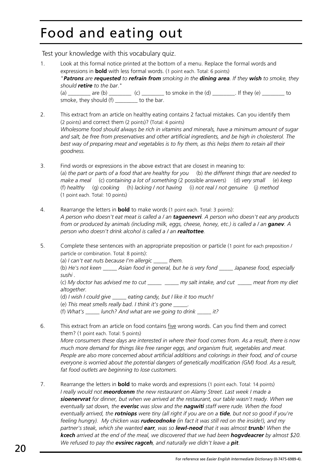# Food and eating out

Test your knowledge with this vocabulary quiz.

- 1. Look at this formal notice printed at the bottom of a menu. Replace the formal words and expressions in **bold** with less formal words. (1 point each. Total: 6 points) "*Patrons are requested to refrain from smoking in the dining area. If they wish to smoke, they should retire to the bar*." (a) \_\_\_\_\_\_\_ are (b) \_\_\_\_\_\_\_ (c) \_\_\_\_\_\_\_ to smoke in the (d) \_\_\_\_\_\_\_\_. If they (e) \_\_\_\_\_\_\_\_ to smoke, they should (f) \_\_\_\_\_\_\_\_ to the bar.
- 2. This extract from an article on healthy eating contains 2 factual mistakes. Can you identify them (2 points) and correct them (2 points)? (Total: 4 points) *Wholesome food should always be rich in vitamins and minerals, have a minimum amount of sugar and salt, be free from preservatives and other artificial ingredients, and be high in cholesterol. The best way of preparing meat and vegetables is to fry them, as this helps them to retain all their goodness.*
- 3. Find words or expressions in the above extract that are closest in meaning to: (a) *the part or parts of a food that are healthy for you* (b) *the different things that are needed to make a meal* (c) *containing a lot of something* (2 possible answers) (d) *very small* (e) *keep* (f) *healthy* (g) *cooking* (h) *lacking* / *not having* (i) *not real* / *not genuine* (j) *method* (1 point each. Total: 10 points)
- 4. Rearrange the letters in **bold** to make words (1 point each. Total: 3 points): *A person who doesn't eat meat is called a / an tagaenevri. A person who doesn't eat any products from or produced by animals (including milk, eggs, cheese, honey, etc.) is called a / an ganev. A person who doesn't drink alcohol is called a / an realtottee.*
- 5. Complete these sentences with an appropriate preposition or particle (1 point for each preposition / particle or combination. Total: 8 points): (a) *I can't eat nuts because I'm allergic \_\_\_\_\_ them.* (b) *He's not keen \_\_\_\_\_ Asian food in general, but he is very fond \_\_\_\_\_ Japanese food, especially sushi .* (c) *My doctor has advised me to cut \_\_\_\_\_ \_\_\_\_\_ my salt intake, and cut \_\_\_\_\_ meat from my diet altogether.* (d) *I wish I could give \_\_\_\_\_ eating candy, but I like it too much!* (e) *This meat smells really bad. I think it's gone \_\_\_\_\_.* 
	- (f) *What's \_\_\_\_\_ lunch? And what are we going to drink \_\_\_\_\_ it?*
- 6. This extract from an article on food contains five wrong words. Can you find them and correct them? (1 point each. Total: 5 points) *More consumers these days are interested in where their food comes from. As a result, there is now much more demand for things like free ranger eggs, and organism fruit, vegetables and meat. People are also more concerned about artificial additions and colorings in their food, and of course everyone is worried about the potential dangers of genetically modification (GM) food. As a result, fat food outlets are beginning to lose customers.*
- <span id="page-24-0"></span>7. Rearrange the letters in **bold** to make words and expressions (1 point each. Total: 14 points) *I really would not meordcenm the new restaurant on Alamy Street. Last week I made a sioenervrat for dinner, but when we arrived at the restaurant, our table wasn't ready. When we eventually sat down, the everisc was slow and the nagwiti staff were rude. When the food eventually arrived, the rotniops were tiny (all right if you are on a tide, but not so good if you're feeling hungry). My chicken was rudecodnoke (in fact it was still red on the inside!), and my partner's steak, which she wanted earr, was so lewl-neod that it was almost trunb! When the kcech arrived at the end of the meal, we discovered that we had been hogvdeacrer by almost \$20. We refused to pay the evsirec ragceh, and naturally we didn't leave a pit*.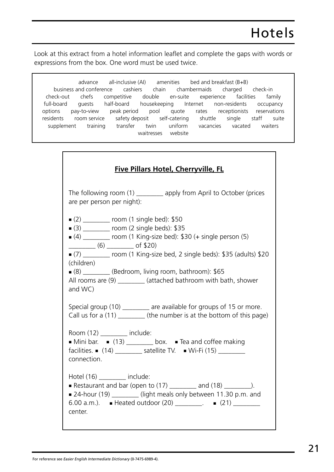Look at this extract from a hotel information leaflet and complete the gaps with words or expressions from the box. One word must be used twice.

advance all-inclusive (AI) amenities bed and breakfast (B+B) business and conference cashiers chain chambermaids charged check-in check-out chefs competitive double en-suite experience facilities family full-board guests half-board housekeeping Internet non-residents occupancy options pay-to-view peak period pool quote rates receptionists reservations residents room service safety deposit self-catering shuttle single staff suite supplement training transfer twin uniform vacancies vacated waiters waitresses website

<span id="page-25-0"></span>

| <b>Five Pillars Hotel, Cherryville, FL</b>                                                                                                                                                                                                                                                                                                                                                  |
|---------------------------------------------------------------------------------------------------------------------------------------------------------------------------------------------------------------------------------------------------------------------------------------------------------------------------------------------------------------------------------------------|
| The following room (1) ________ apply from April to October (prices<br>are per person per night):                                                                                                                                                                                                                                                                                           |
| ■ (2) __________ room (1 single bed): \$50<br>(3) _________ room (2 single beds): \$35<br>$(4)$ _______ room (1 King-size bed): $$30$ (+ single person (5)<br>■ (7) ________ room (1 King-size bed, 2 single beds): \$35 (adults) \$20<br>(children)<br>■ (8) ________ (Bedroom, living room, bathroom): \$65<br>All rooms are (9) ________ (attached bathroom with bath, shower<br>and WC) |
| Special group (10) ________ are available for groups of 15 or more.<br>Call us for a (11) _________ (the number is at the bottom of this page)                                                                                                                                                                                                                                              |
| Room (12) _______ include:<br>■ Mini bar. ■ (13) ________ box. ■ Tea and coffee making<br>facilities. (14) __________ satellite TV. Wi-Fi (15) ________<br>connection.                                                                                                                                                                                                                      |
| Hotel (16) ________ include:<br>Restaurant and bar (open to (17) ________ and (18) _________.<br>■ 24-hour (19) ________ (light meals only between 11.30 p.m. and<br>6.00 a.m.). Heated outdoor (20) ________. $\bullet$ (21) _______<br>center.                                                                                                                                            |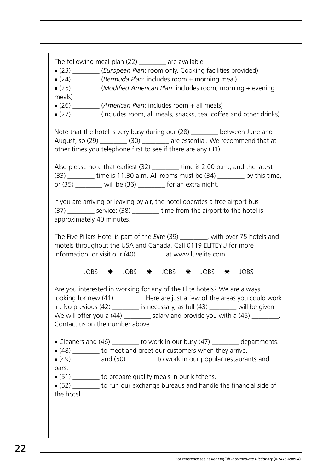| The following meal-plan (22) ________ are available:                                                                                                                                                                             |
|----------------------------------------------------------------------------------------------------------------------------------------------------------------------------------------------------------------------------------|
| ■ (23) _________ ( <i>European Plan</i> : room only. Cooking facilities provided)                                                                                                                                                |
| $(24)$ _________(Bermuda Plan: includes room + morning meal)                                                                                                                                                                     |
| ■ (25) _________ (Modified American Plan: includes room, morning + evening                                                                                                                                                       |
| meals)                                                                                                                                                                                                                           |
| $(26)$ _________ (American Plan: includes room + all meals)                                                                                                                                                                      |
|                                                                                                                                                                                                                                  |
| ■ (27) _________(Includes room, all meals, snacks, tea, coffee and other drinks)                                                                                                                                                 |
| Note that the hotel is very busy during our (28) _______ between June and<br>August, so (29) ________ (30) _______ are essential. We recommend that at<br>other times you telephone first to see if there are any (31) ________. |
| Also please note that earliest (32) ________ time is 2.00 p.m., and the latest                                                                                                                                                   |
|                                                                                                                                                                                                                                  |
| $(33)$ ________ time is 11.30 a.m. All rooms must be $(34)$ _______ by this time,                                                                                                                                                |
| or (35) ________ will be (36) ________ for an extra night.                                                                                                                                                                       |
| If you are arriving or leaving by air, the hotel operates a free airport bus<br>(37) _________ service; (38) ________ time from the airport to the hotel is                                                                      |
| approximately 40 minutes.                                                                                                                                                                                                        |
|                                                                                                                                                                                                                                  |
| The Five Pillars Hotel is part of the <i>Elite</i> (39) ________, with over 75 hotels and<br>motels throughout the USA and Canada. Call 0119 ELITEYU for more<br>information, or visit our (40) _______ at www.luvelite.com.     |
| JOBS<br>JOBS *<br><b>JOBS</b><br>$\bf *$<br>JOBS *<br><b>JOBS</b><br>$\ast$                                                                                                                                                      |
|                                                                                                                                                                                                                                  |
| Are you interested in working for any of the Elite hotels? We are always                                                                                                                                                         |
| looking for new (41) _________. Here are just a few of the areas you could work                                                                                                                                                  |
| in. No previous $(42)$ ________ is necessary, as full $(43)$ _______ will be given.                                                                                                                                              |
| We will offer you a $(44)$ ________ salary and provide you with a $(45)$ ________.                                                                                                                                               |
| Contact us on the number above.                                                                                                                                                                                                  |
|                                                                                                                                                                                                                                  |
| • Cleaners and (46) ________ to work in our busy (47) ________ departments.                                                                                                                                                      |
| ■ (48) ________ to meet and greet our customers when they arrive.                                                                                                                                                                |
| ■ (49) _________ and (50) _________ to work in our popular restaurants and                                                                                                                                                       |
| bars.                                                                                                                                                                                                                            |
| ■ (51) ________ to prepare quality meals in our kitchens.                                                                                                                                                                        |
| ■ (52) _________ to run our exchange bureaus and handle the financial side of                                                                                                                                                    |
| the hotel                                                                                                                                                                                                                        |
|                                                                                                                                                                                                                                  |
|                                                                                                                                                                                                                                  |
|                                                                                                                                                                                                                                  |
|                                                                                                                                                                                                                                  |
|                                                                                                                                                                                                                                  |
|                                                                                                                                                                                                                                  |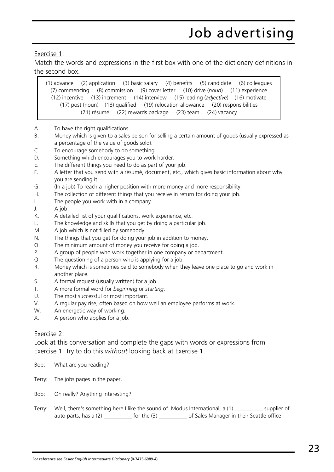# Job advertising

Exercise 1:

Match the words and expressions in the first box with one of the dictionary definitions in the second box.

(1) advance (2) application (3) basic salary (4) benefits (5) candidate (6) colleagues (7) commencing (8) commission (9) cover letter (10) drive (*noun*) (11) experience (12) incentive (13) increment (14) interview (15) leading (*adjective*) (16) motivate (17) post (noun) (18) qualified (19) relocation allowance (20) responsibilities (21) résumé (22) rewards package (23) team (24) vacancy

- A. To have the right qualifications.
- B. Money which is given to a sales person for selling a certain amount of goods (usually expressed as a percentage of the value of goods sold).
- C. To encourage somebody to do something.
- D. Something which encourages you to work harder.
- E. The different things you need to do as part of your job.
- F. A letter that you send with a résumé, document, etc., which gives basic information about why you are sending it.
- G. (In a job) To reach a higher position with more money and more responsibility.
- H. The collection of different things that you receive in return for doing your job.
- I. The people you work with in a company.
- J. A job.
- K. A detailed list of your qualifications, work experience, etc.
- L. The knowledge and skills that you get by doing a particular job.
- M. A job which is not filled by somebody.
- N. The things that you get for doing your job in addition to money.
- O. The minimum amount of money you receive for doing a job.
- P. A group of people who work together in one company or department.
- Q. The questioning of a person who is applying for a job.
- R. Money which is sometimes paid to somebody when they leave one place to go and work in another place.
- S. A formal request (usually written) for a job.
- T. A more formal word for *beginning* or *starting*.
- U. The most successful or most important.
- V. A regular pay rise, often based on how well an employee performs at work.
- W. An energetic way of working.
- X. A person who applies for a job.

#### Exercise 2:

Look at this conversation and complete the gaps with words or expressions from Exercise 1. Try to do this *without* looking back at Exercise 1.

- Bob: What are you reading?
- Terry: The jobs pages in the paper.
- Bob: Oh really? Anything interesting?
- <span id="page-27-0"></span>Terry: Well, there's something here I like the sound of. Modus International, a (1) supplier of auto parts, has a (2) \_\_\_\_\_\_\_\_\_\_\_ for the (3) \_\_\_\_\_\_\_\_\_\_ of Sales Manager in their Seattle office.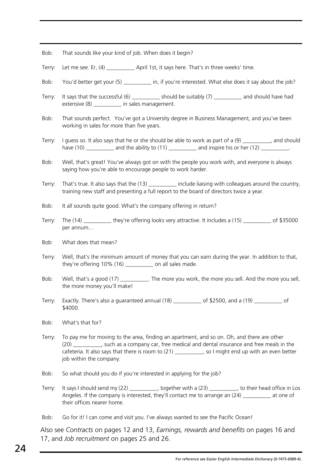Bob: That sounds like your kind of job. When does it begin?

- Terry: Let me see. Er, (4)  $\Delta$  April 1st, it says here. That's in three weeks' time.
- Bob: You'd better get your (5) \_\_\_\_\_\_\_\_\_\_ in, if you're interested. What else does it say about the job?
- Terry: It says that the successful  $(6)$  should be suitably  $(7)$  and should have had extensive (8) \_\_\_\_\_\_\_\_\_\_ in sales management.
- Bob: That sounds perfect. You've got a University degree in Business Management, and you've been working in sales for more than five years.
- Terry: I guess so. It also says that he or she should be able to work as part of a (9) Terry: I guess so. It also says that he or she should have (10) \_\_\_\_\_\_\_\_\_\_\_\_\_ and the ability to (11) \_\_\_\_\_\_\_\_\_\_\_\_\_ and inspire his or her (12) \_\_\_\_\_\_\_
- Bob: Well, that's great! You've always got on with the people you work with, and everyone is always saying how you're able to encourage people to work harder.
- Terry: That's true. It also says that the (13) \_\_\_\_\_\_\_\_\_\_ include liaising with colleagues around the country, training new staff and presenting a full report to the board of directors twice a year.
- Bob: It all sounds quite good. What's the company offering in return?
- Terry: The (14) \_\_\_\_\_\_\_\_\_\_ they're offering looks very attractive. It includes a (15) \_\_\_\_\_\_\_\_\_\_ of \$35000 per annum…
- Bob: What does that mean?
- Terry: Well, that's the minimum amount of money that you can earn during the year. In addition to that, they're offering 10% (16) on all sales made.
- Bob: Well, that's a good (17) \_\_\_\_\_\_\_\_\_\_. The more you work, the more you sell. And the more you sell, the more money you'll make!
- Terry: Exactly. There's also a guaranteed annual (18) \_\_\_\_\_\_\_\_\_\_ of \$2500, and a (19) \_\_\_\_\_\_\_\_\_\_ of \$4000.
- Bob: What's that for?
- Terry: To pay me for moving to the area, finding an apartment, and so on. Oh, and there are other (20) \_\_\_\_\_\_\_\_\_\_, such as a company car, free medical and dental insurance and free meals in the cafeteria. It also says that there is room to (21) \_\_\_\_\_\_\_\_\_\_, so I might end up with an even better job within the company.
- Bob: So what should you do if you're interested in applying for the job?
- Terry: It says I should send my (22) \_\_\_\_\_\_\_\_\_, together with a (23) \_\_\_\_\_\_\_\_, to their head office in Los Angeles. If the company is interested, they'll contact me to arrange an (24) \_\_\_\_\_\_\_\_\_ at one of their offices nearer home.
- Bob: Go for it! I can come and visit you. I've always wanted to see the Pacific Ocean!

Also see *Contracts* on pages 12 and 13, *Earnings, rewards and benefits* on pages 16 and 17, and *Job recruitment* on pages 25 and 26.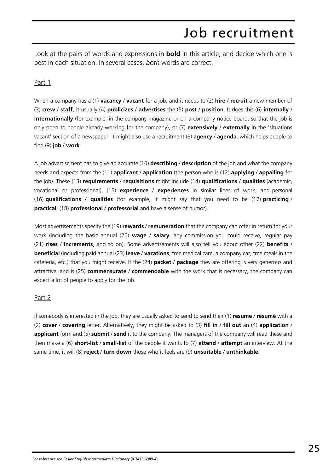# Job recruitment

Look at the pairs of words and expressions in **bold** in this article, and decide which one is best in each situation. In several cases, *both* words are correct.

#### Part 1

When a company has a (1) **vacancy** / **vacant** for a job, and it needs to (2) **hire** / **recruit** a new member of (3) **crew** / **staff**, it usually (4) **publicizes** / **advertises** the (5) **post** / **position**. It does this (6) **internally** / **internationally** (for example, in the company magazine or on a company notice board, so that the job is only open to people already working for the company), or (7) **extensively** / **externally** in the 'situations vacant' section of a newspaper. It might also use a recruitment (8) **agency** / **agenda**, which helps people to find (9) **job** / **work**.

A job advertisement has to give an accurate (10) **describing** / **description** of the job and what the company needs and expects from the (11) **applicant** / **application** (the person who is (12) **applying** / **appalling** for the job). These (13) **requirements** / **requisitions** might include (14) **qualifications** / **qualities** (academic, vocational or professional), (15) **experience** / **experiences** in similar lines of work, and personal (16) **qualifications** / **qualities** (for example, it might say that you need to be (17) **practicing** / **practical**, (18) **professional** / **professorial** and have a sense of humor).

Most advertisements specify the (19) **rewards** / **remuneration** that the company can offer in return for your work (including the basic annual (20) **wage** / **salary**, any commission you could receive, regular pay (21) **rises** / **increments**, and so on). Some advertisements will also tell you about other (22) **benefits** / **beneficial** (including paid annual (23) **leave** / **vacations**, free medical care, a company car, free meals in the cafeteria, etc.) that you might receive. If the (24) **packet** / **package** they are offering is very generous and attractive, and is (25) **commensurate** / **commendable** with the work that is necessary, the company can expect a lot of people to apply for the job.

#### Part 2

<span id="page-29-0"></span>If somebody is interested in the job, they are usually asked to send to send their (1) **resume** / **résumé** with a (2) **cover** / **covering** letter. Alternatively, they might be asked to (3) **fill in** / **fill out** an (4) **application** / **applicant** form and (5) **submit** / **send** it to the company. The managers of the company will read these and then make a (6) **short-list** / **small-list** of the people it wants to (7) **attend** / **attempt** an interview. At the same time, it will (8) **reject** / **turn down** those who it feels are (9) **unsuitable** / **unthinkable**.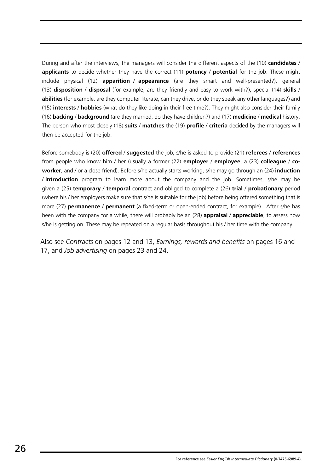During and after the interviews, the managers will consider the different aspects of the (10) **candidates** / **applicants** to decide whether they have the correct (11) **potency** / **potential** for the job. These might include physical (12) **apparition** / **appearance** (are they smart and well-presented?), general (13) **disposition** / **disposal** (for example, are they friendly and easy to work with?), special (14) **skills** / **abilities** (for example, are they computer literate, can they drive, or do they speak any other languages?) and (15) **interests** / **hobbies** (what do they like doing in their free time?). They might also consider their family (16) **backing** / **background** (are they married, do they have children?) and (17) **medicine** / **medical** history. The person who most closely (18) **suits** / **matches** the (19) **profile** / **criteria** decided by the managers will then be accepted for the job.

Before somebody is (20) **offered** / **suggested** the job, s/he is asked to provide (21) **referees** / **references** from people who know him / her (usually a former (22) **employer** / **employee**, a (23) **colleague** / **coworker**, and / or a close friend). Before s/he actually starts working, s/he may go through an (24) **induction** / **introduction** program to learn more about the company and the job. Sometimes, s/he may be given a (25) **temporary** / **temporal** contract and obliged to complete a (26) **trial** / **probationary** period (where his / her employers make sure that s/he is suitable for the job) before being offered something that is more (27) **permanence** / **permanent** (a fixed-term or open-ended contract, for example). After s/he has been with the company for a while, there will probably be an (28) **appraisal** / **appreciable**, to assess how s/he is getting on. These may be repeated on a regular basis throughout his / her time with the company.

Also see *Contracts* on pages 12 and 13, *Earnings, rewards and benefits* on pages 16 and 17, and *Job advertising* on pages 23 and 24.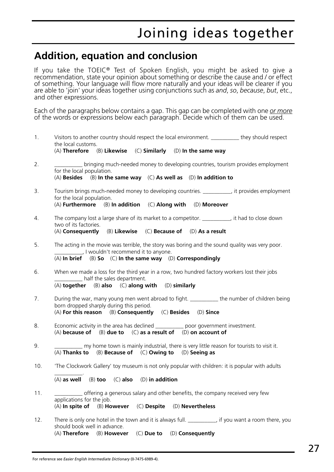# Joining ideas together

#### **Addition, equation and conclusion**

If you take the TOEIC® Test of Spoken English, you might be asked to give a recommendation, state your opinion about something or describe the cause and / or effect of something. Your language will flow more naturally and your ideas will be clearer if you are able to 'join' your ideas together using conjunctions such as *and*, *so*, *because*, *but*, etc., and other expressions.

Each of the paragraphs below contains a gap. This gap can be completed with one *or more* of the words or expressions below each paragraph. Decide which of them can be used.

<span id="page-31-0"></span>

| 1.  | Visitors to another country should respect the local environment. ___________ they should respect<br>the local customs.<br>$(A)$ Therefore $(B)$ Likewise $(C)$ Similarly $(D)$ In the same way                         |  |
|-----|-------------------------------------------------------------------------------------------------------------------------------------------------------------------------------------------------------------------------|--|
| 2.  | bringing much-needed money to developing countries, tourism provides employment<br>for the local population.<br>$(A)$ Besides $(B)$ In the same way $(C)$ As well as $(D)$ In addition to                               |  |
| 3.  | Tourism brings much-needed money to developing countries. _________, it provides employment<br>for the local population.<br>$(A)$ Furthermore $(B)$ In addition $(C)$ Along with $(D)$ Moreover                         |  |
| 4.  | The company lost a large share of its market to a competitor. __________, it had to close down<br>two of its factories.<br>$(A)$ Consequently $(B)$ Likewise $(C)$ Because of $(D)$ As a result                         |  |
| 5.  | The acting in the movie was terrible, the story was boring and the sound quality was very poor.<br>_________, I wouldn't recommend it to anyone.<br>$(A)$ In brief $(B)$ So $(C)$ In the same way $(D)$ Correspondingly |  |
| 6.  | When we made a loss for the third year in a row, two hundred factory workers lost their jobs<br>half the sales department.<br>$(A)$ together $(B)$ also $(C)$ along with $(D)$ similarly                                |  |
| 7.  | During the war, many young men went abroad to fight. _________ the number of children being<br>born dropped sharply during this period.<br>$(A)$ For this reason $(B)$ Consequently $(C)$ Besides $(D)$ Since           |  |
| 8.  | Economic activity in the area has declined ____________ poor government investment.<br>(A) because of $(B)$ due to $(C)$ as a result of $(D)$ on account of                                                             |  |
| 9.  | _ my home town is mainly industrial, there is very little reason for tourists to visit it.<br>$(A)$ Thanks to $(B)$ Because of $(C)$ Owing to $(D)$ Seeing as                                                           |  |
| 10. | 'The Clockwork Gallery' toy museum is not only popular with children: it is popular with adults                                                                                                                         |  |
|     | $(A)$ as well $(B)$ too $(C)$ also $(D)$ in addition                                                                                                                                                                    |  |
| 11. | offering a generous salary and other benefits, the company received very few<br>applications for the job.<br>$(A)$ In spite of<br>(B) However<br>$(C)$ Despite<br>(D) Nevertheless                                      |  |
| 12. | There is only one hotel in the town and it is always full. ___________, if you want a room there, you<br>should book well in advance.<br>$(C)$ Due to<br>(A) Therefore<br>(D) Consequently<br>(B) However               |  |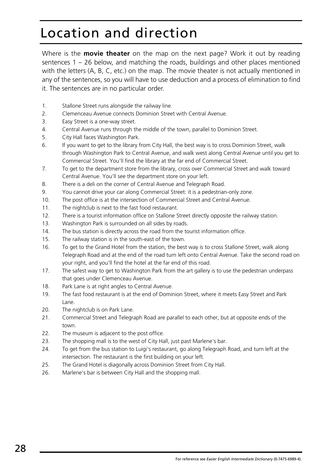# Location and direction

Where is the **movie theater** on the map on the next page? Work it out by reading sentences 1 – 26 below, and matching the roads, buildings and other places mentioned with the letters (A, B, C, etc.) on the map. The movie theater is not actually mentioned in any of the sentences, so you will have to use deduction and a process of elimination to find it. The sentences are in no particular order.

- 1. Stallone Street runs alongside the railway line.
- 2. Clemenceau Avenue connects Dominion Street with Central Avenue.
- 3. Easy Street is a one-way street.
- 4. Central Avenue runs through the middle of the town, parallel to Dominion Street.
- 5. City Hall faces Washington Park.
- 6. If you want to get to the library from City Hall, the best way is to cross Dominion Street, walk through Washington Park to Central Avenue, and walk west along Central Avenue until you get to Commercial Street. You'll find the library at the far end of Commercial Street.
- 7. To get to the department store from the library, cross over Commercial Street and walk toward Central Avenue. You'll see the department store on your left.
- 8. There is a deli on the corner of Central Avenue and Telegraph Road.
- 9. You cannot drive your car along Commercial Street: it is a pedestrian-only zone.
- 10. The post office is at the intersection of Commercial Street and Central Avenue.
- 11. The nightclub is next to the fast food restaurant.
- 12. There is a tourist information office on Stallone Street directly opposite the railway station.
- 13. Washington Park is surrounded on all sides by roads.
- 14. The bus station is directly across the road from the tourist information office.
- 15. The railway station is in the south-east of the town.
- 16. To get to the Grand Hotel from the station, the best way is to cross Stallone Street, walk along Telegraph Road and at the end of the road turn left onto Central Avenue. Take the second road on your right, and you'll find the hotel at the far end of this road.
- 17. The safest way to get to Washington Park from the art gallery is to use the pedestrian underpass that goes under Clemenceau Avenue.
- 18. Park Lane is at right angles to Central Avenue.
- 19. The fast food restaurant is at the end of Dominion Street, where it meets Easy Street and Park Lane.
- 20. The nightclub is on Park Lane.
- 21. Commercial Street and Telegraph Road are parallel to each other, but at opposite ends of the town.
- 22. The museum is adjacent to the post office.
- 23. The shopping mall is to the west of City Hall, just past Marlene's bar.
- 24. To get from the bus station to Luigi's restaurant, go along Telegraph Road, and turn left at the intersection. The restaurant is the first building on your left.
- 25. The Grand Hotel is diagonally across Dominion Street from City Hall.
- <span id="page-32-0"></span>26. Marlene's bar is between City Hall and the shopping mall.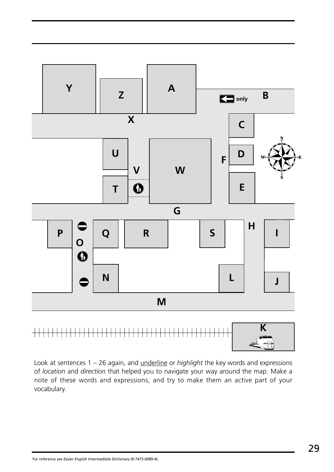

#### ┽┽┽┽┽┽┽┽┽┽┽┽┽┽ ┿┿┿



Look at sentences 1 – 26 again, and underline or *highlight* the key words and expressions of *location* and *direction* that helped you to navigate your way around the map. Make a note of these words and expressions, and try to make them an active part of your vocabulary.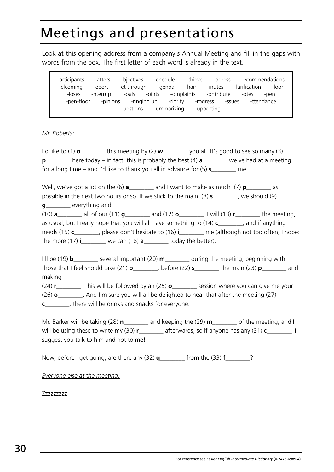### Meetings and presentations

Look at this opening address from a company's Annual Meeting and fill in the gaps with words from the box. The first letter of each word is already in the text.

-articipants -atters -bjectives -chedule -chieve -ddress -ecommendations -elcoming -eport -et through -genda -hair -inutes -larification -loor -loses -nterrupt -oals -oints -omplaints -ontribute -otes -pen -pen-floor -pinions -ringing up -riority -rogress -ssues -ttendance -uestions -ummarizing -upporting

#### *Mr. Roberts:*

I'd like to (1) **o**\_\_\_\_\_\_\_\_ this meeting by (2) **w**\_\_\_\_\_\_\_\_ you all. It's good to see so many (3) **p\_\_\_\_\_\_** here today – in fact, this is probably the best (4) **a**\_\_\_\_\_\_\_ we've had at a meeting for a long time – and I'd like to thank you all in advance for (5) **s**\_\_\_\_\_\_\_\_ me.

Well, we've got a lot on the (6) **a** and I want to make as much (7) **p** as possible in the next two hours or so. If we stick to the main (8) **s**\_\_\_\_\_\_\_\_, we should (9) **g**\_\_\_\_\_\_\_\_ everything and (10) **a** all of our (11) **g** and (12) **o**  $\blacksquare$ . I will (13) **c** the meeting, as usual, but I really hope that you will all have something to (14) **c**\_\_\_\_\_\_\_\_, and if anything needs (15) **c**\_\_\_\_\_\_\_\_, please don't hesitate to (16) **i**\_\_\_\_\_\_\_\_ me (although not too often, I hope: the more (17) **i**\_\_\_\_\_\_\_\_ we can (18) **a**\_\_\_\_\_\_\_\_ today the better).

I'll be (19) **b**\_\_\_\_\_\_\_\_ several important (20) **m**\_\_\_\_\_\_\_\_ during the meeting, beginning with those that I feel should take (21) **p**\_\_\_\_\_\_\_\_, before (22) **s**\_\_\_\_\_\_\_\_ the main (23) **p**\_\_\_\_\_\_\_\_ and making (24) **r**\_\_\_\_\_\_\_\_. This will be followed by an (25) **o**\_\_\_\_\_\_\_\_ session where you can give me your

(26) **o**\_\_\_\_\_\_\_\_. And I'm sure you will all be delighted to hear that after the meeting (27) **c**\_\_\_\_\_\_\_\_, there will be drinks and snacks for everyone.

Mr. Barker will be taking (28) **n**\_\_\_\_\_\_\_\_ and keeping the (29) **m**\_\_\_\_\_\_\_\_ of the meeting, and I will be using these to write my (30) **r**\_\_\_\_\_\_\_ afterwards, so if anyone has any (31) **c**\_\_\_\_\_\_\_, I suggest you talk to him and not to me!

Now, before I get going, are there any (32) **q**\_\_\_\_\_\_\_\_ from the (33) **f**\_\_\_\_\_\_\_\_?

*Everyone else at the meeting:*

<span id="page-34-0"></span>Zzzzzzzzz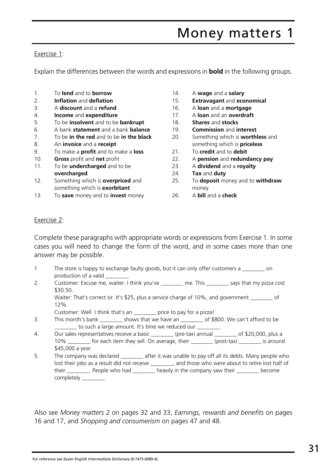## Money matters 1

#### Exercise 1:

Explain the differences between the words and expressions in **bold** in the following groups.

- 1. To **lend** and to **borrow**
- 2. **Inflation** and **deflation**
- 3. A **discount** and a **refund**
- 4. **Income** and **expenditure**
- 5. To be **insolvent** and to be **bankrupt**
- 6. A bank **statement** and a bank **balance**
- 7. To be **in the red** and to be **in the black**
- 8. An **invoice** and a **receipt**
- 9. To make a **profit** and to make a **loss**
- 10. **Gross** profit and **net** profit
- 11. To be **undercharged** and to be **overcharged**
- 12. Something which is **overpriced** and something which is **exorbitant**
- 13. To **save** money and to **invest** money
- 14. A **wage** and a **salary**
- 15. **Extravagant** and **economical**
- 16. A **loan** and a **mortgage**
- 17. A **loan** and an **overdraft**
- 18. **Shares** and **stocks**
- 19. **Commission** and **interest**
- 20. Something which is **worthless** and something which is **priceless**
- 21. To **credit** and to **debit**
- 22. A **pension** and **redundancy pay**
- 23. A **dividend** and a **royalty**
- 24. **Tax** and **duty**
- 25. To **deposit** money and to **withdraw** money
- 26. A **bill** and a **check**

#### Exercise 2:

Complete these paragraphs with appropriate words or expressions from Exercise 1. In some cases you will need to change the form of the word, and in some cases more than one answer may be possible.

- 1. The store is happy to exchange faulty goods, but it can only offer customers a \_\_\_\_\_\_\_\_ on production of a valid
- 2. Customer: Excuse me, waiter. I think you've a me. This says that my pizza cost \$30.50.

Waiter: That's correct sir. It's \$25, plus a service charge of 10%, and government of 12%.

Customer: Well I think that's an \_\_\_\_\_\_\_\_ price to pay for a pizza!

- 3. This month's bank \_\_\_\_\_\_\_\_ shows that we have an \_\_\_\_\_\_\_ of \$800. We can't afford to be \_\_\_\_\_\_\_\_ to such a large amount. It's time we reduced our \_\_\_\_\_\_\_\_.
- 4. Our sales representatives receive a basic \_\_\_\_\_\_\_\_ (pre-tax) annual \_\_\_\_\_\_\_ of \$20,000, plus a 10% for each item they sell. On average, their (post-tax) is around \$45,000 a year.
- 5. The company was declared \_\_\_\_\_\_\_\_ after it was unable to pay off all its debts. Many people who lost their jobs as a result did not receive \_\_\_\_\_\_\_, and those who were about to retire lost half of their \_\_\_\_\_\_\_\_. People who had \_\_\_\_\_\_\_\_ heavily in the company saw their \_\_\_\_\_\_\_\_ become completely \_\_\_\_\_\_\_\_.

<span id="page-35-0"></span>Also see *Money matters 2* on pages 32 and 33, *Earnings, rewards and benefits* on pages 16 and 17, and *Shopping and consumerism* on pages 47 and 48.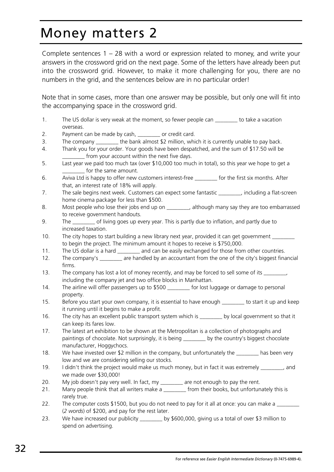## Money matters 2

Complete sentences 1 – 28 with a word or expression related to money, and write your answers in the crossword grid on the next page. Some of the letters have already been put into the crossword grid. However, to make it more challenging for you, there are no numbers in the grid, and the sentences below are in no particular order!

Note that in some cases, more than one answer may be possible, but only one will fit into the accompanying space in the crossword grid.

- 1. The US dollar is very weak at the moment, so fewer people can \_\_\_\_\_\_\_\_ to take a vacation overseas.
- 2. Payment can be made by cash, once or credit card.
- 3. The company \_\_\_\_\_\_\_\_\_ the bank almost \$2 million, which it is currently unable to pay back.
- 4. Thank you for your order. Your goods have been despatched, and the sum of \$17.50 will be \_\_\_\_\_\_\_\_ from your account within the next five days.
- 5. Last year we paid too much tax (over \$10,000 too much in total), so this year we hope to get a for the same amount.
- 6. Aviva Ltd is happy to offer new customers interest-free \_\_\_\_\_\_\_\_ for the first six months. After that, an interest rate of 18% will apply.
- 7. The sale begins next week. Customers can expect some fantastic \_\_\_\_\_\_\_\_, including a flat-screen home cinema package for less than \$500.
- 8. Most people who lose their jobs end up on end although many say they are too embarrassed to receive government handouts.
- 9. The \_\_\_\_\_\_\_\_ of living goes up every year. This is partly due to inflation, and partly due to increased taxation.
- 10. The city hopes to start building a new library next year, provided it can get government \_ to begin the project. The minimum amount it hopes to receive is \$750,000.
- 11. The US dollar is a hard \_\_\_\_\_\_\_ and can be easily exchanged for those from other countries.
- 12. The company's \_\_\_\_\_\_\_\_ are handled by an accountant from the one of the city's biggest financial firms.
- 13. The company has lost a lot of money recently, and may be forced to sell some of its \_\_\_\_\_\_\_, including the company jet and two office blocks in Manhattan.
- 14. The airline will offer passengers up to \$500 \_\_\_\_\_\_\_\_ for lost luggage or damage to personal property.
- 15. Before you start your own company, it is essential to have enough \_\_\_\_\_\_\_\_ to start it up and keep it running until it begins to make a profit.
- 16. The city has an excellent public transport system which is \_\_\_\_\_\_\_\_ by local government so that it can keep its fares low.
- 17. The latest art exhibition to be shown at the Metropolitan is a collection of photographs and paintings of chocolate. Not surprisingly, it is being \_\_\_\_\_\_\_ by the country's biggest chocolate manufacturer, Hoggychocs.
- 18. We have invested over \$2 million in the company, but unfortunately the \_\_\_\_\_\_\_\_ has been very low and we are considering selling our stocks.
- 19. I didn't think the project would make us much money, but in fact it was extremely \_\_\_\_\_\_\_, and we made over \$30,000!
- 20. My job doesn't pay very well. In fact, my \_\_\_\_\_\_\_ are not enough to pay the rent.
- 21. Many people think that all writers make a \_\_\_\_\_\_\_ from their books, but unfortunately this is rarely true.
- 22. The computer costs \$1500, but you do not need to pay for it all at once: you can make a \_\_\_\_\_\_\_ (*2 words*) of \$200, and pay for the rest later.
- 23. We have increased our publicity by \$600,000, giving us a total of over \$3 million to spend on advertising.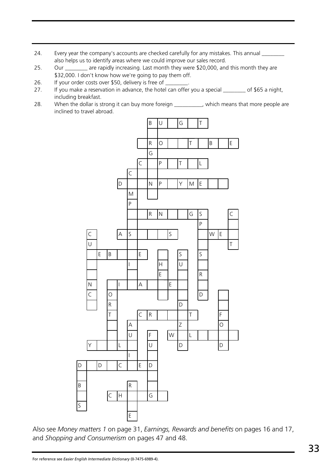- 24. Every year the company's accounts are checked carefully for any mistakes. This annual \_\_\_\_\_\_\_\_ also helps us to identify areas where we could improve our sales record.
- 25. Our \_\_\_\_\_\_\_\_ are rapidly increasing. Last month they were \$20,000, and this month they are \$32,000. I don't know how we're going to pay them off.
- 26. If your order costs over \$50, delivery is free of \_\_\_\_\_\_\_.
- 27. If you make a reservation in advance, the hotel can offer you a special \_\_\_\_\_\_\_ of \$65 a night, including breakfast.
- 28. When the dollar is strong it can buy more foreign \_\_\_\_\_\_\_\_, which means that more people are inclined to travel abroad.



Also see *Money matters 1* on page 31, *Earnings, Rewards and benefits* on pages 16 and 17, and *Shopping and Consumerism* on pages 47 and 48.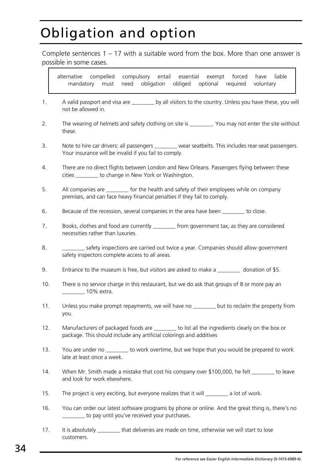# Obligation and option

Complete sentences  $1 - 17$  with a suitable word from the box. More than one answer is possible in some cases.

alternative compelled compulsory entail essential exempt forced have liable mandatory must need obligation obliged optional required voluntary

- 1. A valid passport and visa are  $\qquad \qquad$  by all visitors to the country. Unless you have these, you will not be allowed in.
- 2. The wearing of helmets and safety clothing on site is The You may not enter the site without these.
- 3. Note to hire car drivers: all passengers \_\_\_\_\_\_\_\_ wear seatbelts. This includes rear-seat passengers. Your insurance will be invalid if you fail to comply.
- 4. There are no direct flights between London and New Orleans. Passengers flying between these cities \_\_\_\_\_\_\_\_ to change in New York or Washington.
- 5. All companies are **Lack and State and Safety of their employees while on company** premises, and can face heavy financial penalties if they fail to comply.
- 6. Because of the recession, several companies in the area have been to close.
- 7. Books, clothes and food are currently \_\_\_\_\_\_\_\_ from government tax, as they are considered necessities rather than luxuries.
- 8. **Example 2. Example 2. A** safety inspections are carried out twice a year. Companies should allow government safety inspectors complete access to all areas.
- 9. Entrance to the museum is free, but visitors are asked to make a \_\_\_\_\_\_\_\_ donation of \$5.
- 10. There is no service charge in this restaurant, but we do ask that groups of 8 or more pay an \_\_\_\_\_\_\_\_ 10% extra.
- 11. Unless you make prompt repayments, we will have no \_\_\_\_\_\_\_ but to reclaim the property from you.
- 12. Manufacturers of packaged foods are \_\_\_\_\_\_\_ to list all the ingredients clearly on the box or package. This should include any artificial colorings and additives
- 13. You are under no \_\_\_\_\_\_\_\_ to work overtime, but we hope that you would be prepared to work late at least once a week.
- 14. When Mr. Smith made a mistake that cost his company over \$100,000, he felt to leave and look for work elsewhere.
- 15. The project is very exciting, but everyone realizes that it will set allot of work.
- 16. You can order our latest software programs by phone or online. And the great thing is, there's no to pay until you've received your purchases.
- 17. It is absolutely \_\_\_\_\_\_\_\_ that deliveries are made on time, otherwise we will start to lose customers.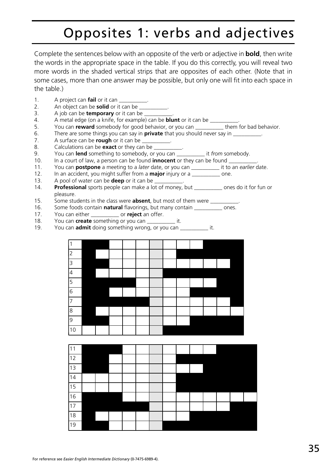# Opposites 1: verbs and adjectives

Complete the sentences below with an opposite of the verb or adjective in **bold**, then write the words in the appropriate space in the table. If you do this correctly, you will reveal two more words in the shaded vertical strips that are opposites of each other. (Note that in some cases, more than one answer may be possible, but only one will fit into each space in the table.)

- 1. A project can **fail** or it can
- 2. An object can be **solid** or it can be
- 3. A job can be **temporary** or it can be
- 
- 4. A metal edge (on a knife, for example) can be **blunt** or it can be \_\_\_\_\_\_\_\_\_\_\_<br>5. You can **reward** somebody for good behavior, or you can You can **reward** somebody for good behavior, or you can \_\_\_\_\_\_\_\_\_\_ them for bad behavior.
- 6. There are some things you can say in **private** that you should never say in \_\_\_\_\_\_\_\_\_\_.
- 7. A surface can be **rough** or it can be
- 8. Calculations can be **exact** or they can be
- 9. You can **lend** something to somebody, or you can \_\_\_\_\_\_\_\_\_\_ it *from* somebody.
- 10. In a court of law, a person can be found **innocent** or they can be found \_\_\_\_\_\_\_\_\_\_.
- 11. You can **postpone** a meeting to a *later* date, or you can \_\_\_\_\_\_\_\_\_\_ it to an *earlier* date.
- 12. In an accident, you might suffer from a **major** injury or a \_\_\_\_\_\_\_\_\_\_ one.
- 13. A pool of water can be **deep** or it can be
- 14. **Professional** sports people can make a lot of money, but \_\_\_\_\_\_\_\_\_\_ ones do it for fun or pleasure.
- 15. Some students in the class were **absent**, but most of them were
- 16. Some foods contain **natural** flavorings, but many contain \_\_\_\_\_\_\_\_\_\_ ones.
- 17. You can either \_\_\_\_\_\_\_\_\_\_ or **reject** an offer.
- 18. You can **create** something or you can \_\_\_\_\_\_\_\_\_\_ it.
- 19. You can **admit** doing something wrong, or you can \_\_\_\_\_\_\_\_\_\_ it.

| $\overline{2}$ |  |  |  |  |  |  |
|----------------|--|--|--|--|--|--|
| 3              |  |  |  |  |  |  |
| $\overline{4}$ |  |  |  |  |  |  |
| 5              |  |  |  |  |  |  |
| 6              |  |  |  |  |  |  |
| ⇁              |  |  |  |  |  |  |
| $\overline{8}$ |  |  |  |  |  |  |
| 9              |  |  |  |  |  |  |
| 10             |  |  |  |  |  |  |

| 11 |  |  |  |  |  |  |  |
|----|--|--|--|--|--|--|--|
| 12 |  |  |  |  |  |  |  |
| 13 |  |  |  |  |  |  |  |
| 14 |  |  |  |  |  |  |  |
| 15 |  |  |  |  |  |  |  |
| 16 |  |  |  |  |  |  |  |
| 17 |  |  |  |  |  |  |  |
| 18 |  |  |  |  |  |  |  |
| 19 |  |  |  |  |  |  |  |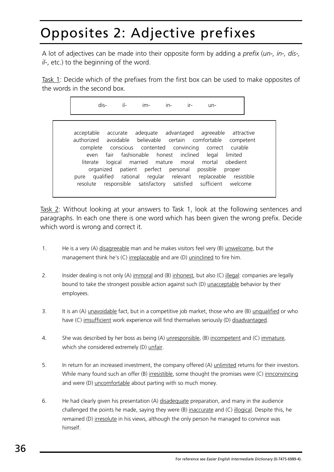# Opposites 2: Adjective prefixes

A lot of adjectives can be made into their opposite form by adding a *prefix* (*un-, in-, dis-, il-*, etc.) to the beginning of the word.

Task 1: Decide which of the prefixes from the first box can be used to make opposites of the words in the second box.

dis- il- im- in- ir- un-

acceptable accurate adequate advantaged agreeable attractive authorized avoidable believable certain comfortable competent complete conscious contented convincing correct curable even fair fashionable honest inclined legal limited literate logical married mature moral mortal obedient organized patient perfect personal possible proper pure qualified rational regular relevant replaceable resistible resolute responsible satisfactory satisfied sufficient welcome

Task 2: Without looking at your answers to Task 1, look at the following sentences and paragraphs. In each one there is one word which has been given the wrong prefix. Decide which word is wrong and correct it.

- 1. He is a very (A) disagreeable man and he makes visitors feel very (B) unwelcome, but the management think he's (C) irreplaceable and are (D) uninclined to fire him.
- 2. Insider dealing is not only  $(A)$  immoral and  $(B)$  inhonest, but also  $(C)$  illegal: companies are legally bound to take the strongest possible action against such (D) unacceptable behavior by their employees.
- 3. It is an (A) unavoidable fact, but in a competitive job market, those who are (B) unqualified or who have (C) imsufficient work experience will find themselves seriously (D) disadvantaged.
- 4. She was described by her boss as being (A) unresponsible, (B) incompetent and (C) immature, which she considered extremely (D) unfair.
- 5. In return for an increased investment, the company offered (A) unlimited returns for their investors. While many found such an offer (B) irresistible, some thought the promises were (C) innconvincing and were (D) uncomfortable about parting with so much money.
- 6. He had clearly given his presentation (A) disadequate preparation, and many in the audience challenged the points he made, saying they were  $(B)$  inaccurate and  $(C)$  illogical. Despite this, he remained (D) irresolute in his views, although the only person he managed to convince was himself.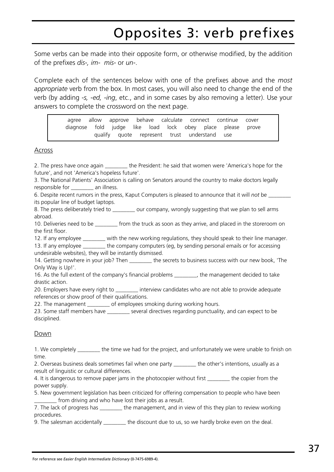# Opposites 3: verb prefixes

Some verbs can be made into their opposite form, or otherwise modified, by the addition of the prefixes *dis-, im- mis-* or *un-*.

Complete each of the sentences below with one of the prefixes above and the *most appropriate* verb from the box. In most cases, you will also need to change the end of the verb (by adding *-s, -ed, -ing*, etc., and in some cases by also removing a letter). Use your answers to complete the crossword on the next page.

agree allow approve behave calculate connect continue cover diagnose fold judge like load lock obey place please prove qualify quote represent trust understand use

Across

2. The press have once again \_\_\_\_\_\_\_\_\_ the President: he said that women were 'America's hope for the future', and not 'America's hopeless future'.

3. The National Patients' Association is calling on Senators around the country to make doctors legally responsible for an illness.

6. Despite recent rumors in the press, Kaput Computers is pleased to announce that it will *not* be \_\_\_\_\_\_\_\_ its popular line of budget laptops.

8. The press deliberately tried to \_\_\_\_\_\_\_\_ our company, wrongly suggesting that we plan to sell arms abroad.

10. Deliveries need to be **the statube from the truck as soon as they arrive, and placed in the storeroom on** the first floor.

12. If any employee \_\_\_\_\_\_\_\_ with the new working regulations, they should speak to their line manager.

13. If any employee \_\_\_\_\_\_\_\_ the company computers (eg, by sending personal emails or for accessing undesirable websites), they will be instantly dismissed.

14. Getting nowhere in your job? Then \_\_\_\_\_\_\_\_ the secrets to business success with our new book, 'The Only Way is Up!'.

16. As the full extent of the company's financial problems \_\_\_\_\_\_\_\_, the management decided to take drastic action.

20. Employers have every right to **which interview candidates who are not able to provide adequate** references or show proof of their qualifications.

22. The management \_\_\_\_\_\_\_\_\_ of employees smoking during working hours.

23. Some staff members have expert several directives regarding punctuality, and can expect to be disciplined.

## Down

1. We completely \_\_\_\_\_\_\_\_ the time we had for the project, and unfortunately we were unable to finish on time.

2. Overseas business deals sometimes fail when one party \_\_\_\_\_\_\_\_\_ the other's intentions, usually as a result of linguistic or cultural differences.

4. It is dangerous to remove paper jams in the photocopier without first \_\_\_\_\_\_\_\_ the copier from the power supply.

5. New government legislation has been criticized for offering compensation to people who have been \_\_\_\_\_\_\_\_ from driving and who have lost their jobs as a result.

7. The lack of progress has \_\_\_\_\_\_\_\_\_ the management, and in view of this they plan to review working procedures.

9. The salesman accidentally \_\_\_\_\_\_\_\_ the discount due to us, so we hardly broke even on the deal.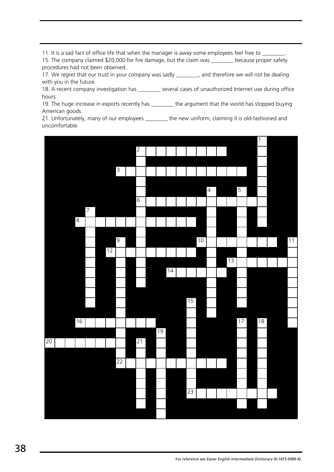11. It is a sad fact of office life that when the manager is away some employees feel free to \_\_\_\_\_\_\_\_.

15. The company claimed \$20,000 for fire damage, but the claim was \_\_\_\_\_\_\_\_ because proper safety procedures had not been observed.

17. We regret that our trust in your company was sadly \_\_\_\_\_\_\_, and therefore we will not be dealing with you in the future.

18. A recent company investigation has \_\_\_\_\_\_\_\_ several cases of unauthorized Internet use during office hours.

19. The huge increase in exports recently has \_\_\_\_\_\_\_\_ the argument that the world has stopped buying American goods.

21. Unfortunately, many of our employees \_\_\_\_\_\_\_\_ the new uniform, claiming it is old-fashioned and uncomfortable.

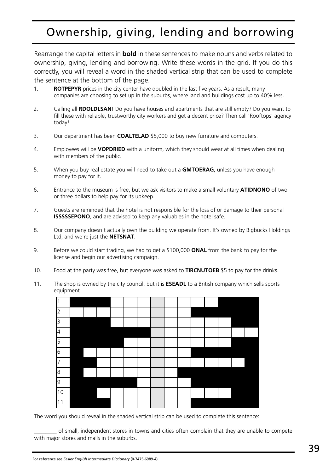## Ownership, giving, lending and borrowing

Rearrange the capital letters in **bold** in these sentences to make nouns and verbs related to ownership, giving, lending and borrowing. Write these words in the grid. If you do this correctly, you will reveal a word in the shaded vertical strip that can be used to complete the sentence at the bottom of the page.

- 1. **ROTPEPYR** prices in the city center have doubled in the last five years. As a result, many companies are choosing to set up in the suburbs, where land and buildings cost up to 40% less.
- 2. Calling all **RDOLDLSAN**! Do you have houses and apartments that are still empty? Do you want to fill these with reliable, trustworthy city workers and get a decent price? Then call 'Rooftops' agency today!
- 3. Our department has been **COALTELAD** \$5,000 to buy new furniture and computers.
- 4. Employees will be **VOPDRIED** with a uniform, which they should wear at all times when dealing with members of the public.
- 5. When you buy real estate you will need to take out a **GMTOERAG**, unless you have enough money to pay for it.
- 6. Entrance to the museum is free, but we ask visitors to make a small voluntary **ATIDNONO** of two or three dollars to help pay for its upkeep.
- 7. Guests are reminded that the hotel is not responsible for the loss of or damage to their personal **ISSSSSEPONO**, and are advised to keep any valuables in the hotel safe.
- 8. Our company doesn't actually own the building we operate from. It's owned by Bigbucks Holdings Ltd, and we're just the **NETSNAT**.
- 9. Before we could start trading, we had to get a \$100,000 **ONAL** from the bank to pay for the license and begin our advertising campaign.
- 10. Food at the party was free, but everyone was asked to **TIRCNUTOEB** \$5 to pay for the drinks.
- 11. The shop is owned by the city council, but it is **ESEADL** to a British company which sells sports equipment.



The word you should reveal in the shaded vertical strip can be used to complete this sentence:

of small, independent stores in towns and cities often complain that they are unable to compete with major stores and malls in the suburbs.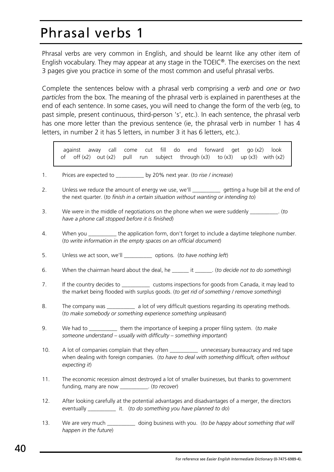# Phrasal verbs 1

Phrasal verbs are very common in English, and should be learnt like any other item of English vocabulary. They may appear at any stage in the TOEIC®. The exercises on the next 3 pages give you practice in some of the most common and useful phrasal verbs.

Complete the sentences below with a phrasal verb comprising a *verb* and *one or two particles* from the box. The meaning of the phrasal verb is explained in parentheses at the end of each sentence. In some cases, you will need to change the form of the verb (eg, to past simple, present continuous, third-person 's', etc.). In each sentence, the phrasal verb has one more letter than the previous sentence (ie, the phrasal verb in number 1 has 4 letters, in number 2 it has 5 letters, in number 3 it has 6 letters, etc.).

against away call come cut fill do end forward get go (x2) look of off  $(x2)$  out  $(x2)$  pull run subject through  $(x3)$  to  $(x3)$  up  $(x3)$  with  $(x2)$ 

- 1. Prices are expected to \_\_\_\_\_\_\_\_\_\_ by 20% next year. (*to rise / increase*)
- 2. Unless we reduce the amount of energy we use, we'll \_\_\_\_\_\_\_\_\_\_\_\_\_ getting a huge bill at the end of the next quarter. (*to finish in a certain situation without wanting or intending to*)
- 3. We were in the middle of negotiations on the phone when we were suddenly \_\_\_\_\_\_\_\_\_\_. (*to have a phone call stopped before it is finished*)
- 4. When you \_\_\_\_\_\_\_\_\_\_ the application form, don't forget to include a daytime telephone number. (*to write information in the empty spaces on an official document*)
- 5. Unless we act soon, we'll \_\_\_\_\_\_\_\_\_\_ options. (*to have nothing left*)
- 6. When the chairman heard about the deal, he \_\_\_\_\_\_ it \_\_\_\_\_\_. (*to decide not to do something*)
- 7. If the country decides to \_\_\_\_\_\_\_\_\_\_\_\_\_ customs inspections for goods from Canada, it may lead to the market being flooded with surplus goods. (*to get rid of something / remove something*)
- 8. The company was \_\_\_\_\_\_\_\_\_\_\_\_ a lot of very difficult questions regarding its operating methods. (*to make somebody or something experience something unpleasant*)
- 9. We had to \_\_\_\_\_\_\_\_\_\_ them the importance of keeping a proper filing system. (*to make someone understand – usually with difficulty – something important*)
- 10. A lot of companies complain that they often \_\_\_\_\_\_\_\_\_\_\_\_ unnecessary bureaucracy and red tape when dealing with foreign companies. (*to have to deal with something difficult, often without expecting it*)
- 11. The economic recession almost destroyed a lot of smaller businesses, but thanks to government funding, many are now \_\_\_\_\_\_\_\_\_\_. (*to recover*)
- 12. After looking carefully at the potential advantages and disadvantages of a merger, the directors eventually \_\_\_\_\_\_\_\_\_\_ it. (*to do something you have planned to do*)
- 13. We are very much \_\_\_\_\_\_\_\_\_\_ doing business with you. (*to be happy about something that will happen in the future*)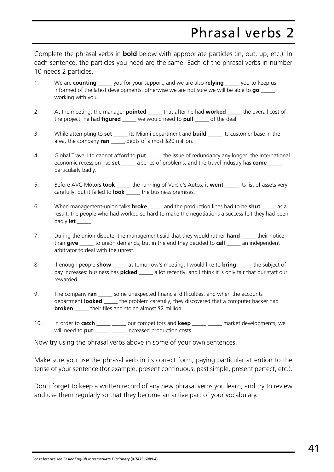# Phrasal verbs 2

Complete the phrasal verbs in **bold** below with appropriate particles (in, out, up, etc.). In each sentence, the particles you need are the same. Each of the phrasal verbs in number 10 needs 2 particles.

- 1. We are **counting** \_\_\_\_\_ you for your support, and we are also **relying** \_\_\_\_\_ you to keep us informed of the latest developments, otherwise we are not sure we will be able to **go** \_\_\_\_\_ working with you.
- 2. At the meeting, the manager **pointed** \_\_\_\_\_ that after he had **worked** \_\_\_\_\_ the overall cost of the project, he had **figured** \_\_\_\_\_ we would need to **pull** \_\_\_\_\_ of the deal.
- 3. While attempting to **set** \_\_\_\_\_ its Miami department and **build** \_\_\_\_\_ its customer base in the area, the company **ran** \_\_\_\_\_ debts of almost \$20 million.
- 4. Global Travel Ltd cannot afford to **put** \_\_\_\_\_ the issue of redundancy any longer: the international economic recession has **set** \_\_\_\_\_ a series of problems, and the travel industry has **come** \_\_\_\_\_ particularly badly.
- 5. Before AVC Motors **took** \_\_\_\_\_ the running of Varsie's Autos, it **went** \_\_\_\_\_ its list of assets very carefully, but it failed to **look** \_\_\_\_\_ the business premises.
- 6. When management-union talks **broke** \_\_\_\_\_ and the production lines had to be **shut** \_\_\_\_\_ as a result, the people who had worked so hard to make the negotiations a success felt they had been badly **let** \_\_\_\_\_.
- 7. During the union dispute, the management said that they would rather **hand** \_\_\_\_\_ their notice than **give** \_\_\_\_\_ to union demands, but in the end they decided to **call** \_\_\_\_\_ an independent arbitrator to deal with the unrest.
- 8. If enough people **show** \_\_\_\_\_ at tomorrow's meeting, I would like to **bring** \_\_\_\_\_ the subject of pay increases: business has **picked** \_\_\_\_\_ a lot recently, and I think it is only fair that our staff our rewarded.
- 9. The company **ran** \_\_\_\_\_ some unexpected financial difficulties, and when the accounts department **looked** \_\_\_\_\_ the problem carefully, they discovered that a computer hacker had **broken** \_\_\_\_\_\_ their files and stolen almost \$2 million.
- 10. In order to **catch** \_\_\_\_\_ \_\_\_\_\_ our competitors and **keep** \_\_\_\_\_ \_\_\_\_\_ market developments, we will need to **put** \_\_\_\_\_ \_\_\_\_\_ increased production costs.

Now try using the phrasal verbs above in some of your own sentences.

Make sure you use the phrasal verb in its correct form, paying particular attention to the tense of your sentence (for example, present continuous, past simple, present perfect, etc.).

Don't forget to keep a written record of any new phrasal verbs you learn, and try to review and use them regularly so that they become an active part of your vocabulary.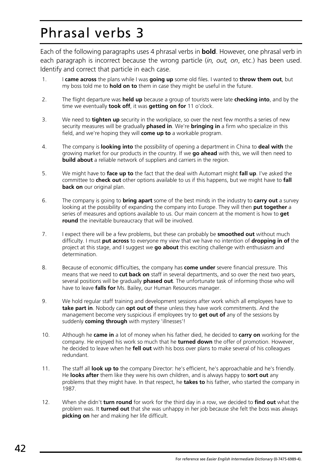# Phrasal verbs 3

Each of the following paragraphs uses 4 phrasal verbs in **bold**. However, one phrasal verb in each paragraph is incorrect because the wrong particle (*in, out, on*, etc.) has been used. Identify and correct that particle in each case.

- 1. I **came across** the plans while I was **going up** some old files. I wanted to **throw them out**, but my boss told me to **hold on to** them in case they might be useful in the future.
- 2. The flight departure was **held up** because a group of tourists were late **checking into**, and by the time we eventually **took off**, it was **getting on for** 11 o'clock.
- 3. We need to **tighten up** security in the workplace, so over the next few months a series of new security measures will be gradually **phased in**. We're **bringing in** a firm who specialize in this field, and we're hoping they will **come up to** a workable program.
- 4. The company is **looking into** the possibility of opening a department in China to **deal with** the growing market for our products in the country. If we **go ahead** with this, we will then need to **build about** a reliable network of suppliers and carriers in the region.
- 5. We might have to **face up to** the fact that the deal with Automart might **fall up**. I've asked the committee to **check out** other options available to us if this happens, but we might have to **fall back on** our original plan.
- 6. The company is going to **bring apart** some of the best minds in the industry to **carry out** a survey looking at the possibility of expanding the company into Europe. They will then **put together** a series of measures and options available to us. Our main concern at the moment is how to **get round** the inevitable bureaucracy that will be involved.
- 7. I expect there will be a few problems, but these can probably be **smoothed out** without much difficulty. I must **put across** to everyone my view that we have no intention of **dropping in of** the project at this stage, and I suggest we **go about** this exciting challenge with enthusiasm and determination.
- 8. Because of economic difficulties, the company has **come under** severe financial pressure. This means that we need to **cut back on** staff in several departments, and so over the next two years, several positions will be gradually **phased out**. The unfortunate task of informing those who will have to leave **falls for** Ms. Bailey, our Human Resources manager.
- 9. We hold regular staff training and development sessions after work which all employees have to **take part in**. Nobody can **opt out of** these unless they have work commitments. And the management become very suspicious if employees try to **get out of** any of the sessions by suddenly **coming through** with mystery 'illnesses'!
- 10. Although he **came in** a lot of money when his father died, he decided to **carry on** working for the company. He enjoyed his work so much that he **turned down** the offer of promotion. However, he decided to leave when he **fell out** with his boss over plans to make several of his colleagues redundant.
- 11. The staff all **look up to** the company Director: he's efficient, he's approachable and he's friendly. He **looks after** them like they were his own children, and is always happy to **sort out** any problems that they might have. In that respect, he **takes to** his father, who started the company in 1987.
- 12. When she didn't **turn round** for work for the third day in a row, we decided to **find out** what the problem was. It **turned out** that she was unhappy in her job because she felt the boss was always **picking on** her and making her life difficult.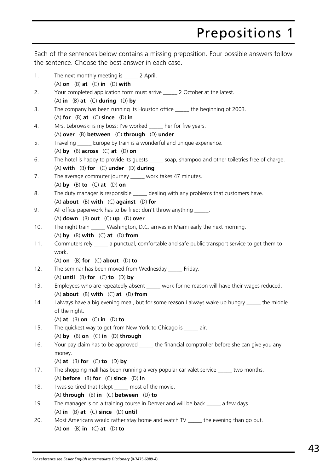# Prepositions 1

Each of the sentences below contains a missing preposition. Four possible answers follow the sentence. Choose the best answer in each case.

| 1.  | The next monthly meeting is ______ 2 April.<br>$(A)$ on $(B)$ at $(C)$ in $(D)$ with                                                                                          |
|-----|-------------------------------------------------------------------------------------------------------------------------------------------------------------------------------|
| 2.  | Your completed application form must arrive _______ 2 October at the latest.<br>$(A)$ in $(B)$ at $(C)$ during $(D)$ by                                                       |
| 3.  | The company has been running its Houston office _____ the beginning of 2003.<br>$(A)$ for $(B)$ at $(C)$ since $(D)$ in                                                       |
| 4.  | Mrs. Lebrowski is my boss: I've worked ____ her for five years.<br>(A) over (B) between (C) through (D) under                                                                 |
| 5.  | Traveling ______ Europe by train is a wonderful and unique experience.<br>$(A)$ by $(B)$ across $(C)$ at $(D)$ on                                                             |
| 6.  | The hotel is happy to provide its guests _____ soap, shampoo and other toiletries free of charge.                                                                             |
| 7.  | $(A)$ with $(B)$ for $(C)$ under $(D)$ during<br>The average commuter journey _____ work takes 47 minutes.                                                                    |
| 8.  | $(A)$ by $(B)$ to $(C)$ at $(D)$ on<br>The duty manager is responsible _____ dealing with any problems that customers have.<br>$(A)$ about $(B)$ with $(C)$ against $(D)$ for |
| 9.  | All office paperwork has to be filed: don't throw anything _____.<br>$(A)$ down $(B)$ out $(C)$ up $(D)$ over                                                                 |
| 10. | The night train ______ Washington, D.C. arrives in Miami early the next morning.<br>$(A)$ by $(B)$ with $(C)$ at $(D)$ from                                                   |
| 11. | Commuters rely _____ a punctual, comfortable and safe public transport service to get them to<br>work.                                                                        |
|     | $(A)$ on $(B)$ for $(C)$ about $(D)$ to                                                                                                                                       |
| 12. | The seminar has been moved from Wednesday _____ Friday.<br>$(A)$ until $(B)$ for $(C)$ to $(D)$ by                                                                            |
| 13. | Employees who are repeatedly absent _____ work for no reason will have their wages reduced.<br>$(A)$ about $(B)$ with $(C)$ at $(D)$ from                                     |
| 14. | I always have a big evening meal, but for some reason I always wake up hungry ______ the middle<br>of the night.<br>$(A)$ at $(B)$ on $(C)$ in $(D)$ to                       |
| 15. | The quickest way to get from New York to Chicago is _____ air.<br>$(A)$ by $(B)$ on $(C)$ in $(D)$ through                                                                    |
| 16. | Your pay claim has to be approved ______ the financial comptroller before she can give you any<br>money.<br>$(A)$ at $(B)$ for $(C)$ to $(D)$ by                              |
| 17. | The shopping mall has been running a very popular car valet service ______ two months.<br>$(A)$ before $(B)$ for $(C)$ since $(D)$ in                                         |
| 18. | I was so tired that I slept _____ most of the movie.<br>$(A)$ through $(B)$ in $(C)$ between $(D)$ to                                                                         |
| 19. | The manager is on a training course in Denver and will be back _____ a few days.<br>$(A)$ in $(B)$ at $(C)$ since $(D)$ until                                                 |
| 20. | Most Americans would rather stay home and watch TV _____ the evening than go out.<br>$(A)$ on $(B)$ in $(C)$ at $(D)$ to                                                      |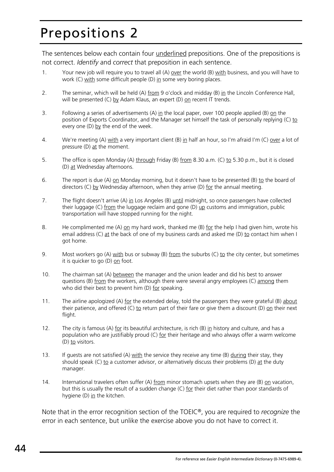# Prepositions 2

The sentences below each contain four *underlined* prepositions. One of the prepositions is not correct. *Identify* and *correct* that preposition in each sentence.

- 1. Your new job will require you to travel all (A) over the world (B) with business, and you will have to work (C) with some difficult people (D) in some very boring places.
- 2. The seminar, which will be held (A) from 9 o'clock and midday (B) in the Lincoln Conference Hall, will be presented  $(C)$  by Adam Klaus, an expert  $(D)$  on recent IT trends.
- 3. Following a series of advertisements (A) in the local paper, over 100 people applied (B) on the position of Exports Coordinator, and the Manager set himself the task of personally replying (C) to every one (D) by the end of the week.
- 4. We're meeting (A) with a very important client (B) in half an hour, so I'm afraid I'm (C) over a lot of pressure (D) at the moment.
- 5. The office is open Monday (A) through Friday (B) from 8.30 a.m. (C) to 5.30 p.m., but it is closed (D) at Wednesday afternoons.
- 6. The report is due (A) on Monday morning, but it doesn't have to be presented (B) to the board of directors (C) by Wednesday afternoon, when they arrive (D) for the annual meeting.
- 7. The flight doesn't arrive (A) in Los Angeles (B) until midnight, so once passengers have collected their luggage (C) from the luggage reclaim and gone (D) up customs and immigration, public transportation will have stopped running for the night.
- 8. He complimented me (A) on my hard work, thanked me (B) for the help I had given him, wrote his email address (C) at the back of one of my business cards and asked me (D) to contact him when I got home.
- 9. Most workers go (A) with bus or subway (B) from the suburbs (C) to the city center, but sometimes it is quicker to go (D) on foot.
- 10. The chairman sat (A) between the manager and the union leader and did his best to answer questions (B) from the workers, although there were several angry employees (C) among them who did their best to prevent him  $(D)$  for speaking.
- 11. The airline apologized (A) for the extended delay, told the passengers they were grateful (B) about their patience, and offered  $(C)$  to return part of their fare or give them a discount  $(D)$  on their next flight.
- 12. The city is famous (A) for its beautiful architecture, is rich (B) in history and culture, and has a population who are justifiably proud (C) for their heritage and who always offer a warm welcome (D) to visitors.
- 13. If guests are not satisfied (A) with the service they receive any time (B) during their stay, they should speak (C) to a customer advisor, or alternatively discuss their problems (D) at the duty manager.
- 14. International travelers often suffer (A) from minor stomach upsets when they are (B) on vacation, but this is usually the result of a sudden change (C) for their diet rather than poor standards of hygiene  $(D)$  in the kitchen.

Note that in the error recognition section of the TOEIC®, you are required to *recognize* the error in each sentence, but unlike the exercise above you do not have to correct it.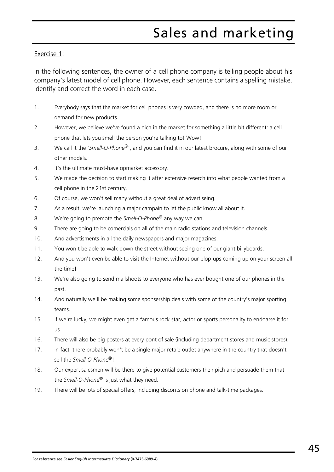# Sales and marketing

## Exercise 1:

In the following sentences, the owner of a cell phone company is telling people about his company's latest model of cell phone. However, each sentence contains a spelling mistake. Identify and correct the word in each case.

- 1. Everybody says that the market for cell phones is very cowded, and there is no more room or demand for new products.
- 2. However, we believe we've found a nich in the market for something a little bit different: a cell phone that lets you smell the person you're talking to! Wow!
- 3. We call it the '*Smell-O-Phone*®', and you can find it in our latest brocure, along with some of our other models.
- 4. It's the ultimate must-have opmarket accessory.
- 5. We made the decision to start making it after extensive reserch into what people wanted from a cell phone in the 21st century.
- 6. Of course, we won't sell many without a great deal of advertiseing.
- 7. As a result, we're launching a major campain to let the public know all about it.
- 8. We're going to premote the *Smell-O-Phone*® any way we can.
- 9. There are going to be comercials on all of the main radio stations and television channels.
- 10. And advertisments in all the daily newspapers and major magazines.
- 11. You won't be able to walk down the street without seeing one of our giant billyboards.
- 12. And you won't even be able to visit the Internet without our plop-ups coming up on your screen all the time!
- 13. We're also going to send mailshoots to everyone who has ever bought one of our phones in the past.
- 14. And naturally we'll be making some sponsership deals with some of the country's major sporting teams.
- 15. If we're lucky, we might even get a famous rock star, actor or sports personality to endoarse it for us.
- 16. There will also be big posters at every pont of sale (including department stores and music stores).
- 17. In fact, there probably won't be a single major retale outlet anywhere in the country that doesn't sell the *Smell-O-Phone*®!
- 18. Our expert salesmen will be there to give potential customers their pich and persuade them that the *Smell-O-Phone*® is just what they need.
- 19. There will be lots of special offers, including disconts on phone and talk-time packages.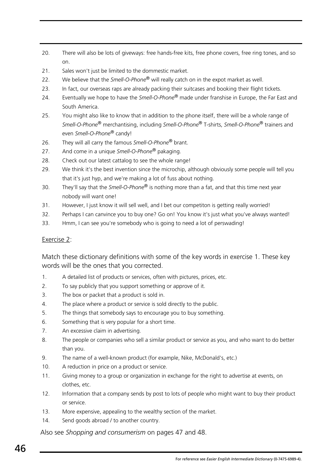- 20. There will also be lots of giveways: free hands-free kits, free phone covers, free ring tones, and so on.
- 21. Sales won't just be limited to the dommestic market.
- 22. We believe that the *Smell-O-Phone*® will really catch on in the expot market as well.
- 23. In fact, our overseas raps are already packing their suitcases and booking their flight tickets.
- 24. Eventually we hope to have the *Smell-O-Phone*® made under franshise in Europe, the Far East and South America.
- 25. You might also like to know that in addition to the phone itself, there will be a whole range of *Smell-O-Phone*® merchantising, including *Smell-O-Phone*® T-shirts, *Smell-O-Phone*® trainers and even *Smell-O-Phone*® candy!
- 26. They will all carry the famous *Smell-O-Phone*® brant.
- 27. And come in a unique *Smell-O-Phone*® pakaging.
- 28. Check out our latest cattalog to see the whole range!
- 29. We think it's the best invention since the microchip, although obviously some people will tell you that it's just hyp, and we're making a lot of fuss about nothing.
- 30. They'll say that the *Smell-O-Phone*® is nothing more than a fat, and that this time next year nobody will want one!
- 31. However, I just know it will sell well, and I bet our competiton is getting really worried!
- 32. Perhaps I can canvince you to buy one? Go on! You know it's just what you've always wanted!
- 33. Hmm, I can see you're somebody who is going to need a lot of perswading!

## Exercise 2:

Match these dictionary definitions with some of the key words in exercise 1. These key words will be the ones that you corrected.

- 1. A detailed list of products or services, often with pictures, prices, etc.
- 2. To say publicly that you support something or approve of it.
- 3. The box or packet that a product is sold in.
- 4. The place where a product or service is sold directly to the public.
- 5. The things that somebody says to encourage you to buy something.
- 6. Something that is very popular for a short time.
- 7. An excessive claim in advertising.
- 8. The people or companies who sell a similar product or service as you, and who want to do better than you.
- 9. The name of a well-known product (for example, Nike, McDonald's, etc.)
- 10. A reduction in price on a product or service.
- 11. Giving money to a group or organization in exchange for the right to advertise at events, on clothes, etc.
- 12. Information that a company sends by post to lots of people who might want to buy their product or service.
- 13. More expensive, appealing to the wealthy section of the market.
- 14. Send goods abroad / to another country.

Also see *Shopping and consumerism* on pages 47 and 48.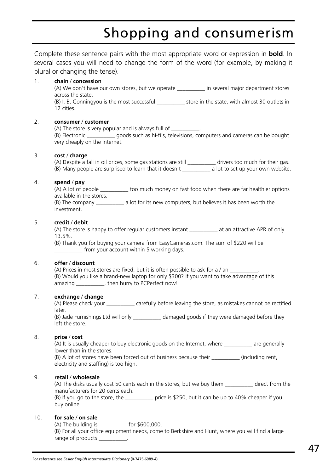# Shopping and consumerism

Complete these sentence pairs with the most appropriate word or expression in **bold**. In several cases you will need to change the form of the word (for example, by making it plural or changing the tense).

## 1. **chain** / **concession**

(A) We don't have our own stores, but we operate \_\_\_\_\_\_\_\_\_\_ in several major department stores across the state.

(B) I. B. Conningyou is the most successful \_\_\_\_\_\_\_\_\_\_ store in the state, with almost 30 outlets in 12 cities.

## 2. **consumer** / **customer**

(A) The store is very popular and is always full of

(B) Electronic \_\_\_\_\_\_\_\_\_\_ goods such as hi-fi's, televisions, computers and cameras can be bought very cheaply on the Internet.

## 3. **cost** / **charge**

(A) Despite a fall in oil prices, some gas stations are still \_\_\_\_\_\_\_\_\_\_ drivers too much for their gas. (B) Many people are surprised to learn that it doesn't \_\_\_\_\_\_\_\_\_\_ a lot to set up your own website.

## 4. **spend** / **pay**

(A) A lot of people too much money on fast food when there are far healthier options available in the stores.

(B) The company \_\_\_\_\_\_\_\_\_\_ a lot for its new computers, but believes it has been worth the investment.

## 5. **credit** / **debit**

(A) The store is happy to offer regular customers instant at an attractive APR of only 13.5%.

(B) Thank you for buying your camera from EasyCameras.com. The sum of \$220 will be from your account within 5 working days.

### 6. **offer** / **discount**

(A) Prices in most stores are fixed, but it is often possible to ask for a  $/$  an  $\_$ (B) Would you like a brand-new laptop for only \$300? If you want to take advantage of this amazing \_\_\_\_\_\_\_\_\_\_\_, then hurry to PCPerfect now!

### 7. **exchange** / **change**

(A) Please check your \_\_\_\_\_\_\_\_\_\_ carefully before leaving the store, as mistakes cannot be rectified later.

(B) Jade Furnishings Ltd will only \_\_\_\_\_\_\_\_\_\_ damaged goods if they were damaged before they left the store.

## 8. **price** / **cost**

(A) It is usually cheaper to buy electronic goods on the Internet, where \_\_\_\_\_\_\_\_\_\_ are generally lower than in the stores.

(B) A lot of stores have been forced out of business because their \_\_\_\_\_\_\_\_\_\_ (including rent, electricity and staffing) is too high.

## 9. **retail** / **wholesale**

(A) The disks usually cost 50 cents each in the stores, but we buy them direct from the manufacturers for 20 cents each.

(B) If you go to the store, the \_\_\_\_\_\_\_\_\_\_ price is \$250, but it can be up to 40% cheaper if you buy online.

### 10. **for sale** / **on sale**

(A) The building is \_\_\_\_\_\_\_\_\_\_ for \$600,000. (B) For all your office equipment needs, come to Berkshire and Hunt, where you will find a large range of products \_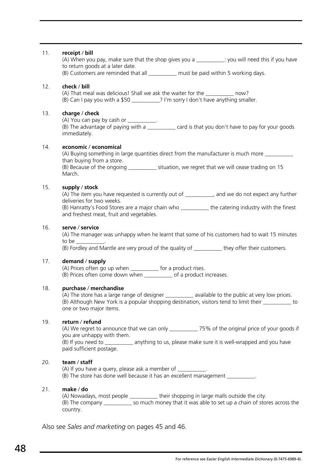| 11. | receipt / bill<br>(A) When you pay, make sure that the shop gives you a __________: you will need this if you have<br>to return goods at a later date.                                                                                                                                            |
|-----|---------------------------------------------------------------------------------------------------------------------------------------------------------------------------------------------------------------------------------------------------------------------------------------------------|
|     | (B) Customers are reminded that all ___________ must be paid within 5 working days.                                                                                                                                                                                                               |
| 12. | check / bill<br>(A) That meal was delicious! Shall we ask the waiter for the __________ now?<br>(B) Can I pay you with a \$50 _________? I'm sorry I don't have anything smaller.                                                                                                                 |
| 13. | charge / check<br>(A) You can pay by cash or ___________.<br>(B) The advantage of paying with a ____________ card is that you don't have to pay for your goods<br>immediately.                                                                                                                    |
| 14. | economic / economical<br>(A) Buying something in large quantities direct from the manufacturer is much more ________<br>than buying from a store.<br>(B) Because of the ongoing __________ situation, we regret that we will cease trading on 15<br>March.                                        |
| 15. | supply / stock<br>(A) The item you have requested is currently out of __________, and we do not expect any further<br>deliveries for two weeks.<br>(B) Hanratty's Food Stores are a major chain who ___________ the catering industry with the finest<br>and freshest meat, fruit and vegetables. |
| 16. | serve / service<br>(A) The manager was unhappy when he learnt that some of his customers had to wait 15 minutes<br>to be $\_\_$ .<br>(B) Fordley and Mantle are very proud of the quality of ___________ they offer their customers.                                                              |
| 17. | demand / supply<br>(A) Prices often go up when ____________ for a product rises.<br>(B) Prices often come down when ____________ of a product increases.                                                                                                                                          |
| 18. | purchase / merchandise<br>(A) The store has a large range of designer ___________ available to the public at very low prices.<br>(B) Although New York is a popular shopping destination, visitors tend to limit their ___________ to<br>one or two major items.                                  |
| 19. | return / refund<br>(A) We regret to announce that we can only ___________ 75% of the original price of your goods if<br>you are unhappy with them.<br>(B) If you need to __________ anything to us, please make sure it is well-wrapped and you have<br>paid sufficient postage.                  |
| 20. | team / staff<br>(A) If you have a query, please ask a member of ___________.<br>(B) The store has done well because it has an excellent management __________.                                                                                                                                    |
| 21. | make / do<br>(A) Nowadays, most people ___________ their shopping in large malls outside the city.<br>(B) The company ____________ so much money that it was able to set up a chain of stores across the<br>country.                                                                              |
|     | Also see Sales and marketing on pages 45 and 46.                                                                                                                                                                                                                                                  |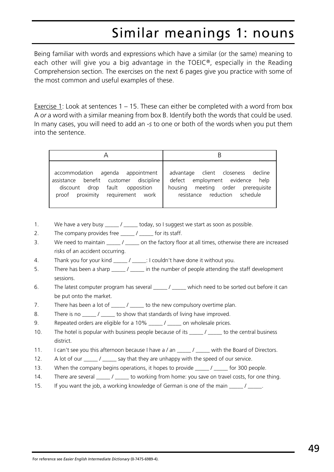# Similar meanings 1: nouns

Being familiar with words and expressions which have a similar (or the same) meaning to each other will give you a big advantage in the TOEIC®, especially in the Reading Comprehension section. The exercises on the next 6 pages give you practice with some of the most common and useful examples of these.

Exercise 1: Look at sentences  $1 - 15$ . These can either be completed with a word from box A *or* a word with a similar meaning from box B. Identify both the words that could be used. In many cases, you will need to add an -*s* to one or both of the words when you put them into the sentence.

| accommodation agenda appointment       | advantage client closeness decline |
|----------------------------------------|------------------------------------|
| assistance benefit customer discipline | defect employment evidence help    |
| discount drop fault opposition         | housing meeting order prerequisite |
| proof proximity requirement work       | resistance reduction schedule      |

- 1. We have a very busy and today, so I suggest we start as soon as possible.
- 2. The company provides free  $\frac{1}{2}$  /  $\frac{1}{2}$  for its staff.
- 3. We need to maintain \_\_\_\_\_ / \_\_\_\_\_ on the factory floor at all times, otherwise there are increased risks of an accident occurring.
- 4. Thank you for your kind \_\_\_\_\_ / \_\_\_\_\_: I couldn't have done it without you.
- 5. There has been a sharp \_\_\_\_\_ / \_\_\_\_\_ in the number of people attending the staff development sessions.
- 6. The latest computer program has several \_\_\_\_\_\_\_ / \_\_\_\_\_\_ which need to be sorted out before it can be put onto the market.
- 7. There has been a lot of  $\frac{1}{2}$  /  $\frac{1}{2}$  to the new compulsory overtime plan.
- 8. There is no \_\_\_\_\_\_ / \_\_\_\_\_ to show that standards of living have improved.
- 9. Repeated orders are eligible for a 10% and wholesale prices.
- 10. The hotel is popular with business people because of its \_\_\_\_\_ / \_\_\_\_\_ to the central business district.
- 11. I can't see you this afternoon because I have a / an  $\frac{1}{2}$  with the Board of Directors.
- 12. A lot of our \_\_\_\_\_ / \_\_\_\_\_ say that they are unhappy with the speed of our service.
- 13. When the company begins operations, it hopes to provide \_\_\_\_\_\_\_ / \_\_\_\_\_ for 300 people.
- 14. There are several \_\_\_\_\_ / \_\_\_\_\_ to working from home: you save on travel costs, for one thing.
- 15. If you want the job, a working knowledge of German is one of the main \_\_\_\_\_ / \_\_\_\_\_.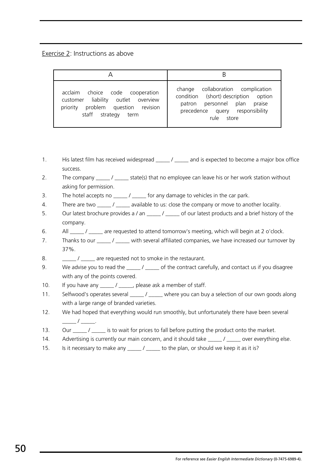## Exercise 2: Instructions as above

| acclaim choice code cooperation<br>customer liability outlet overview<br>problem question revision<br>priority<br>staff strategy<br>term | change collaboration complication<br>condition (short) description option<br>patron personnel plan praise<br>precedence query responsibility<br>rule store |
|------------------------------------------------------------------------------------------------------------------------------------------|------------------------------------------------------------------------------------------------------------------------------------------------------------|

- 1. His latest film has received widespread \_\_\_\_\_ / \_\_\_\_\_ and is expected to become a major box office success.
- 2. The company \_\_\_\_\_ / \_\_\_\_\_ state(s) that no employee can leave his or her work station without asking for permission.
- 3. The hotel accepts no \_\_\_\_\_ / \_\_\_\_\_ for any damage to vehicles in the car park.
- 4. There are two \_\_\_\_\_ / \_\_\_\_\_ available to us: close the company or move to another locality.
- 5. Our latest brochure provides a / an  $\frac{1}{2}$  of our latest products and a brief history of the company.
- 6. All \_\_\_\_\_ / \_\_\_\_\_ are requested to attend tomorrow's meeting, which will begin at 2 o'clock.
- 7. Thanks to our \_\_\_\_\_ / \_\_\_\_\_ with several affiliated companies, we have increased our turnover by 37%.
- 8.  $\frac{1}{2}$  /  $\frac{1}{2}$  are requested not to smoke in the restaurant.
- 9. We advise you to read the \_\_\_\_\_ / \_\_\_\_\_ of the contract carefully, and contact us if you disagree with any of the points covered.
- 10. If you have any \_\_\_\_\_ / \_\_\_\_\_, please ask a member of staff.
- 11. Selfwood's operates several \_\_\_\_\_ / \_\_\_\_\_ where you can buy a selection of our own goods along with a large range of branded varieties.
- 12. We had hoped that everything would run smoothly, but unfortunately there have been several \_\_\_\_\_ / \_\_\_\_\_.
- 13. Our \_\_\_\_\_\_ / \_\_\_\_\_ is to wait for prices to fall before putting the product onto the market.
- 14. Advertising is currently our main concern, and it should take \_\_\_\_\_ / \_\_\_\_\_ over everything else.
- 15. Is it necessary to make any \_\_\_\_\_ / \_\_\_\_\_ to the plan, or should we keep it as it is?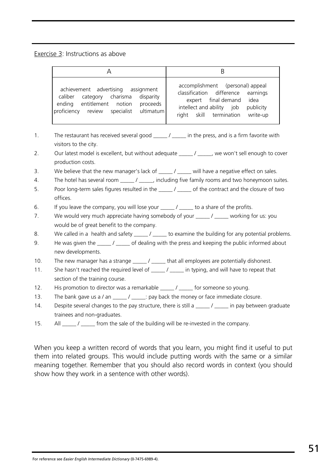Exercise 3: Instructions as above

| achievement advertising assignment      | accomplishment (personal) appeal   |
|-----------------------------------------|------------------------------------|
| caliber category charisma               | classification difference earnings |
| disparity                               | expert final demand idea           |
| ending entitlement notion               | intellect and ability job          |
| proceeds                                | publicity                          |
| proficiency review specialist ultimatum | right skill termination write-up   |

- 1. The restaurant has received several good  $\frac{1}{2}$  in the press, and is a firm favorite with visitors to the city.
- 2. Our latest model is excellent, but without adequate \_\_\_\_ / \_\_\_\_, we won't sell enough to cover production costs.
- 3. We believe that the new manager's lack of  $\overline{a}$  will have a negative effect on sales.
- 4. The hotel has several room \_\_\_\_\_ / \_\_\_\_\_, including five family rooms and two honeymoon suites.
- 5. Poor long-term sales figures resulted in the \_\_\_\_\_ / \_\_\_\_\_ of the contract and the closure of two offices.
- 6. If you leave the company, you will lose your  $\frac{1}{\sqrt{2}}$  to a share of the profits.
- 7. We would very much appreciate having somebody of your \_\_\_\_\_ / \_\_\_\_\_ working for us: you would be of great benefit to the company.
- 8. We called in a health and safety \_\_\_\_\_ / \_\_\_\_\_ to examine the building for any potential problems.
- 9. He was given the  $\frac{1}{2}$  of dealing with the press and keeping the public informed about new developments.
- 10. The new manager has a strange \_\_\_\_\_ / \_\_\_\_\_ that all employees are potentially dishonest.
- 11. She hasn't reached the required level of \_\_\_\_\_ / \_\_\_\_\_ in typing, and will have to repeat that section of the training course.
- 12. His promotion to director was a remarkable \_\_\_\_\_\_ / \_\_\_\_\_ for someone so young.
- 13. The bank gave us a / an \_\_\_\_\_ / \_\_\_\_\_: pay back the money or face immediate closure.
- 14. Despite several changes to the pay structure, there is still a  $\frac{1}{\sqrt{2}}$  in pay between graduate trainees and non-graduates.
- 15. All \_\_\_\_\_ / \_\_\_\_\_ from the sale of the building will be re-invested in the company.

When you keep a written record of words that you learn, you might find it useful to put them into related groups. This would include putting words with the same or a similar meaning together. Remember that you should also record words in context (you should show how they work in a sentence with other words).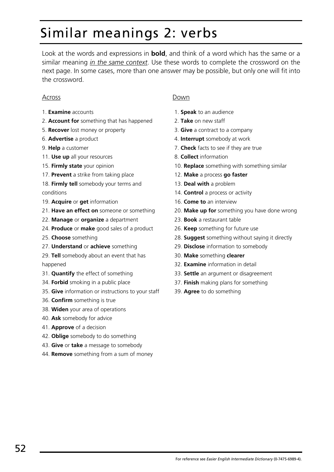# Similar meanings 2: verbs

Look at the words and expressions in **bold**, and think of a word which has the same or a similar meaning *in the same context*. Use these words to complete the crossword on the next page. In some cases, more than one answer may be possible, but only one will fit into the crossword.

## Across **Down**

- 1. **Examine** accounts
- 2. **Account for** something that has happened
- 5. **Recover** lost money or property
- 6. **Advertise** a product
- 9. **Help** a customer
- 11. **Use up** all your resources
- 15. **Firmly state** your opinion
- 17. **Prevent** a strike from taking place
- 18. **Firmly tell** somebody your terms and conditions
- 19. **Acquire** or **get** information
- 21. **Have an effect on** someone or something
- 22. **Manage** or **organize** a department
- 24. **Produce** or **make** good sales of a product
- 25. **Choose** something
- 27. **Understand** or **achieve** something
- 29. **Tell** somebody about an event that has happened
- 31. **Quantify** the effect of something
- 34. **Forbid** smoking in a public place
- 35. **Give** information or instructions to your staff
- 36. **Confirm** something is true
- 38. **Widen** your area of operations
- 40. **Ask** somebody for advice
- 41. **Approve** of a decision
- 42. **Oblige** somebody to do something
- 43. **Give** or **take** a message to somebody
- 44. **Remove** something from a sum of money

- 1. **Speak** to an audience
- 2. **Take** on new staff
- 3. **Give** a contract to a company
- 4. **Interrupt** somebody at work
- 7. **Check** facts to see if they are true
- 8. **Collect** information
- 10. **Replace** something with something similar
- 12. **Make** a process **go faster**
- 13. **Deal with** a problem
- 14. **Control** a process or activity
- 16. **Come to** an interview
- 20. **Make up for** something you have done wrong
- 23. **Book** a restaurant table
- 26. **Keep** something for future use
- 28. **Suggest** something without saying it directly
- 29. **Disclose** information to somebody
- 30. **Make** something **clearer**
- 32. **Examine** information in detail
- 33. **Settle** an argument or disagreement
- 37. **Finish** making plans for something
- 39. **Agree** to do something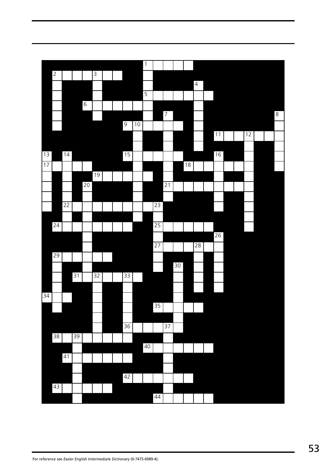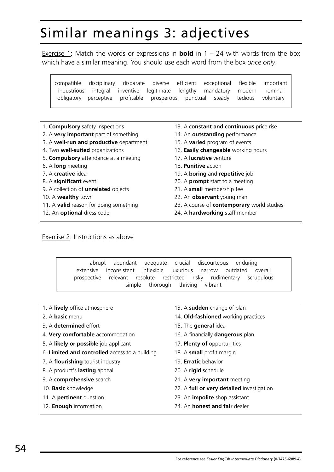# Similar meanings 3: adjectives

Exercise 1: Match the words or expressions in **bold** in 1 – 24 with words from the box which have a similar meaning. You should use each word from the box *once only*.

|  |  | compatible disciplinary disparate diverse efficient exceptional flexible important |  |
|--|--|------------------------------------------------------------------------------------|--|
|  |  | industrious integral inventive legitimate lengthy mandatory modern nominal         |  |
|  |  | obligatory perceptive profitable prosperous punctual steady tedious voluntary      |  |

- 1. **Compulsory** safety inspections 2. A **very important** part of something 3. A **well-run and productive** department 4. Two **well-suited** organizations 5. **Compulsory** attendance at a meeting 6. A **long** meeting
- 7. A **creative** idea
- 8. A **significant** event
- 9. A collection of **unrelated** objects
- 10. A **wealthy** town
- 11. A **valid** reason for doing something
- 12. An **optional** dress code
- 13. A **constant and continuous** price rise
- 14. An **outstanding** performance
- 15. A **varied** program of events
- 16. **Easily changeable** working hours
- 17. A **lucrative** venture
- 18. **Punitive** action
- 19. A **boring** and **repetitive** job
- 20. A **prompt** start to a meeting
- 21. A **small** membership fee
- 22. An **observant** young man
- 23. A course of **contemporary** world studies
- 24. A **hardworking** staff member

Exercise 2: Instructions as above

abrupt abundant adequate crucial discourteous enduring extensive inconsistent inflexible luxurious narrow outdated overall prospective relevant resolute restricted risky rudimentary scrupulous simple thorough thriving vibrant

- 1. A **lively** office atmosphere
- 2. A **basic** menu
- 3. A **determined** effort
- 4. **Very comfortable** accommodation
- 5. A **likely or possible** job applicant
- 6. **Limited and controlled** access to a building
- 7. A **flourishing** tourist industry
- 8. A product's **lasting** appeal
- 9. A **comprehensive** search
- 10. **Basic** knowledge
- 11. A **pertinent** question
- 12. **Enough** information
- 13. A **sudden** change of plan
- 14. **Old-fashioned** working practices
- 15. The **general** idea
- 16. A financially **dangerous** plan
- 17. **Plenty of** opportunities
- 18. A **small** profit margin
- 19. **Erratic** behavior
- 20. A **rigid** schedule
- 21. A **very important** meeting
- 22. A **full or very detailed** investigation
- 23. An **impolite** shop assistant
- 24. An **honest and fair** dealer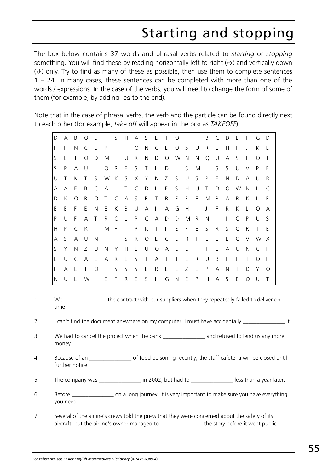# Starting and stopping

The box below contains 37 words and phrasal verbs related to *starting* or *stopping* something. You will find these by reading horizontally left to right  $(\Rightarrow)$  and vertically down  $(\vartheta)$  only. Try to find as many of these as possible, then use them to complete sentences 1 – 24. In many cases, these sentences can be completed with more than one of the words / expressions. In the case of the verbs, you will need to change the form of some of them (for example, by adding -*ed* to the end).

Note that in the case of phrasal verbs, the verb and the particle can be found directly next to each other (for example, *take off* will appear in the box as *TAKEOFF*).

| D                       | $\overline{A}$ | B              | O            |              | $\perp$      | S.           |                |              |                |                |           | H A S E T O F F |              |                | B            | C            | D            | E        | $-F$         | G              | D       |
|-------------------------|----------------|----------------|--------------|--------------|--------------|--------------|----------------|--------------|----------------|----------------|-----------|-----------------|--------------|----------------|--------------|--------------|--------------|----------|--------------|----------------|---------|
|                         | $\mathbf{I}$   | N              | $\mathsf{C}$ | E            | P            | $\top$       | $\perp$        | $\circ$      | N              | C L            |           | $O_S$           |              | $\cup$         | $\mathsf{R}$ | E            | H            | $\Box$   | $\perp$      | K.             | - E     |
| S                       | T              | $\top$         | $\circ$      | D            | M T          |              | U              | $\mathsf{R}$ | N              | D              |           | O W N           |              | N              | Q            | $\cup$       | A S          |          | H            | $\Omega$       | $\top$  |
| S                       | P              | A              | - U          | $\perp$      | Q R          |              |                | E S T        |                | $\mathbb{R}^n$ | D         | $\pm 1$         | $\mathsf{S}$ | M              | $\Box$       | S            | S            | $\cup$   | V            | P              | E       |
| $\cup$                  | $\mathsf{T}$   | K              | $\mathsf{T}$ | S            |              | W K S        |                |              |                |                | X Y N Z S |                 | U            | S              | $\mathsf{P}$ | Ε            | N            | D        | $\mathsf{A}$ | $\cup$         | R       |
| Α                       | A              | - E            | B            | $\mathsf{C}$ | $A \mid$     |              | T C            |              | D              | $\Box$ E       |           | S               | H            | U              | $\top$       | D            | $\circ$      | W        | $\mathsf{N}$ | $\perp$        | - C     |
| D                       | K              | $\circ$        | $\mathsf{R}$ | $\circ$      | $\top$       | $\mathsf{C}$ | A S            |              |                | B T R          |           | E               | $F-E$        |                | M            | B            | A            | R        | K            | $\perp$        | - E     |
| E                       | E              | $\mathsf{F}$   | E            | N            | E            | K            | $\overline{B}$ | U            | $\mathsf{A}$   | $\mathbb{R}^n$ | A G       |                 | H            | $\sim 1^\circ$ | J            | -F           | $\mathsf{R}$ | К        | $\mathsf{L}$ | $\circ$        | A       |
| P                       | $\cup$         | -F             | A T          |              | $\mathsf{R}$ | $\circ$      | - L            | P            | $\overline{C}$ | A D            |           | $\Box$          | M            | R              | N            | $\perp$      | $\mathbf{L}$ | $\Omega$ | P            | $\cup$         | -S      |
| H                       | P              | C              | K            | $\Box$       | M F          |              | $\mathbf{L}$   | P            | K T            |                | $\Box$ E  |                 | $F - E$      |                | <sub>S</sub> | R            | S            | Q        | R            | T              | E       |
| $\overline{\mathsf{A}}$ | <sub>S</sub>   | $\mathsf{A}$   | U            | $\mathsf{N}$ | $\Box$ F     |              | S              | $\mathsf{R}$ | O E            |                | C L       |                 | $\mathsf{R}$ | $\top$         | E            | E            | E            | O        | $\vee$       | W X            |         |
| S                       | Y              | N              | Z            | U            | N            | Y            | H              | E            | $\cup$         |                | O A E     |                 | E            | $\Box$         | T            | $\mathsf{L}$ | A            | U        | <sup>N</sup> | <sup>-</sup> C | H       |
| E                       | $\cup$         | <sup>-</sup> C | A E          |              | A            | R            | E.             | S            | $\top$         | A T            |           | $\top$          | E            | R              | U            | B            | $\perp$      | $\perp$  | T.           | $\Omega$       | - F     |
|                         | $\Delta$       | - E            | $\top$       | $\circ$      | $\top$       | S.           | S              | S            | E              | $\mathsf{R}$   | E         | E               | Z            | E              | P            | A            | N            | $\top$   | D            | Y              | $\circ$ |
| N                       | $\cup$         | $\Box$         | W            | $\mathbf{I}$ | E            | $\mathsf F$  | $\mathsf{R}$   | E S          |                | $\pm 1$        | G         | N               | E            | P              | H            | A            | <sub>S</sub> | E        | $\Omega$     | $\cup$         | $\top$  |

- 1. We \_\_\_\_\_\_\_\_\_\_\_\_\_\_\_\_\_ the contract with our suppliers when they repeatedly failed to deliver on time.
- 2. I can't find the document anywhere on my computer. I must have accidentally \_\_\_\_\_\_\_\_\_\_\_\_\_\_\_\_\_\_ it.
- 3. We had to cancel the project when the bank \_\_\_\_\_\_\_\_\_\_\_\_\_\_\_\_\_\_\_\_\_ and refused to lend us any more money.
- 4. Because of an \_\_\_\_\_\_\_\_\_\_\_\_\_\_\_\_\_\_\_\_ of food poisoning recently, the staff cafeteria will be closed until further notice.
- 5. The company was **the company was** in 2002, but had to **the less than a year later.**
- 6. Before \_\_\_\_\_\_\_\_\_\_\_\_\_\_\_ on a long journey, it is very important to make sure you have everything you need.
- 7. Several of the airline's crews told the press that they were concerned about the safety of its aircraft, but the airline's owner managed to \_\_\_\_\_\_\_\_\_\_\_\_\_\_\_\_\_the story before it went public.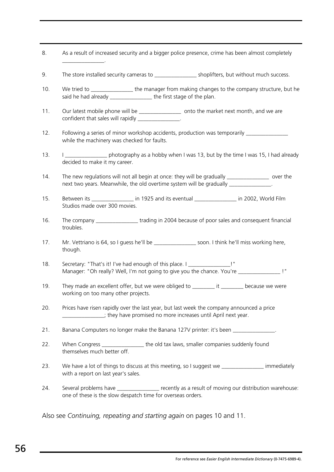| 8.  | As a result of increased security and a bigger police presence, crime has been almost completely                                                                                          |
|-----|-------------------------------------------------------------------------------------------------------------------------------------------------------------------------------------------|
| 9.  | The store installed security cameras to _____________________shoplifters, but without much success.                                                                                       |
| 10. | We tried to ______________________the manager from making changes to the company structure, but he<br>said he had already ___________________the first stage of the plan.                 |
| 11. | Our latest mobile phone will be __________________ onto the market next month, and we are<br>confident that sales will rapidly _______________.                                           |
| 12. | Following a series of minor workshop accidents, production was temporarily ____________<br>while the machinery was checked for faults.                                                    |
| 13. | photography as a hobby when I was 13, but by the time I was 15, I had already<br>decided to make it my career.                                                                            |
| 14. | The new regulations will not all begin at once: they will be gradually ________________ over the<br>next two years. Meanwhile, the old overtime system will be gradually _______________. |
| 15. | Between its ___________________ in 1925 and its eventual __________________ in 2002, World Film<br>Studios made over 300 movies.                                                          |
| 16. | The company ___________________trading in 2004 because of poor sales and consequent financial<br>troubles.                                                                                |
| 17. | Mr. Vettriano is 64, so I guess he'll be _________________ soon. I think he'll miss working here,<br>though.                                                                              |
| 18. | Secretary: "That's it! I've had enough of this place. I ________________!"<br>Manager: "Oh really? Well, I'm not going to give you the chance. You're ________________ !"                 |
| 19. | They made an excellent offer, but we were obliged to _________ it ________ because we were<br>working on too many other projects.                                                         |
| 20. | Prices have risen rapidly over the last year, but last week the company announced a price<br>: they have promised no more increases until April next year.                                |
| 21. | Banana Computers no longer make the Banana 127V printer: it's been ______________                                                                                                         |
| 22. | When Congress _____________________the old tax laws, smaller companies suddenly found<br>themselves much better off.                                                                      |
| 23. | We have a lot of things to discuss at this meeting, so I suggest we _____________ immediately<br>with a report on last year's sales.                                                      |
| 24. | Several problems have ________________ recently as a result of moving our distribution warehouse:<br>one of these is the slow despatch time for overseas orders.                          |

Also see *Continuing, repeating and starting again* on pages 10 and 11.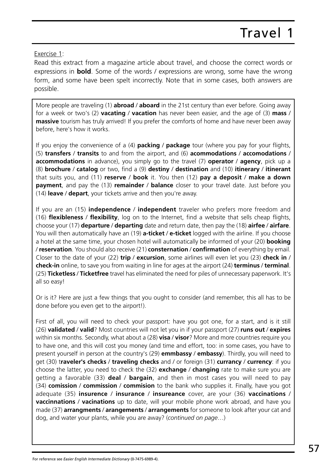Exercise 1:

Read this extract from a magazine article about travel, and choose the correct words or expressions in **bold**. Some of the words / expressions are wrong, some have the wrong form, and some have been spelt incorrectly. Note that in some cases, both answers are possible.

More people are traveling (1) **abroad** / **aboard** in the 21st century than ever before. Going away for a week or two's (2) **vacating** / **vacation** has never been easier, and the age of (3) **mass** / **massive** tourism has truly arrived! If you prefer the comforts of home and have never been away before, here's how it works.

If you enjoy the convenience of a (4) **packing** / **package** tour (where you pay for your flights, (5) **transfers** / **transits** to and from the airport, and (6) **acommodations** / **accomodations** / **accommodations** in advance), you simply go to the travel (7) **operator** / **agency**, pick up a (8) **brochure** / **catalog** or two, find a (9) **destiny** / **destination** and (10) **itinerary** / **itinerant** that suits you, and (11) **reserve** / **book** it. You then (12) **pay a deposit** / **make a down payment**, and pay the (13) **remainder** / **balance** closer to your travel date. Just before you (14) **leave** / **depart**, your tickets arrive and then you're away.

If you are an (15) **independence** / **independent** traveler who prefers more freedom and (16) **flexibleness** / **flexibility**, log on to the Internet, find a website that sells cheap flights, choose your (17) **departure** / **departing** date and return date, then pay the (18) **airfee** / **airfare**. You will then automatically have an (19) **a-ticket** / **e-ticket** logged with the airline. If you choose a hotel at the same time, your chosen hotel will automatically be informed of your (20) **booking** / **reservation**. You should also receive (21) **consternation** / **confirmation** of everything by email. Closer to the date of your (22) **trip** / **excursion**, some airlines will even let you (23) **check in** / **check-in** online, to save you from waiting in line for ages at the airport (24) **terminus** / **terminal**. (25) **Ticketless** / **Ticketfree** travel has eliminated the need for piles of unnecessary paperwork. It's all so easy!

Or is it? Here are just a few things that you ought to consider (and remember, this all has to be done before you even get to the airport!).

First of all, you will need to check your passport: have you got one, for a start, and is it still (26) **validated** / **valid**? Most countries will not let you in if your passport (27) **runs out** / **expires** within six months. Secondly, what about a (28) **visa** / **visor**? More and more countries require you to have one, and this will cost you money (and time and effort, too: in some cases, you have to present yourself in person at the country's (29) **emmbassy** / **embassy**). Thirdly, you will need to get (30) t**raveler's checks** / **traveling checks** and / or foreign (31) **currancy** / **currency**: if you choose the latter, you need to check the (32) **exchange** / **changing** rate to make sure you are getting a favorable (33) **deal** / **bargain**, and then in most cases you will need to pay (34) **comission** / **commission** / **commision** to the bank who supplies it. Finally, have you got adequate (35) **insurence** / **insurance** / **insureance** cover, are your (36) **vaccinations** / **vaccinnations** / **vacinations** up to date, will your mobile phone work abroad, and have you made (37) **arrangments** / **arangements** / **arrangements** for someone to look after your cat and dog, and water your plants, while you are away? (*continued on page*…)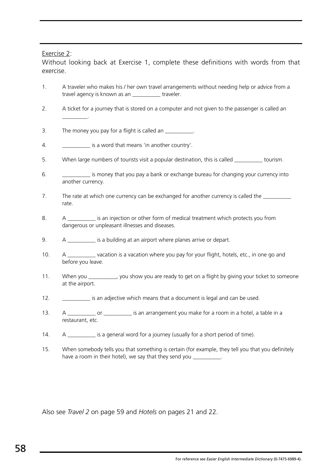## Exercise 2:

Without looking back at Exercise 1, complete these definitions with words from that exercise.

- 1. A traveler who makes his / her own travel arrangements without needing help or advice from a travel agency is known as an traveler.
- 2. A ticket for a journey that is stored on a computer and not given to the passenger is called an \_\_\_\_\_\_\_\_\_.
- 3. The money you pay for a flight is called an  $\blacksquare$
- 4. \_\_\_\_\_\_\_\_\_\_ is a word that means 'in another country'.
- 5. When large numbers of tourists visit a popular destination, this is called \_\_\_\_\_\_\_\_\_\_ tourism.
- 6. \_\_\_\_\_\_\_\_\_\_ is money that you pay a bank or exchange bureau for changing your currency into another currency.
- 7. The rate at which one currency can be exchanged for another currency is called the rate.
- 8. A can injection or other form of medical treatment which protects you from dangerous or unpleasant illnesses and diseases.
- 9. A \_\_\_\_\_\_\_\_\_\_ is a building at an airport where planes arrive or depart.
- 10. A \_\_\_\_\_\_\_\_\_\_ vacation is a vacation where you pay for your flight, hotels, etc., in one go and before you leave.
- 11. When you \_\_\_\_\_\_\_\_\_, you show you are ready to get on a flight by giving your ticket to someone at the airport.
- 12. \_\_\_\_\_\_\_\_\_\_ is an adjective which means that a document is legal and can be used.
- 13. A \_\_\_\_\_\_\_\_\_\_ or \_\_\_\_\_\_\_\_\_\_ is an arrangement you make for a room in a hotel, a table in a restaurant, etc.
- 14. A case is a general word for a journey (usually for a short period of time).
- 15. When somebody tells you that something is certain (for example, they tell you that you definitely have a room in their hotel), we say that they send you \_\_\_\_\_\_\_\_\_\_\_.

Also see *Travel 2* on page 59 and *Hotels* on pages 21 and 22.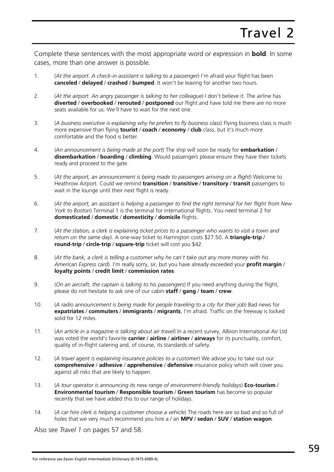Complete these sentences with the most appropriate word or expression in **bold**. In some cases, more than one answer is possible.

- 1. (*At the airport. A check-in assistant is talking to a passenger*) I'm afraid your flight has been **canceled** / **delayed** / **crashed** / **bumped**. It won't be leaving for another two hours.
- 2. (*At the airport. An angry passenger is talking to her colleague*) I don't believe it. The airline has **diverted** / **overbooked** / **rerouted** / **postponed** our flight and have told me there are no more seats available for us. We'll have to wait for the next one.
- 3. (*A business executive is explaining why he prefers to fly business class*) Flying business class is much more expensive than flying **tourist** / **coach** / **economy** / **club** class, but it's much more comfortable and the food is better.
- 4. (*An announcement is being made at the port*) The ship will soon be ready for **embarkation** / **disembarkation** / **boarding** / **climbing**. Would passengers please ensure they have their tickets ready and proceed to the gate.
- 5. (*At the airport, an announcement is being made to passengers arriving on a flight*) Welcome to Heathrow Airport. Could we remind **transition** / **transitive** / **transitory** / **transit** passengers to wait in the lounge until their next flight is ready.
- 6. (*At the airport, an assistant is helping a passenger to find the right terminal for her flight from New York to Boston*) Terminal 1 is the terminal for international flights. You need terminal 2 for **domesticated** / **domestic** / **domesticity** / **domicile** flights.
- 7. (*At the station, a clerk is explaining ticket prices to a passenger who wants to visit a town and return on the same day*). A one-way ticket to Harrington costs \$27.50. A **triangle-trip** / **round-trip** / **circle-trip** / **square-trip** ticket will cost you \$42.
- 8. (*At the bank, a clerk is telling a customer why he can't take out any more money with his American Express card*). I'm really sorry, sir, but you have already exceeded your **profit margin** / **loyalty points** / **credit limit** / **commission rates**.
- 9. (*On an aircraft, the captain is talking to his passengers*) If you need anything during the flight, please do not hesitate to ask one of our cabin **staff** / **gang** / **team** / **crew**.
- 10. (*A radio announcement is being made for people traveling to a city for their job*) Bad news for **expatriates** / **commuters** / **immigrants** / **migrants**, I'm afraid. Traffic on the freeway is locked solid for 12 miles.
- 11. (*An article in a magazine is talking about air travel*) In a recent survey, Albion International Air Ltd was voted the world's favorite **carrier** / **airline** / **airliner** / **airways** for its punctuality, comfort, quality of in-flight catering and, of course, its standards of safety.
- 12. (*A travel agent is explaining insurance policies to a customer*) We advise you to take out our **comprehensive** / **adhesive** / **apprehensive** / **defensive** insurance policy which will cover you against all risks that are likely to happen.
- 13. (*A tour operator is announcing its new range of environment-friendly holidays*) **Eco-tourism** / **Environmental tourism** / **Responsible tourism** / **Green tourism** has become so popular recently that we have added this to our range of holidays.
- 14. (*A car hire clerk is helping a customer choose a vehicle*) The roads here are so bad and so full of holes that we very much recommend you hire a / an **MPV** / **sedan** / **SUV** / **station wagon**.

Also see *Travel 1* on pages 57 and 58.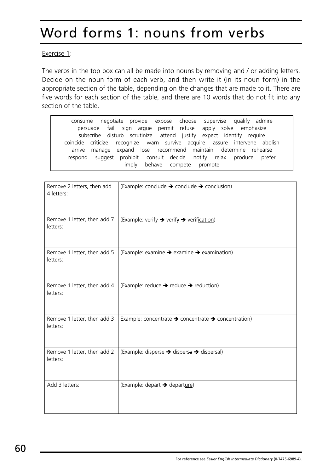# Word forms 1: nouns from verbs

## Exercise 1:

The verbs in the top box can all be made into nouns by removing and / or adding letters. Decide on the noun form of each verb, and then write it (in its noun form) in the appropriate section of the table, depending on the changes that are made to it. There are five words for each section of the table, and there are 10 words that do not fit into any section of the table.

consume negotiate provide expose choose supervise qualify admire persuade fail sign argue permit refuse apply solve emphasize subscribe disturb scrutinize attend justify expect identify require coincide criticize recognize warn survive acquire assure intervene abolish arrive manage expand lose recommend maintain determine rehearse respond suggest prohibit consult decide notify relax produce prefer imply behave compete promote

| Remove 2 letters, then add<br>4 letters: | (Example: conclude → conclude → conclusion)                                 |
|------------------------------------------|-----------------------------------------------------------------------------|
| Remove 1 letter, then add 7<br>letters:  | (Example: verify $\rightarrow$ verify $\rightarrow$ verification)           |
| Remove 1 letter, then add 5<br>letters:  | (Example: examine → examine → examination)                                  |
| Remove 1 letter, then add 4<br>letters:  | (Example: reduce $\rightarrow$ reduce $\rightarrow$ reduction)              |
| Remove 1 letter, then add 3<br>letters:  | Example: concentrate $\rightarrow$ concentrate $\rightarrow$ concentration) |
| Remove 1 letter, then add 2<br>letters:  | (Example: disperse → disperse → dispersal)                                  |
| Add 3 letters:                           | (Example: depart → departure)                                               |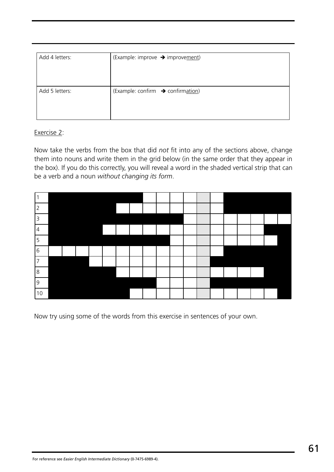| Add 4 letters: | (Example: improve $\rightarrow$ improvement) |
|----------------|----------------------------------------------|
| Add 5 letters: | (Example: confirm → confirmation)            |

## Exercise 2:

Now take the verbs from the box that did *not* fit into any of the sections above, change them into nouns and write them in the grid below (in the same order that they appear in the box). If you do this correctly, you will reveal a word in the shaded vertical strip that can be a verb and a noun *without changing its form*.



Now try using some of the words from this exercise in sentences of your own.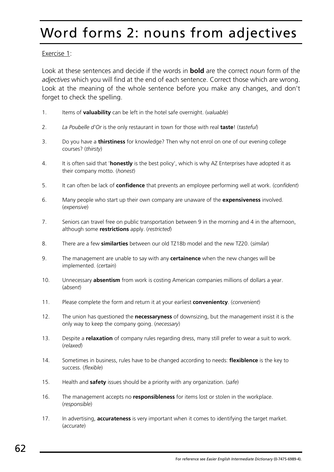# Word forms 2: nouns from adjectives

## Exercise 1:

Look at these sentences and decide if the words in **bold** are the correct *noun* form of the *adjectives* which you will find at the end of each sentence. Correct those which are wrong. Look at the meaning of the whole sentence before you make any changes, and don't forget to check the spelling.

- 1. Items of **valuability** can be left in the hotel safe overnight. (*valuable*)
- 2. *La Poubelle d'Or* is the only restaurant in town for those with real **taste**! (*tasteful*)
- 3. Do you have a **thirstiness** for knowledge? Then why not enrol on one of our evening college courses? (*thirsty*)
- 4. It is often said that '**honestly** is the best policy', which is why AZ Enterprises have adopted it as their company motto. (*honest*)
- 5. It can often be lack of **confidence** that prevents an employee performing well at work. (*confident*)
- 6. Many people who start up their own company are unaware of the **expensiveness** involved. (*expensive*)
- 7. Seniors can travel free on public transportation between 9 in the morning and 4 in the afternoon, although some **restrictions** apply. (*restricted*)
- 8. There are a few **similarties** between our old TZ18b model and the new TZ20. (*similar*)
- 9. The management are unable to say with any **certainence** when the new changes will be implemented. (*certain*)
- 10. Unnecessary **absentism** from work is costing American companies millions of dollars a year. (*absent*)
- 11. Please complete the form and return it at your earliest **convenientcy**. (*convenient*)
- 12. The union has questioned the **necessaryness** of downsizing, but the management insist it is the only way to keep the company going. (*necessary*)
- 13. Despite a **relaxation** of company rules regarding dress, many still prefer to wear a suit to work. (*relaxed*)
- 14. Sometimes in business, rules have to be changed according to needs: **flexiblence** is the key to success. (*flexible*)
- 15. Health and **safety** issues should be a priority with any organization. (*safe*)
- 16. The management accepts no **responsibleness** for items lost or stolen in the workplace. (*responsible*)
- 17. In advertising, **accurateness** is very important when it comes to identifying the target market. (*accurate*)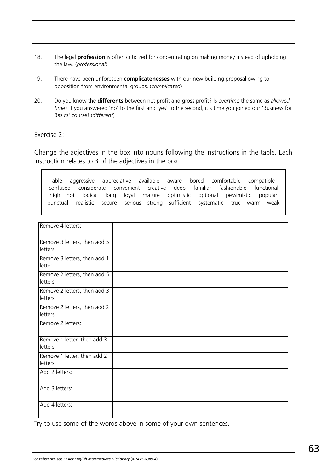- 18. The legal **profession** is often criticized for concentrating on making money instead of upholding the law. (*professional*)
- 19. There have been unforeseen **complicatenesses** with our new building proposal owing to opposition from environmental groups. (*complicated*)
- 20. Do you know the **differents** between net profit and gross profit? Is *overtime* the same as *allowed time*? If you answered 'no' to the first and 'yes' to the second, it's time you joined our 'Business for Basics' course! (*different*)

## Exercise 2:

Change the adjectives in the box into nouns following the instructions in the table. Each instruction relates to  $\frac{3}{5}$  of the adjectives in the box.

able aggressive appreciative available aware bored comfortable compatible confused considerate convenient creative deep familiar fashionable functional high hot logical long loyal mature optimistic optional pessimistic popular punctual realistic secure serious strong sufficient systematic true warm weak

| Remove 4 letters:            |  |
|------------------------------|--|
|                              |  |
|                              |  |
| Remove 3 letters, then add 5 |  |
| letters:                     |  |
| Remove 3 letters, then add 1 |  |
| letter:                      |  |
| Remove 2 letters, then add 5 |  |
| letters:                     |  |
| Remove 2 letters, then add 3 |  |
| letters:                     |  |
|                              |  |
| Remove 2 letters, then add 2 |  |
| letters:                     |  |
| Remove 2 letters:            |  |
|                              |  |
|                              |  |
| Remove 1 letter, then add 3  |  |
| letters:                     |  |
| Remove 1 letter, then add 2  |  |
| letters:                     |  |
|                              |  |
| Add 2 letters:               |  |
|                              |  |
| Add 3 letters:               |  |
|                              |  |
| Add 4 letters:               |  |
|                              |  |
|                              |  |

Try to use some of the words above in some of your own sentences.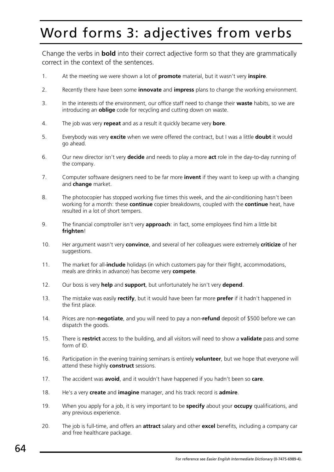# Word forms 3: adjectives from verbs

Change the verbs in **bold** into their correct adjective form so that they are grammatically correct in the context of the sentences.

- 1. At the meeting we were shown a lot of **promote** material, but it wasn't very **inspire**.
- 2. Recently there have been some **innovate** and **impress** plans to change the working environment.
- 3. In the interests of the environment, our office staff need to change their **waste** habits, so we are introducing an **oblige** code for recycling and cutting down on waste.
- 4. The job was very **repeat** and as a result it quickly became very **bore**.
- 5. Everybody was very **excite** when we were offered the contract, but I was a little **doubt** it would go ahead.
- 6. Our new director isn't very **decide** and needs to play a more **act** role in the day-to-day running of the company.
- 7. Computer software designers need to be far more **invent** if they want to keep up with a changing and **change** market.
- 8. The photocopier has stopped working five times this week, and the air-conditioning hasn't been working for a month: these **continue** copier breakdowns, coupled with the **continue** heat, have resulted in a lot of short tempers.
- 9. The financial comptroller isn't very **approach**: in fact, some employees find him a little bit **frighten**!
- 10. Her argument wasn't very **convince**, and several of her colleagues were extremely **criticize** of her suggestions.
- 11. The market for all-**include** holidays (in which customers pay for their flight, accommodations, meals are drinks in advance) has become very **compete**.
- 12. Our boss is very **help** and **support**, but unfortunately he isn't very **depend**.
- 13. The mistake was easily **rectify**, but it would have been far more **prefer** if it hadn't happened in the first place.
- 14. Prices are non-**negotiate**, and you will need to pay a non-**refund** deposit of \$500 before we can dispatch the goods.
- 15. There is **restrict** access to the building, and all visitors will need to show a **validate** pass and some form of ID.
- 16. Participation in the evening training seminars is entirely **volunteer**, but we hope that everyone will attend these highly **construct** sessions.
- 17. The accident was **avoid**, and it wouldn't have happened if you hadn't been so **care**.
- 18. He's a very **create** and **imagine** manager, and his track record is **admire**.
- 19. When you apply for a job, it is very important to be **specify** about your **occupy** qualifications, and any previous experience.
- 20. The job is full-time, and offers an **attract** salary and other **excel** benefits, including a company car and free healthcare package.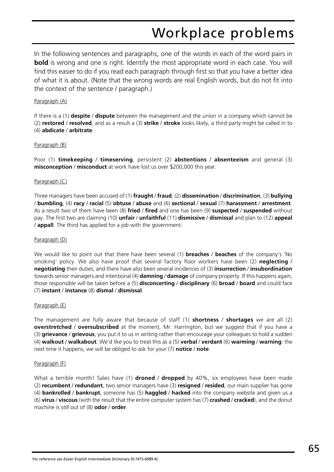# Workplace problems

In the following sentences and paragraphs, one of the words in each of the word pairs in **bold** is wrong and one is right. Identify the most appropriate word in each case. You will find this easier to do if you read each paragraph through first so that you have a better idea of what it is about. (Note that the wrong words are real English words, but do not fit into the context of the sentence / paragraph.)

## Paragraph (A)

If there is a (1) **despite** / **dispute** between the management and the union in a company which cannot be (2) **restored** / **resolved**, and as a result a (3) **strike** / **stroke** looks likely, a third party might be called in to (4) **abdicate** / **arbitrate**.

### Paragraph (B)

Poor (1) **timekeeping** / **timeserving**, persistent (2) **abstentions** / **absenteeism** and general (3) **misconception** / **misconduct** at work have lost us over \$200,000 this year.

## Paragraph (C)

Three managers have been accused of (1) **fraught** / **fraud**, (2) **dissemination** / **discrimination**, (3) **bullying** / **bumbling**, (4) **racy** / **racial** (5) **obtuse** / **abuse** and (6) **sectional** / **sexual** (7) **harassment** / **arrestment**. As a result two of them have been (8) **fried** / **fired** and one has been (9) **suspected** / **suspended** without pay. The first two are claiming (10) **unfair** / **unfaithful** (11) **dismissive** / **dismissal** and plan to (12) **appeal** / **appall**. The third has applied for a job with the government.

### Paragraph (D)

We would like to point out that there have been several (1) **breaches** / **beaches** of the company's 'No smoking' policy. We also have proof that several factory floor workers have been (2) **neglecting** / **negotiating** their duties, and there have also been several incidences of (3) **insurrection** / **insubordination** towards senior managers and intentional (4) **damning** / **damage** of company property. If this happens again, those responsible will be taken before a (5) **disconcerting** / **disciplinary** (6) **broad** / **board** and could face (7) **instant** / **instance** (8) **dismal** / **dismissal**.

### Paragraph (E)

The management are fully aware that because of staff (1) **shortness** / **shortages** we are all (2) **overstretched** / **oversubscribed** at the moment, Mr. Harrington, but we suggest that if you have a (3) **grievance** / **grievous**, you put it to us in writing rather than encourage your colleagues to hold a sudden (4) **walkout** / **walkabout**. We'd like you to treat this as a (5) **verbal** / **verdant** (6) **warming** / **warning**: the next time it happens, we will be obliged to ask for your (7) **notice** / **note**.

### Paragraph (F)

What a terrible month! Sales have (1) **droned** / **dropped** by 40%, six employees have been made (2) **recumbent** / **redundant**, two senior managers have (3) **resigned** / **resided**, our main supplier has gone (4) **bankrolled** / **bankrupt**, someone has (5) **haggled** / **hacked** into the company website and given us a (6) **virus** / **viscous** (with the result that the entire computer system has (7) **crashed** / **cracked**), and the donut machine is *still* out of (8) **odor** / **order**.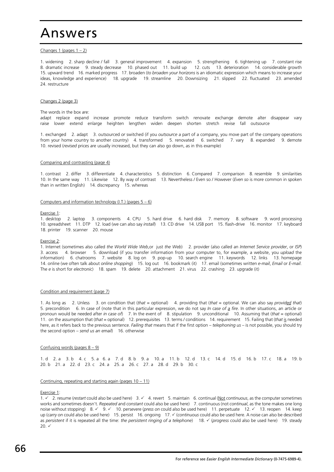## Answers

### Changes 1 (pages  $1 - 2$ )

1. widening 2. sharp decline / fall 3. general improvement 4. expansion 5. strengthening 6. tightening up 7. constant rise 8. dramatic increase 9. steady decrease 10. phased out 11. build up 12. cuts 13. deterioration 14. considerable growth 15. upward trend 16. marked progress 17. broaden (*to broaden your horizons* is an idiomatic expression which means to increase your ideas, knowledge and experience) 18. upgrade 19. streamline 20. Downsizing 21. slipped 22. fluctuated 23. amended 24. restructure

### Changes 2 (page 3)

### The words in the box are:

adapt replace expand increase promote reduce transform switch renovate exchange demote alter disappear vary raise lower extend enlarge heighten lengthen widen deepen shorten stretch revise fall outsource

1. exchanged 2. adapt 3. outsourced *or* switched (if you *outsource* a part of a company, you move part of the company operations from your home country to another country) 4. transformed 5. renovated 6. switched 7. vary 8. expanded 9. demote 10. revised (*revised* prices are usually increased, but they can also go down, as in this example)

#### Comparing and contrasting (page 4)

1. contrast 2. differ 3. differentiate 4. characteristics 5. distinction 6. Compared 7. comparison 8. resemble 9. similarities 10. In the same way 11. Likewise 12. By way of contrast 13. Nevertheless / Even so / However (*Even so* is more common in spoken than in written English) 14. discrepancy 15. whereas

### Computers and information technology (I.T.) (pages  $5 - 6$ )

#### Exercise 1:

1. desktop 2. laptop 3. components 4. CPU 5. hard drive 6. hard disk 7. memory 8. software 9. word processing 10. spreadsheet 11. DTP 12. load (we can also say *install*) 13. CD drive 14. USB port 15. flash-drive 16. monitor 17. keyboard 18. printer 19. scanner 20. mouse

#### Exercise 2:

1. Internet (sometimes also called *the World Wide Web*,or just *the Web*) 2. provider (also called an *Internet Service provider*, or *ISP*) 3. access 4. browser 5. download (if you transfer information from your computer to, for example, a website, you *upload* the information) 6. chatrooms 7. website 8. log on 9. pop-up 10. search engine 11. keywords 12. links 13. homepage 14. online (we often talk about *online shopping*) 15. log out 16. bookmark (it) 17. email (sometimes written *e-mail*, *Email* or *E-mail*. The *e* is short for *electronic*) 18. spam 19. delete 20. attachment 21. virus 22. crashing 23. upgrade (it)

#### Condition and requirement (page 7)

1. As long as 2. Unless 3. on condition that (*that* = optional) 4. providing that (*that* = optional. We can also say *provided that*) 5. precondition 6. In case of (note that in this particular expression, we do not say *In case of a fire*. In other situations, an article or pronoun would be needed after *in case of*) 7. In the event of 8. stipulation 9. unconditional 10. Assuming that (*that* = optional) 11. on the assumption that (*that* = optional) 12. prerequisites 13. terms / conditions 14. requirement 15. Failing that (*that* is needed here, as it refers back to the previous sentence. *Failing that* means that if the first option – *telephoning us* – is not possible, you should try the second option – *send us an email*) 16. otherwise

### Confusing words (pages 8 – 9)

1. d 2. a 3. b 4. c 5. a 6. a 7. d 8. b 9. a 10. a 11. b 12. d 13. c 14. d 15. d 16. b 17. c 18. a 19. b 20. b 21. a 22. d 23. c 24. a 25. a 26. c 27. a 28. d 29. b 30. c

### Continuing, repeating and starting again (pages  $10 - 11$ )

#### Exercise 1:

1. " 2. resume (*restart* could also be used here) 3. " 4. revert 5. maintain 6. continual (Not *continuous*, as the computer sometimes works and sometimes doesn't. *Repeated* and *constant* could also be used here) 7. continuous (not *continual*, as the tone makes one long noise without stopping) 8. √ 9. √ 10. persevere (*press on* could also be used here) 11. perpetuate 12. √ 13. reopen 14. keep up (*carry on* could also be used here) 15. persist 16. ongoing 17. " (*continuous* could also be used here. A noise can also be described as *persistent* if it is repeated all the time: *the persistent ringing of a telephone*) 18. " (*progress* could also be used here) 19. steady 20.  $\checkmark$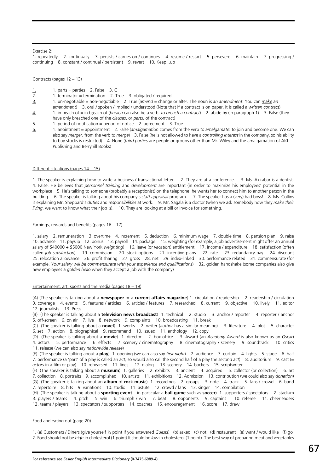### Exercise 2:

1. repeatedly 2. continually 3. persists / carries on / continues 4. resume / restart 5. persevere 6. maintain 7. progressing / continuing 8. constant / continual / persistent 9. revert 10. Keep...up

### Contracts (pages 12 – 13)

- $1.$  1. parts = parties 2. False 3. C
- 2. 1. terminator = termination 2. True 3. obligated / required  $\overline{3}$ . 1. un-negotiable = non-negotiable 2. True (amend = change
- 3. 1. un-negotiable = non-negotiable 2. True (*amend* = change or alter. The noun is *an amendment*. You can *make an*
- *amendment*) 3. oral / spoken / implied / understood (Note that if a contract is on paper, it is called a *written contract*)
- 4. 1. in beach of = in breach of (*breach* can also be a verb: *to breach a contract*) 2. abide by (in paragraph 1) 3. False (they have only breached one of the *clauses*, or *parts*, of the contract)
- $5.$  1. period of notification = period of notice 2. agreement 3. True
- 6. 1. anointment = appointment 2. False (*amalgamation* comes from the verb *to amalgamate*: to join and become one. We can also say *merger*, from the verb *to merge*) 3. False (he is not allowed to have a *controlling interest* in the company, so his ability to buy stocks is restricted) 4. None (*third parties* are people or groups other than Mr. Wiley and the amalgamation of AKL Publishing and Berryhill Books)

### Different situations (pages 14 – 15)

1. The speaker is explaining how to write a business / transactional letter. 2. They are at a conference. 3. Ms. Akkabar is a dentist. 4. False. He believes that *personnel training* and *development* are important (in order to maximize his employees' potential in the workplace 5. He's talking to someone (probably a receptionist) on the telephone: he wants her to connect him to another person in the building. 6. The speaker is talking about his company's *staff appraisal* program. 7. The speaker has a (very) bad boss! 8. Ms. Collins is explaining Mr. Sheppard's *duties* and *responsibilities* at work. 9. Mr. Sagala is a doctor (when we ask somebody how they *make their living*, we want to know what their job is). 10. They are looking at a bill or invoice for something.

### Earnings, rewards and benefits (pages  $16 - 17$ )

1. salary 2. remuneration 3. overtime 4. increment 5. deduction 6. minimum wage 7. double time 8. pension plan 9. raise 10. advance 11. payslip 12. bonus 13. payroll 14. package 15. weighting (for example, a job advertisement might offer an annual salary of \$40000 + \$5000 New York *weighting*) 16. leave (or *vacation*) entitlement 17. income / expenditure 18. satisfaction (often called *job satisfaction*) 19. commission 20. stock options 21. incentive plans 22. rate 23. redundancy pay 24. discount 25. relocation allowance 26. profit sharing 27. gross 28. net 29. index-linked 30. performance related 31. commensurate (for example, *Your salary will be commensurate with your experience and qualifications*) 32. golden handshake (some companies also give new employees a *golden hello* when they accept a job with the company)

#### Entertainment, art, sports and the media (pages  $18 - 19$ )

(A) (The speaker is talking about a **newspaper** or a **current affairs magazine**) 1. circulation / readership 2. readership / circulation 3. coverage 4. events 5. features / articles 6. articles / features 7. researched 8. current 9. objective 10. lively 11. editor 12. journalists 13. Press

(B) (The speaker is talking about a **television news broadcast**) 1. technical 2. studio 3. anchor / reporter 4. reporter / anchor 5. off-screen 6. on air 7. live 8. network 9. complaints 10. broadcasting 11. break

(C) (The speaker is talking about a **novel**) 1. works 2. writer (*author* has a similar meaning) 3. literature 4. plot 5. character 6. set 7. action 8. biographical 9. recommend 10. issued 11. anthology 12. copy

(D) (The speaker is talking about a **movie**) 1. director 2. box-office 3. Award (an *Academy Award* is also known as an *Oscar*) 4. actors 5. performance 6. effects 7. scenery / cinematography 8. cinematography / scenery 9. soundtrack 10. critics 11. release (we can also say *nationwide release*)

(E) (The speaker is talking about a **play**) 1. opening (we can also say *first night*) 2. audience 3. curtain 4. lights 5. stage 6. half 7. performance (a 'part' of a play is called an *act,* so would also call the second half of a play the *second act*) 8. auditorium 9. cast (= *actors* in a film or play) 10. rehearsed 11. lines 12. dialog 13. scenery 14. backers 15. scriptwriter

(F) (The speaker is talking about a **museum**) 1. galleries 2. exhibits 3. ancient 4. acquired 5. collector (or collection) 6. art 7. collection 8. portraits 9. accomplished 10. artists 11. exhibitions 12. Admission 13. contribution (we could also say *donation*) (G) (The speaker is talking about an **album** of **rock music**) 1. recordings 2. groups 3. note 4. track 5. fans / crowd 6. band 7. repertoire 8. hits 9. variations 10. studio 11. astute 12. crowd / fans 13. singer 14. compilation

(H) (The speaker is talking about a **sporting event** – in particular a **ball game** such as **soccer**) 1. supporters / spectators 2. stadium 3. players / teams 4. pitch 5. win 6. triumph / win 7. beat 8. opponents 9. captains 10. referee 11. cheerleaders 12. teams / players 13. spectators / supporters 14. coaches 15. encouragement 16. score 17. draw

#### Food and eating out (page 20)

1. (a) Customers / Diners (give yourself ½ point if you answered *Guests*) (b) asked (c) not (d) restaurant (e) want / would like (f) go 2. Food should not be *high* in cholesterol (1 point) It should be *low* in cholesterol (1 point). The best way of preparing meat and vegetables

For reference see *Easier English Intermediate Dictionary* (0-7475-6989-4).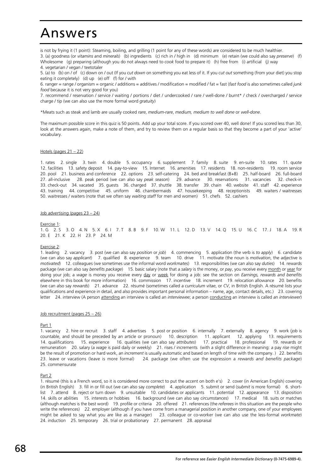is not by frying it (1 point): Steaming, boiling, and grilling (1 point for any of these words) are considered to be much healthier. 3. (a) goodness (or *vitamins* and *minerals*) (b) ingredients (c) rich in / high in (d) minimum (e) retain (we could also say *preserve*) (f) Wholesome (g) preparing (although you do not always need to *cook* food to prepare it) (h) free from (i) artificial (j) way

4. vegetarian / vegan / teetotaler 5. (a) to (b) on / of (c) down on / out (If you *cut down* on something you eat less of it. If you *cut out* something (from your diet) you stop eating it completely) (d) up (e) off (f) for / with

6. ranger = range / organism = organic / additions = additives / modification = modified / fat = fast (*fast food* is also sometimes called *junk food* because it is not very good for you)

7. recommend / reservation / service / waiting / portions / diet / undercooked / rare / well-done / burnt\* / check / overcharged / service charge / tip (we can also use the more formal word *gratuity*)

\*Meats such as steak and lamb are usually cooked *rare*, *medium-rare*, *medium, medium to well done* or *well-done*.

The maximum possible score in this quiz is 50 points. Add up your total score. If you scored over 40, well done! If you scored less than 30, look at the answers again, make a note of them, and try to review them on a regular basis so that they become a part of your 'active' vocabulary.

# Hotels (pages 21 – 22)

1. rates 2. single 3. twin 4. double 5. occupancy 6. supplement 7. family 8. suite 9. en-suite 10. rates 11. quote 12. facilities 13. safety deposit 14. pay-to-view 15. Internet 16. amenities 17. residents 18. non-residents 19. room service 20. pool 21. business and conference 22. options 23. self-catering 24. bed and breakfast (B+B) 25. half-board 26. full-board 27. all-inclusive 28. peak period (we can also say *peak season*) 29. advance 30. reservations 31. vacancies 32. check-in 33. check-out 34. vacated 35. guests 36. charged 37. shuttle 38. transfer 39. chain 40. website 41. staff 42. experience 43. training 44. competitive 45. uniform 46. chambermaids 47. housekeeping 48. receptionists 49. waiters / waitresses 50. waitresses / waiters (note that we often say *waiting staff* for men and women) 51. chefs 52. cashiers

## Job advertising (pages 23 – 24)

## Exercise 1:

1. G 2. S 3. O 4. N 5. X 6. I 7. T 8. B 9. F 10. W 11. L 12. D 13. V 14. Q 15. U 16. C 17. J 18. A 19. R 20. E 21. K 22. H 23. P 24. M

# Exercise 2:

1. leading 2. vacancy 3. post (we can also say *position* or *job*) 4. commencing 5. application (the verb is *to apply*) 6. candidate (we can also say *applicant*) 7. qualified 8. experience 9. team 10. drive 11. motivate (the noun is *motivation*, the adjective is *motivated*) 12. colleagues (we sometimes use the informal word *workmates*) 13. responsibilities (we can also say *duties*) 14. rewards package (we can also say *benefits package*) 15. basic salary (note that a *salary* is the money, or *pay*, you receive every month or year for doing your job; a *wage* is money you receive every day or week for doing a job: see the section on *Earnings, rewards and benefits* elsewhere in this book for more information) 16. commission 17. incentive 18. increment 19. relocation allowance 20. benefits (we can also say *rewards*) 21. advance 22. résumé (sometimes called a *curriculum vitae*, or *CV*, in British English. A résumé lists your qualifications and experience in detail, and also provides important personal information – name, age, contact details, etc.) 23. covering letter 24. interview (A person attending an interview is called an *interviewee*; a person conducting an interview is called an *interviewer*)

# Job recruitment (pages 25 - 26)

# Part 1

1. vacancy 2. hire or recruit 3. staff 4. advertises 5. post or position 6. internally 7. externally 8. agency 9. work (job is countable, and should be preceded by an article or pronoun) 10. description 11. applicant 12. applying 13. requirements 14. qualifications 15. experience 16. qualities (we can also say *attributes*) 17. practical 18. professional 19. rewards or remuneration 20. salary (a *wage* is paid daily or weekly) 21. rises / increments (with a slight difference in meaning: a pay *rise* might be the result of promotion or hard work, an *increment* is usually automatic and based on length of time with the company. ) 22. benefits 23. leave or vacations (leave is more formal) 24. package (we often use the expression a *rewards and benefits package*) 25. commensurate

# Part 2

1. résumé (this is a French word, so it is considered more correct to put the accent on both e's) 2. cover (in American English) covering (in British English) 3. fill in or fill out (we can also say *complete*) 4. application 5. submit or send (*submit* is more formal) 6. shortlist 7. attend 8. reject or turn down 9. unsuitable 10. candidates or applicants 11. potential 12. appearance 13. disposition 14. skills or abilities 15. interests or hobbies 16. background (we can also say *circumstances*) 17. medical 18. suits or matches (although *matches* is the best word) 19. profile or criteria 20. offered 21. references (the *referees* in this situation are the people who write the references) 22. employer (although if you have come from a managerial position in another company, one of your employees might be asked to say what you are like as a manager) 23. colleague or co-worker (we can also use the less-formal *workmate*) 24. induction 25. temporary 26. trial or probationary 27. permanent 28. appraisal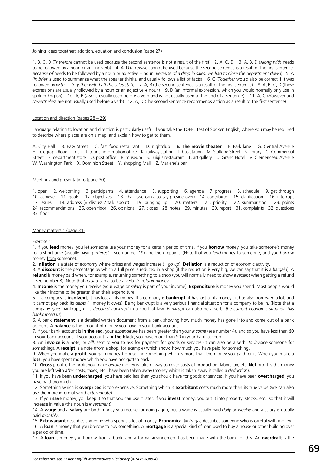## Joining ideas together: addition, equation and conclusion (page 27)

1. B, C, D (*Therefore* cannot be used because the second sentence is not a result of the first) 2. A, C, D 3. A, B, D (*Along with* needs to be followed by a noun or an -ing verb) 4. A, D (*Likewise* cannot be used because the second sentence is a result of the first sentence. *Because of* needs to be followed by a noun or adjective + noun: *Because of a drop in sales, we had to close the department down*) 5. A (*In brief* is used to summarize what the speaker thinks, and usually follows a list of facts) 6. C (*Together* would also be correct if it was followed by *with*: *…together with half the sales staff*) 7. A, B (the second sentence is a result of the first sentence) 8. A, B, C, D (these expressions are usually followed by a noun or an adjective + noun) 9. D (an informal expression, which you would normally only use in spoken English) 10. A, B (*also* is usually used before a verb and is not usually used at the end of a sentence) 11. A, C (*However* and *Nevertheless* are not usually used before a verb) 12. A, D (The second sentence recommends action as a result of the first sentence)

## Location and direction (pages 28 – 29)

Language relating to location and direction is particularly useful if you take the TOEIC Test of Spoken English, where you may be required to describe where places are on a map, and explain how to get to them.

A. City Hall B. Easy Street C. fast food restaurant D. nightclub **E. The movie theater** F. Park lane G. Central Avenue H. Telegraph Road I. deli J. tourist information office K. railway station L. bus station M. Stallone Street N. library O. Commercial Street P. department store Q. post office R. museum S. Luigi's restaurant T. art gallery U. Grand Hotel V. Clemenceau Avenue W. Washington Park X. Dominion Street Y. shopping Mall Z. Marlene's bar

## Meetings and presentations (page 30)

1. open 2. welcoming 3. participants 4. attendance 5. supporting 6. agenda 7. progress 8. schedule 9. get through 10. achieve 11. goals 12. objectives 13. chair (we can also say preside over) 14. contribute 15. clarification 16. interrupt 17. issues 18. address (= discuss / talk about) 19. bringing up 20. matters 21. priority 22. summarizing 23. points 24. recommendations 25. open floor 26. opinions 27. closes 28. notes 29. minutes 30. report 31. complaints 32. questions 33. floor

#### Money matters 1 (page 31)

#### Exercise 1:

1. If you **lend** money, you let someone use your money for a certain period of time. If you **borrow** money, you take someone's money for a short time (usually paying *interest* – see number 19) and then repay it. (Note that you *lend* money to someone, and you *borrow* money from someone).

2. **Inflation** is a state of economy where prices and wages increase (= *go up*). **Deflation** is a reduction of economic activity.

3. A **discount** is the percentage by which a full price is reduced in a shop (if the reduction is very big, we can say that it is a *bargain*). A **refund** is money paid when, for example, returning something to a shop (you will normally need to show a *receipt* when getting a refund – see number 8). Note that *refund* can also be a verb: *to refund money*.

4. **Income** is the money you receive (your *wage* or *salary* is part of your income). **Expenditure** is money you spend. Most people would like their income to be greater than their expenditure.

5. If a company is **insolvent**, it has lost all its money. If a company is **bankrupt**, it has lost all its money , it has also borrowed a lot, and it cannot pay back its *debts* (= money it owes). Being bankrupt is a very serious financial situation for a company to be in. (Note that a company *goes* bankrupt, or is *declared bankrupt* in a court of law. *Bankrupt* can also be a verb: *the current economic situation has bankrupted us*)

6. A bank **statement** is a detailed written document from a bank showing how much money has gone into and come out of a bank account. A **balance** is the amount of money you have in your bank account.

7. If your bank account is **in the red**, your *expenditure* has been greater than your *income* (see number 4), and so you have less than \$0 in your bank account. If your account is **in the black**, you have more than \$0 in your bank account.

8. An **invoice** is a note, or *bill*, sent to you to ask for payment for goods or services (it can also be a verb: *to invoice* someone for something). A **receipt** is a note (from a shop, for example) which shows how much you have paid for something.

9. When you make a **profit**, you gain money from selling something which is more than the money you paid for it. When you make a **loss**, you have spent money which you have not gotten back.

10. **Gross** profit is the profit you make *before* money is taken away to cover costs of production, labor, tax, etc. **Net** profit is the money you are left with *after* costs, taxes, etc., have been taken away (money which is taken away is called a *deduction*).

11. If you have been **undercharged**, you have paid less than you should have for goods or services. If you have been **overcharged**, you have paid too much.

12. Something which is **overpriced** is too expensive. Something which is **exorbitant** costs much more than its true value (we can also use the more informal word *extortionate*).

13. If you **save** money, you keep it so that you can use it later. If you **invest** money, you put it into property, stocks, etc., so that it will increase in value (the noun is *investment*).

14. A **wage** and a **salary** are both money you receive for doing a job, but a wage is usually paid *daily* or *weekly* and a salary is usually paid *monthly*.

15. **Extravagant** describes someone who spends a lot of money. **Economical** (= *frugal*) describes someone who is careful with money.

16. A **loan** is money that you borrow to buy something. A **mortgage** is a special kind of loan used to buy a house or other building over a period of time.

17. A **loan** is money you borrow from a bank, and a formal arrangement has been made with the bank for this. An **overdraft** is the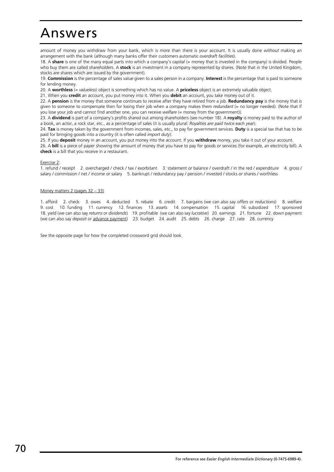amount of money you withdraw from your bank, which is more than there is your account. It is usually done *without* making an arrangement with the bank (although many banks offer their customers automatic *overdraft facilities*).

18. A **share** is one of the many equal parts into which a company's *capital* (= money that is invested in the company) is divided. People who buy them are called *shareholders*. A **stock** is an investment in a company represented by shares. (Note that in the United Kingdom, stocks are shares which are issued by the government).

19. **Commission** is the percentage of sales value given to a sales person in a company. **Interest** is the percentage that is paid to someone for lending money.

20. A **worthless** (= *valueless*) object is something which has no value. A **priceless** object is an extremely valuable object.

21. When you **credit** an account, you put money into it. When you **debit** an account, you take money out of it.

22. A **pension** is the money that someone continues to receive after they have retired from a job. **Redundancy pay** is the money that is given to someone to compensate then for losing their job when a company makes them *redundant* (= no longer needed). (Note that if you lose your job and cannot find another one, you can receive *welfare* (= money from the government)).

23. A **dividend** is part of a company's profits shared out among shareholders (see number 18). A **royalty** is money paid to the author of a book, an actor, a rock star, etc., as a percentage of sales (it is usually plural: *Royalties are paid twice each year*).

24. **Tax** is money taken by the government from incomes, sales, etc., to pay for government services. **Duty** is a special tax that has to be paid for bringing goods into a country (it is often called *import duty*).

25. If you **deposit** money in an account, you put money into the account. If you **withdraw** money, you take it out of your account.

26. A **bill** is a piece of paper showing the amount of money that you have to pay for goods or services (for example, an electricity bill). A **check** is a bill that you receive in a restaurant.

# Exercise 2:

1. refund / receipt 2. overcharged / check / tax / exorbitant 3. statement *or* balance / overdraft / in the red / expenditure 4. gross / salary / commission / net / income *or* salary 5. bankrupt / redundancy pay / pension / invested / stocks *or* shares / worthless

# Money matters 2 (pages 32 – 33)

1. afford 2. check 3. owes 4. deducted 5. rebate 6. credit 7. bargains (we can also say *offers* or *reductions*) 8. welfare 9. cost 10. funding 11. currency 12. finances 13. assets 14. compensation 15. capital 16. subsidized 17. sponsored 18. yield (we can also say *returns* or *dividends*) 19. profitable (we can also say *lucrative*) 20. earnings 21. fortune 22. down payment (we can also say *deposit* or advance payment) 23. budget 24. audit 25. debts 26. charge 27. rate 28. currency

See the opposite page for how the completed crossword grid should look.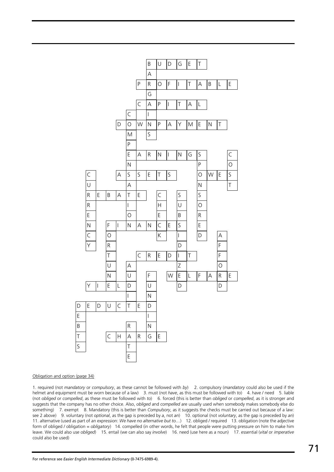

# Obligation and option (page 34)

1. required (not *mandatory* or *compulsory*, as these cannot be followed with *by*) 2. compulsory (*mandatory* could also be used if the helmet and equipment must be worn because of a law) 3. must (not *have*, as this must be followed with *to*) 4. have / need 5. liable (not *obliged* or *compelled*, as these must be followed with *to*) 6. forced (this is better than *obliged* or *compelled*, as it is stronger and suggests that the company has no other choice. Also, *obliged* and *compelled* are usually used when somebody makes somebody else do something) 7. exempt 8. Mandatory (this is better than *Compulsory*, as it suggests the checks must be carried out because of a law: see 2 above) 9. voluntary (not *optional*, as the gap is preceded by *a*, not *an*) 10. optional (not *voluntary*, as the gap is preceded by *an*) 11. alternative (used as part of an expression: *We have no alternative but to…*) 12. obliged / required 13. obligation (note the adjective form of obliged / obligation = *obligatory*) 14. compelled (in other words, he felt that people were putting pressure on him to make him leave. We could also use *obliged*) 15. entail (we can also say *involve*) 16. need (use here as a noun) 17. essential (*vital* or *imperative* could also be used)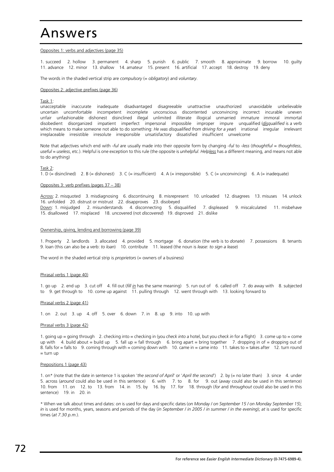# Opposites 1: verbs and adjectives (page 35)

1. succeed 2. hollow 3. permanent 4. sharp 5. punish 6. public 7. smooth 8. approximate 9. borrow 10. guilty 11. advance 12. minor 13. shallow 14. amateur 15. present 16. artificial 17. accept 18. destroy 19. deny

The words in the shaded vertical strip are *compulsory* (= *obligatory*) and *voluntary*.

# Opposites 2: adjective prefixes (page 36)

# Task 1:

unacceptable inaccurate inadequate disadvantaged disagreeable unattractive unauthorized unavoidable unbelievable uncertain uncomfortable incompetent incomplete unconscious discontented unconvincing incorrect incurable uneven unfair unfashionable dishonest disinclined illegal unlimited illiterate illogical unmarried immature immoral immortal disobedient disorganized impatient imperfect impersonal impossible improper impure unqualified (*disqualified* is a verb which means to make someone not able to do something: *He was disqualified from driving for a year*) irrational irregular irrelevant irreplaceable irresistible irresolute irresponsible unsatisfactory dissatisfied insufficient unwelcome

Note that adjectives which end with -*ful* are usually made into their opposite form by changing -*ful* to -*less* (*thoughtful* = *thoughtless*, *useful* = *useless*, etc.). Helpful is one exception to this rule (the opposite is *unhelpful*. *Helpless* has a different meaning, and means not able to do anything)

Task 2:

1. D (= disinclined) 2. B (= dishonest) 3. C (= insufficient) 4. A (= irresponsible) 5. C (= unconvincing) 6. A (= inadequate)

# Opposites 3: verb prefixes (pages 37 – 38)

Across: 2. misquoted 3. misdiagnosing 6. discontinuing 8. misrepresent 10. unloaded 12. disagrees 13. misuses 14. unlock 16. unfolded 20. distrust or mistrust 22. disapproves 23. disobeyed Down: 1. misjudged 2. misunderstands 4. disconnecting 5. disqualified 7. displeased 9. miscalculated 11. misbehave 15. disallowed 17. misplaced 18. uncovered (not *discovered*) 19. disproved 21. dislike

# Ownership, giving, lending and borrowing (page 39)

1. Property 2. landlords 3. allocated 4. provided 5. mortgage 6. donation (the verb is to *donate*) 7. possessions 8. tenants 9. loan (this can also be a verb: *to loan*) 10. contribute 11. leased (the noun is *lease*: *to sign a lease*)

The word in the shaded vertical strip is *proprietors* (= owners of a business)

# Phrasal verbs 1 (page 40)

1. go up 2. end up 3. cut off 4. fill out (*fill in* has the same meaning) 5. run out of 6. called off 7. do away with 8. subjected to 9. get through to 10. come up against 11. pulling through 12. went through with 13. looking forward to

# Phrasal verbs 2 (page 41)

1. on 2. out 3. up 4. off 5. over 6. down 7. in 8. up 9. into 10. up with

# Phrasal verbs 3 (page 42)

1. going up = going through 2. checking into = checking in (you *check into* a hotel, but you *check in* for a flight) 3. come up to = come up with 4. build about = build up 5. fall up = fall through 6. bring apart = bring together 7. dropping in of = dropping out of 8. falls for = falls to 9. coming through with = coming down with 10. came in = came into 11. takes to = takes after 12. turn round = turn up

# Prepositions 1 (page 43)

1. on\* (note that the date in sentence 1 is spoken '*the second of April*' or '*April the second*') 2. by (= no later than) 3. since 4. under 5. across (*around* could also be used in this sentence) 6. with 7. to 8. for 9. out (*away* could also be used in this sentence) 10. from 11. on 12. to 13. from 14. in 15. by 16. by 17. for 18. through (*for* and *throughout* could also be used in this sentence) 19. in 20. in

\* When we talk about times and dates: *on* is used for days and specific dates (*on Monday / on September 15 / on Monday September 15*); *in* is used for months, years, seasons and periods of the day (*in September / in 2005 / in summer / in the evening*); *at* is used for specific times (*at 7.30 p.m*.).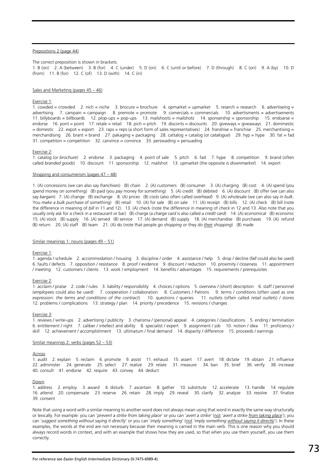## Prepositions 2 (page 44)

The correct preposition is shown in brackets.

1. B (on) 2. A (between) 3. B (for) 4. C (under) 5. D (on) 6. C (until *or* before) 7. D (through) 8. C (on) 9. A (by) 10. D (from) 11. B (for) 12. C (of) 13. D (with) 14. C (in)

## Sales and Marketing (pages  $45 - 46$ )

#### Exercise 1:

1. cowded = crowded 2. nich = niche 3. brocure = brochure 4. opmarket = upmarket 5. reserch = research 6. advertiseing = advertising 7. campain = campaign 8. premote = promote 9. comercials = commercials 10. advertisments = advertisements 11. billyboards = billboards 12. plop-ups = pop-ups 13. mailshoots = mailshots 14. sponsership = sponsorship 15. endoarse = endorse 16. pont = point 17. retale = retail 18. pich = pitch 19. disconts = discounts 20. giveways = giveaways 21. dommestic = domestic 22. expot = export 23. raps = reps (a short form of sales representatives) 24. franshise = franchise 25. merchantising = merchandising 26. brant = brand 27. pakaging = packaging 28. cattalog = catalog (or *catalogue*) 29. hyp = hype 30. fat = fad 31. competiton = competition 32. canvince = convince 33. perswading = persuading

#### Exercise 2:

1. catalog (or *brochure*) 2. endorse 3. packaging 4. point of sale 5. pitch 6. fad 7. hype 8. competition 9. brand (often called *branded goods*) 10. discount 11. sponsorship 12. mailshot 13. upmarket (the opposite is *downmarket*) 14. export

# Shopping and consumerism (pages 47 – 48)

1. (A) concessions (we can also say *franchises*) (B) chain 2. (A) customers (B) consumer 3. (A) charging (B) cost 4. (A) spend (you *spend* money *on* something) (B) paid (you *pay* money *for* something) 5. (A) credit (B) debited 6. (A) discount (B) offer (we can also say *bargain*) 7. (A) change (B) exchange 8. (A) prices (B) costs (also often called *overhead*) 9. (A) wholesale (we can also say *in bulk*. You *make a bulk purchase* of something) (B) retail 10. (A) for sale (B) on sale 11. (A) receipt (B) bills 12. (A) check (B) bill (note the difference in meaning of *bill* in 11 and 12) 13. (A) check (note the difference in meaning of *check* in 12 and 13. Also note that you usually only ask for a check in a restaurant or bar) (B) charge (a *charge card* is also called a *credit card*) 14. (A) economical (B) economic 15. (A) stock (B) supply 16. (A) served (B) service 17. (A) demand (B) supply 18. (A) merchandise (B) purchases 19. (A) refund (B) return 20. (A) staff (B) team 21. (A) do (note that people *go shopping* or they *do their shopping*) (B) made

#### Similar meanings 1: nouns (pages 49 – 51)

#### Exercise 1:

1. agenda / schedule 2. accommodation / housing 3. discipline / order 4. assistance / help 5. drop / decline (*fall* could also be used) 6. faults / defects 7. opposition / resistance 8. proof / evidence 9. discount / reduction 10. proximity / closeness 11. appointment / meeting 12. customers / clients 13. work / employment 14. benefits / advantages 15. requirements / prerequisites

#### Exercise 2:

1. acclaim / praise 2. code / rules 3. liability / responsibility 4. choices / options 5. overview / (short) description 6. staff / personnel (*employees* could also be used) 7. cooperation / collaboration 8. Customers / Patrons 9. terms / conditions (often used as one expression: *the terms and conditions of the contract*) 10. questions / queries 11. outlets (often called *retail outlets*) / stores 12. problems / complications 13. strategy / plan 14. priority / precedence 15. revisions / changes

#### Exercise 3:

1. reviews / write-ups 2. advertising / publicity 3. charisma / (personal) appeal 4. categories / classifications 5. ending / termination 6. entitlement / right 7. caliber / intellect and ability 8. specialist / expert 9. assignment / job 10. notion / idea 11. proficiency / skill 12. achievement / accomplishment 13. ultimatum / final demand 14. disparity / difference 15. proceeds / earnings

#### Similar meanings 2: verbs (pages 52 – 53)

# Across:

1. audit 2. explain 5. reclaim 6. promote 9. assist 11. exhaust 15. assert 17. avert 18. dictate 19. obtain 21. influence 22. administer 24. generate 25. select 27. realize 29. relate 31. measure 34. ban 35. brief 36. verify 38. increase 40. consult 41. endorse 42. require 43. convey 44. deduct

#### Down:

1. address 2. employ 3. award 4. disturb 7. ascertain 8. gather 10. substitute 12. accelerate 13. handle 14. regulate 16. attend 20. compensate 23. reserve 26. retain 28. imply 29. reveal 30. clarify 32. analyze 33. resolve 37. finalize 39. consent

Note that using a word with a similar meaning to another word does not always mean using that word in exactly the same way structurally or lexically. For example: you can '*prevent a strike from taking place*' or you can '*avert a strike*' (not '*avert a strike from taking place*'); you can '*suggest something without saying it directly*' or you can '*imply something*' (not '*imply something without saying it directly*'). In these examples, the words at the end are not necessary because their meaning is carried in the main verb. This is one reason why you should always record words in context, and with an example that shows how they are used, so that when you use them yourself, you use them correctly.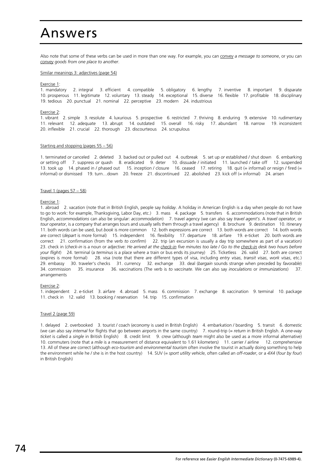Also note that some of these verbs can be used in more than one way. For example, you can *convey a message to someone*, or you can *convey goods from one place to another*.

# Similar meanings 3: adjectives (page 54)

## Exercise 1:

1. mandatory 2. integral 3. efficient 4. compatible 5. obligatory 6. lengthy 7. inventive 8. important 9. disparate 10. prosperous 11. legitimate 12. voluntary 13. steady 14. exceptional 15. diverse 16. flexible 17. profitable 18. disciplinary 19. tedious 20. punctual 21. nominal 22. perceptive 23. modern 24. industrious

## Exercise 2:

1. vibrant 2. simple 3. resolute 4. luxurious 5. prospective 6. restricted 7. thriving 8. enduring 9. extensive 10. rudimentary 11. relevant 12. adequate 13. abrupt 14. outdated 15. overall 16. risky 17. abundant 18. narrow 19. inconsistent 20. inflexible 21. crucial 22. thorough 23. discourteous 24. scrupulous

## Starting and stopping (pages 55 – 56)

1. terminated *or* canceled 2. deleted 3. backed out *or* pulled out 4. outbreak 5. set up *or* established / shut down 6. embarking *or* setting off 7. suppress *or* quash 8. eradicated 9. deter 10. dissuade / initiated 11. launched / take off 12. suspended 13. took up 14. phased in / phased out 15. inception / closure 16. ceased 17. retiring 18. quit (= informal) *or* resign / fired (= informal) or dismissed 19. turn…down 20. freeze 21. discontinued 22. abolished 23. kick off (= informal) 24. arisen

## Travel 1 (pages  $57 - 58$ )

# Exercise 1:

1. abroad 2. vacation (note that in British English, people say *holiday*. A holiday in American English is a day when people do not have to go to work: for example, Thanksgiving, Labor Day, etc.) 3. mass 4. package 5. transfers 6. accommodations (note that in British English, *accommodations* can also be singular: *accommodation*) 7. travel agency (we can also say *travel agent's*. A *travel operator*, or *tour operator*, is a company that arranges tours and usually sells them through a travel agency) 8. brochure 9. destination 10. itinerary 11. both words can be used, but *book* is more common 12. both expressions are correct 13. both words are correct 14. both words are correct (*depart* is more formal) 15. independent 16. flexibility 17. departure 18. airfare 19. e-ticket 20. both words are correct 21. confirmation (from the verb *to confirm*) 22. trip (an excursion is usually a day trip somewhere as part of a vacation) 23. check in (*check-in* is a noun or adjective: *He arrived at the check-in five minutes too late* / *Go to the check-in desk two hours before your flight*) 24. terminal (a *terminus* is a place where a train or bus ends its journey) 25. Ticketless 26. valid 27. both are correct (expires is more formal) 28. visa (note that there are different types of visa, including *entry visas*, *transit visas*, *work visas*, etc.) 29. embassy 30. traveler's checks 31. currency 32. exchange 33. deal (*bargain* sounds strange when preceded by *favorable*) 34. commission 35. insurance 36. vaccinations (The verb is *to vaccinate*. We can also say *inoculations* or *immunizations*) 37. arrangements

#### Exercise 2:

1. independent 2. e-ticket 3. airfare 4. abroad 5. mass 6. commission 7. exchange 8. vaccination 9. terminal 10. package 11. check in 12. valid 13. booking / reservation 14. trip 15. confirmation

#### Travel 2 (page 59)

1. delayed 2. overbooked 3. tourist / coach (*economy* is used in British English) 4. embarkation / boarding 5. transit 6. domestic (we can also say *internal* for flights that go between airports in the same country) 7. round-trip (= *return* in British English. A *one-way ticket* is called a *single* in British English) 8. credit limit 9. *crew* (although *team* might also be used as a more informal alternative) 10. commuters (note that a *mile* is a measurement of distance equivalent to 1.61 kilometers) 11. carrier / airline 12. comprehensive 13. All of these are correct (although *eco-tourism* and *environmental tourism* often involve the tourist in actually doing something to help the environment while he / she is in the host country) 14. SUV (= *sport utility vehicle*, often called an *off-roader*, or a *4X4* (*four by four*) in British English)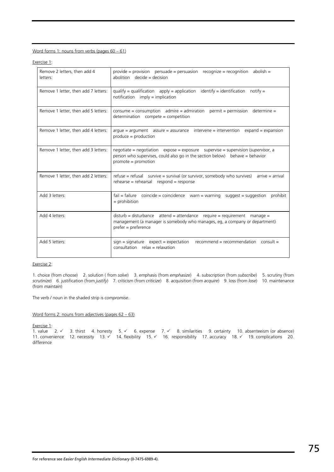Word forms 1: nouns from verbs (pages 60 – 61)

# Exercise 1:

| Remove 2 letters, then add 4<br>letters: | provide = provision persuade = persuasion recognize = recognition abolish =<br>$abolition$ decide = decision                                                                                |
|------------------------------------------|---------------------------------------------------------------------------------------------------------------------------------------------------------------------------------------------|
| Remove 1 letter, then add 7 letters:     | qualify = qualification apply = application identify = identification notify =<br>$notification$ imply = implication                                                                        |
| Remove 1 letter, then add 5 letters:     | consume = consumption admire = admiration permit = permission determine =<br>determination compete = competition                                                                            |
| Remove 1 letter, then add 4 letters:     | $argue = argument$ assure = assurance intervene = intervention expand = expansion<br>$produce = production$                                                                                 |
| Remove 1 letter, then add 3 letters:     | $negotiate = negotiation$ expose = exposure supervise = supervision (supervisor, a<br>person who supervises, could also go in the section below) behave = behavior<br>$promote = promotion$ |
| Remove 1 letter, then add 2 letters:     | $refuse = refusal$ survive = survival (or survivor, somebody who survives) arrive = arrival<br>$rehearse = rehearsal$ respond = response                                                    |
| Add 3 letters:                           | $fail = failure$ coincide = coincidence warn = warning suggest = suggestion<br>prohibit<br>$=$ prohibition                                                                                  |
| Add 4 letters:                           | $disturb = disturbance$ attend = attendance require = requirement manage =<br>management (a manager is somebody who manages, eg, a company or department)<br>$prefer = preference$          |
| Add 5 letters:                           | recommend = recommendation<br>$sign = signature \quad expect = expectation$<br>$constult =$<br>$constant$ relax = relaxation                                                                |

# Exercise 2:

1. choice (from *choose*) 2. solution ( from *solve*) 3. emphasis (from *emphasize*) 4. subscription (from *subscribe*) 5. scrutiny (from *scrutinize*) 6. justification (from *justify*) 7. criticism (from *criticize*) 8. acquisition (from *acquire*) 9. loss (from *lose*) 10. maintenance (from *maintain*)

The verb / noun in the shaded strip is *compromise*.

# Word forms 2: nouns from adjectives (pages 62 – 63)

Exercise 1:

1. value 2. " 3. thirst 4. honesty 5. " 6. expense 7. " 8. similarities 9. certainty 10. absenteeism (or absence) 11. convenience 12. necessity 13. √ 14. flexibility 15. √ 16. responsibility 17. accuracy 18. √ 19. complications 20. difference